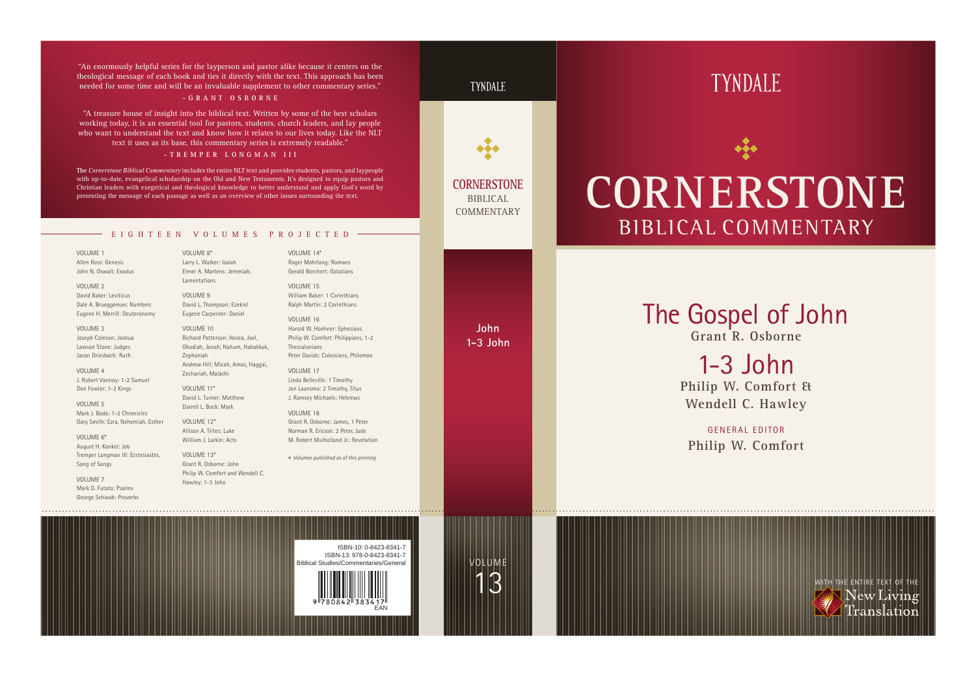



# **CORNERSTONE** BIBLICAL COMMENTARY

# The Gospel of John

**Grant R. Osborne**

# 1-3 John

**Philip W. Comfort & Wendell C. Hawley**

GENERAL EDITOR **Philip W. Comfort**

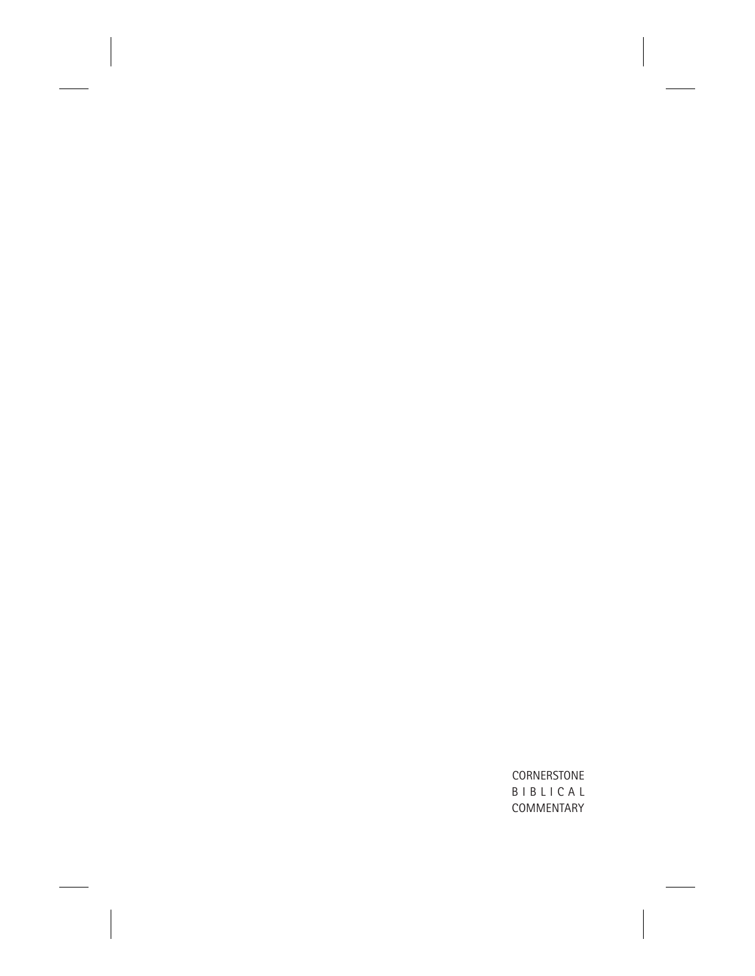CORNERSTONE BIBLICAL COMMENTARY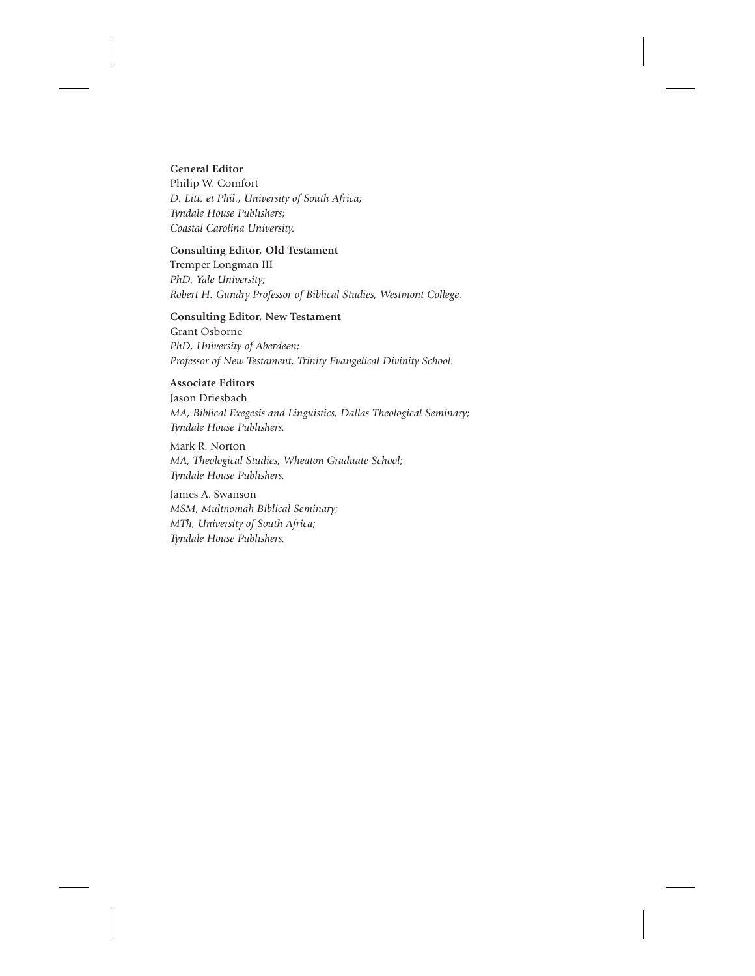# **General Editor**

Philip W. Comfort *D. Litt. et Phil., University of South Africa; Tyndale House Publishers; Coastal Carolina University.*

# **Consulting Editor, Old Testament**

Tremper Longman III *PhD, Yale University; Robert H. Gundry Professor of Biblical Studies, Westmont College.*

# **Consulting Editor, New Testament**

Grant Osborne *PhD, University of Aberdeen; Professor of New Testament, Trinity Evangelical Divinity School.*

### **Associate Editors**

Jason Driesbach *MA, Biblical Exegesis and Linguistics, Dallas Theological Seminary; Tyndale House Publishers.*

Mark R. Norton *MA, Theological Studies, Wheaton Graduate School; Tyndale House Publishers.*

James A. Swanson *MSM, Multnomah Biblical Seminary; MTh, University of South Africa; Tyndale House Publishers.*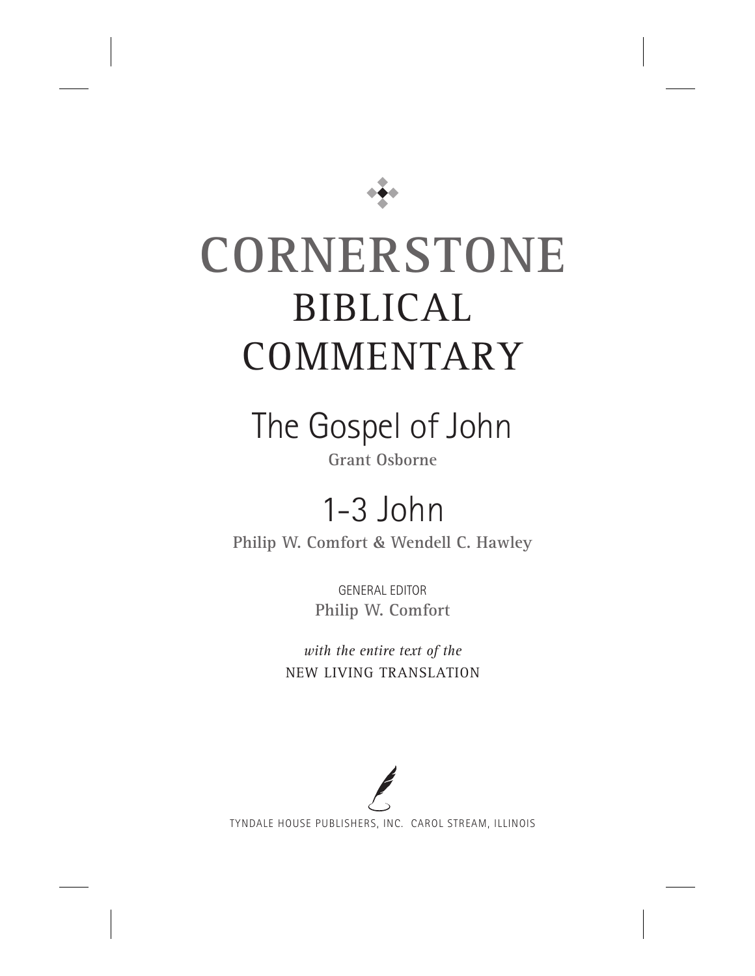

# **CORNERSTONE** BIBLICAL COMMENTARY

# The Gospel of John

# **Grant Osborne**

# 1-3 John **Philip W. Comfort & Wendell C. Hawley**

GENERAL EDITOR **Philip W. Comfort** 

*with the entire text of the*  NEW LIVING TRANSLATION



TYNDALE HOUSE PUBLISHERS, INC. CAROL STREAM, ILLINOIS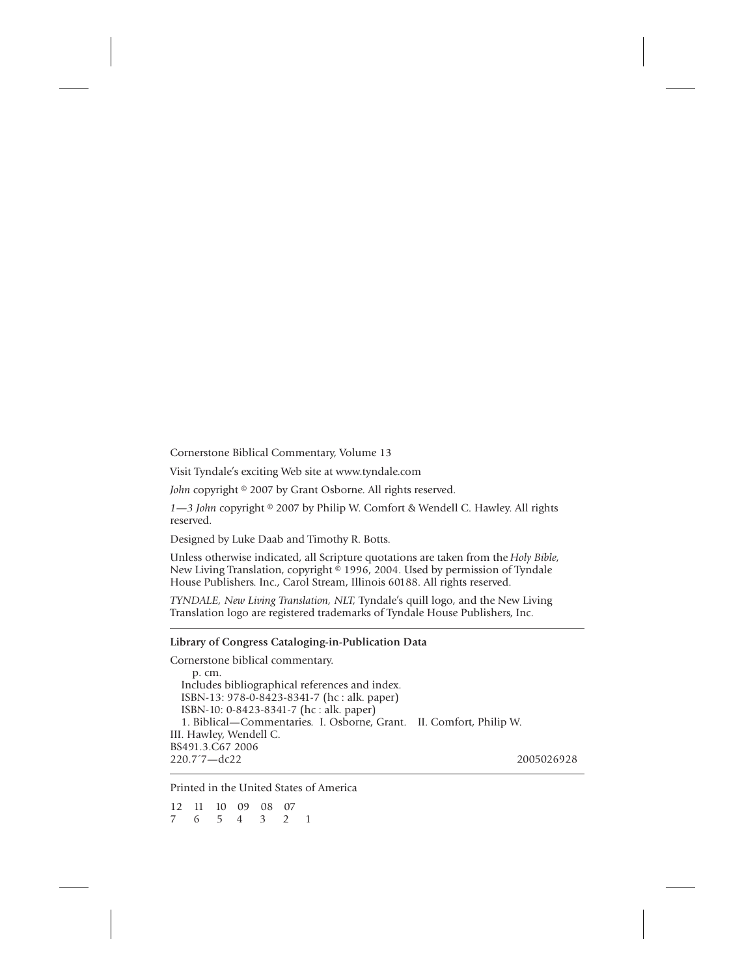Cornerstone Biblical Commentary, Volume 13

Visit Tyndale's exciting Web site at www.tyndale.com

*John* copyright <sup>©</sup> 2007 by Grant Osborne. All rights reserved.

1-3 John copyright <sup>®</sup> 2007 by Philip W. Comfort & Wendell C. Hawley. All rights reserved.

Designed by Luke Daab and Timothy R. Botts.

Unless otherwise indicated, all Scripture quotations are taken from the *Holy Bible*, New Living Translation, copyright  $\stackrel{\circ}{\circ}$  1996, 2004. Used by permission of Tyndale House Publishers. Inc., Carol Stream, Illinois 60188. All rights reserved.

*TYNDALE, New Living Translation, NLT,* Tyndale's quill logo, and the New Living Translation logo are registered trademarks of Tyndale House Publishers, Inc.

### **Library of Congress Cataloging-in-Publication Data**

Cornerstone biblical commentary. p. cm. Includes bibliographical references and index. ISBN-13: 978-0-8423-8341-7 (hc : alk. paper) ISBN-10: 0-8423-8341-7 (hc : alk. paper) 1. Biblical—Commentaries. I. Osborne, Grant. II. Comfort, Philip W. III. Hawley, Wendell C. BS491.3.C67 2006 220.7´7—dc22 2005026928

Printed in the United States of America

12 11 10 09 08 07 7 6 54 3 2 1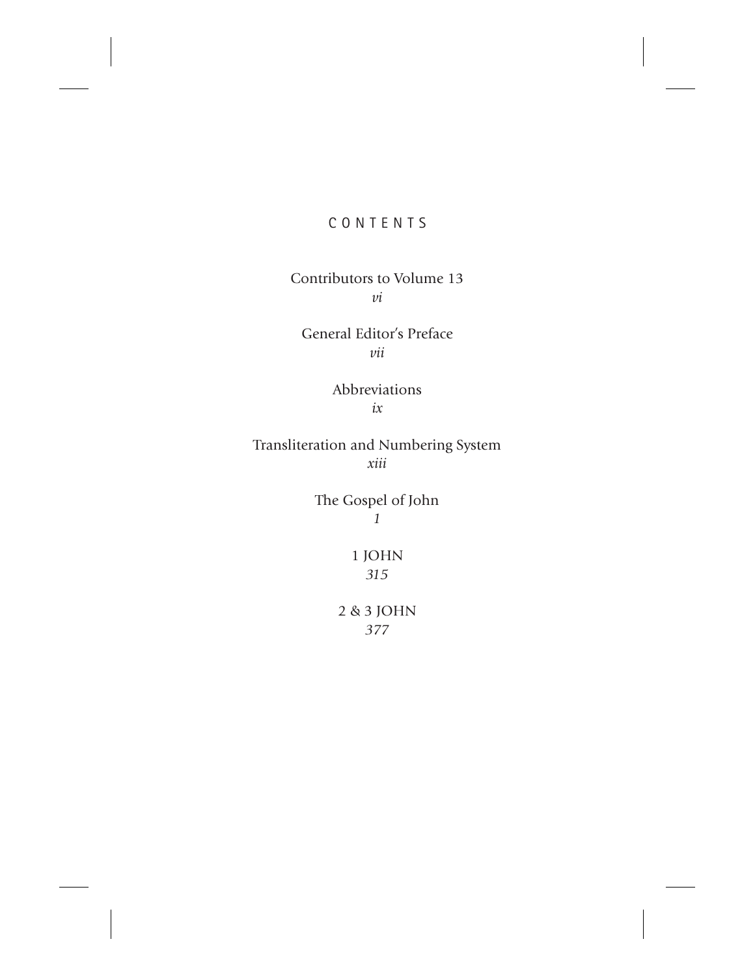# CONTENTS

# [Contributors to Volume 13](#page-6-0) *vi*

[General Editor's Preface](#page-7-0) *vii*

> [Abbreviations](#page-9-0) *ix*

[Transliteration and Numbering System](#page-13-0) *xiii*

> [The Gospel of John](#page-15-0) *1*

> > [1 JOHN](#page-34-0) *315*

[2 & 3 JOHN](#page-50-0) *377*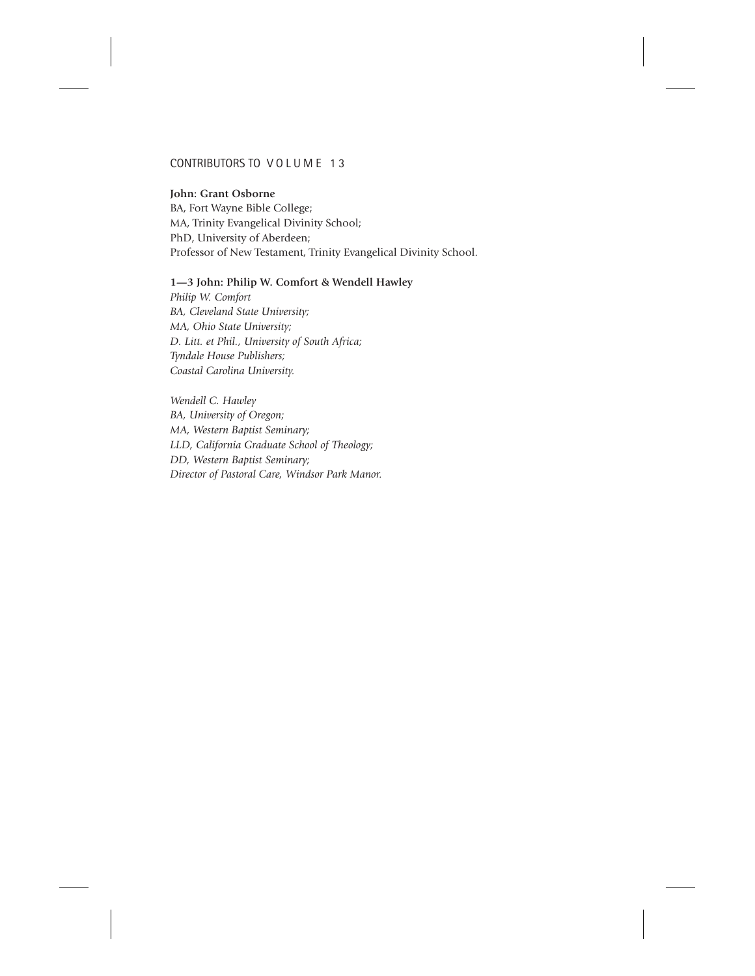# <span id="page-6-0"></span>CONTRIBUTORS TO V O L U M E 1 3

# **John: Grant Osborne**

BA, Fort Wayne Bible College; MA, Trinity Evangelical Divinity School; PhD, University of Aberdeen; Professor of New Testament, Trinity Evangelical Divinity School.

# **1—3 John: Philip W. Comfort & Wendell Hawley**

*Philip W. Comfort BA, Cleveland State University; MA, Ohio State University; D. Litt. et Phil., University of South Africa; Tyndale House Publishers; Coastal Carolina University.*

*Wendell C. Hawley BA, University of Oregon; MA, Western Baptist Seminary; LLD, California Graduate School of Theology; DD, Western Baptist Seminary; Director of Pastoral Care, Windsor Park Manor.*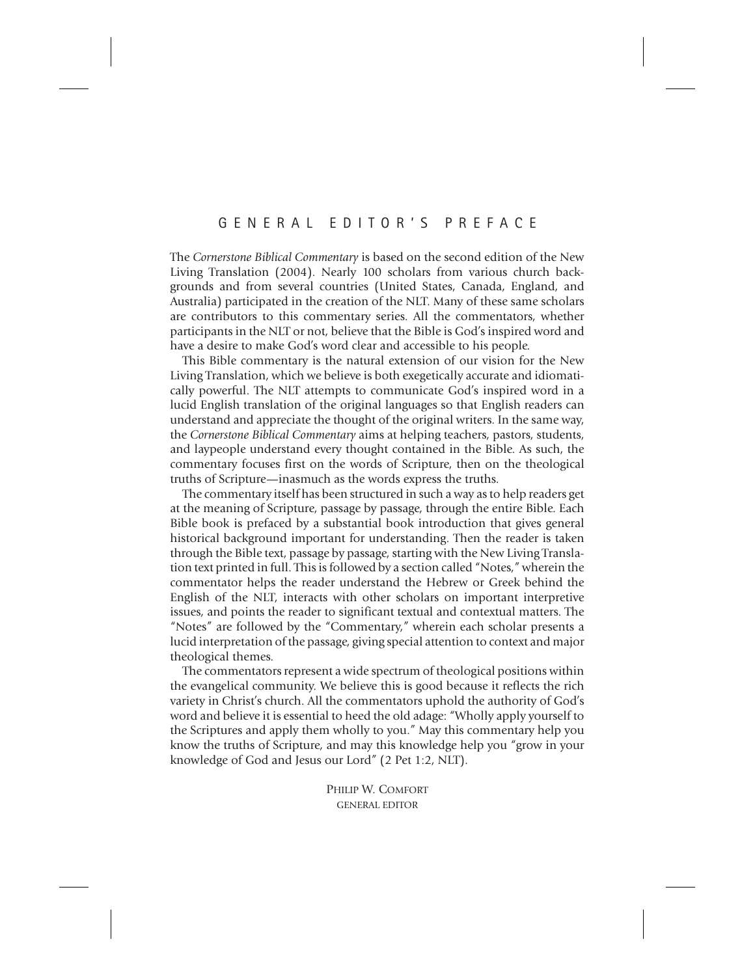# <span id="page-7-0"></span>GENERAL EDITOR'S PREFACE

The *Cornerstone Biblical Commentary* is based on the second edition of the New Living Translation (2004). Nearly 100 scholars from various church backgrounds and from several countries (United States, Canada, England, and Australia) participated in the creation of the NLT. Many of these same scholars are contributors to this commentary series. All the commentators, whether participants in the NLT or not, believe that the Bible is God's inspired word and have a desire to make God's word clear and accessible to his people.

This Bible commentary is the natural extension of our vision for the New Living Translation, which we believe is both exegetically accurate and idiomatically powerful. The NLT attempts to communicate God's inspired word in a lucid English translation of the original languages so that English readers can understand and appreciate the thought of the original writers. In the same way, the *Cornerstone Biblical Commentary* aims at helping teachers, pastors, students, and laypeople understand every thought contained in the Bible. As such, the commentary focuses first on the words of Scripture, then on the theological truths of Scripture—inasmuch as the words express the truths.

The commentary itself has been structured in such a way as to help readers get at the meaning of Scripture, passage by passage, through the entire Bible. Each Bible book is prefaced by a substantial book introduction that gives general historical background important for understanding. Then the reader is taken through the Bible text, passage by passage, starting with the New Living Translation text printed in full. This is followed by a section called "Notes," wherein the commentator helps the reader understand the Hebrew or Greek behind the English of the NLT, interacts with other scholars on important interpretive issues, and points the reader to significant textual and contextual matters. The "Notes" are followed by the "Commentary," wherein each scholar presents a lucid interpretation of the passage, giving special attention to context and major theological themes.

The commentators represent a wide spectrum of theological positions within the evangelical community. We believe this is good because it reflects the rich variety in Christ's church. All the commentators uphold the authority of God's word and believe it is essential to heed the old adage: "Wholly apply yourself to the Scriptures and apply them wholly to you." May this commentary help you know the truths of Scripture, and may this knowledge help you "grow in your knowledge of God and Jesus our Lord" (2 Pet 1:2, NLT).

> PHILIP W. COMFORT GENERAL EDITOR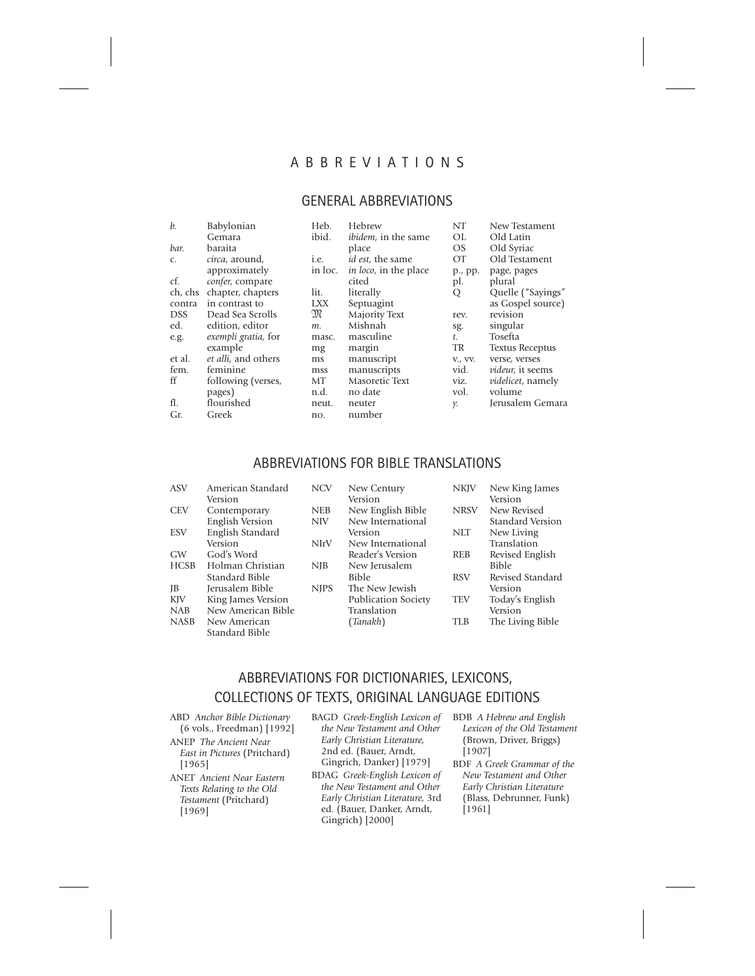# GENERAL ABBREVIATIONS

<span id="page-9-0"></span>

| $\mathfrak{b}$ . | Babylonian                  | Heb.       | Hebrew                        | <b>NT</b> | New Testament             |
|------------------|-----------------------------|------------|-------------------------------|-----------|---------------------------|
|                  | Gemara                      | ibid.      | <i>ibidem</i> , in the same   | OL        | Old Latin                 |
| bar.             | baraita                     |            | place                         | <b>OS</b> | Old Syriac                |
| C.               | <i>circa</i> , around,      | i.e.       | <i>id est</i> , the same      | <b>OT</b> | Old Testament             |
|                  | approximately               | in loc.    | <i>in loco</i> , in the place | p., pp.   | page, pages               |
| cf.              | confer, compare             |            | cited                         | pl.       | plural                    |
| ch, chs          | chapter, chapters           | lit.       | literally                     | Q         | Quelle ("Sayings"         |
| contra           | in contrast to              | <b>LXX</b> | Septuagint                    |           | as Gospel source)         |
| <b>DSS</b>       | Dead Sea Scrolls            | M          | Majority Text                 | rev.      | revision                  |
| ed.              | edition, editor             | т.         | Mishnah                       | sg.       | singular                  |
| e.g.             | exempli gratia, for         | masc.      | masculine                     | t.        | Tosefta                   |
|                  | example                     | mg         | margin                        | TR        | <b>Textus Receptus</b>    |
| et al.           | <i>et alli</i> , and others | ms         | manuscript                    | V., VV.   | verse, verses             |
| fem.             | feminine                    | mss        | manuscripts                   | vid.      | <i>videur</i> , it seems  |
| ff               | following (verses,          | MT         | <b>Masoretic Text</b>         | viz.      | <i>videlicet</i> , namely |
|                  | pages)                      | n.d.       | no date                       | vol.      | volume                    |
| fl.              | flourished                  | neut.      | neuter                        | γ.        | Jerusalem Gemara          |
| Gr.              | Greek                       | no.        | number                        |           |                           |

# ABBREVIATIONS FOR BIBLE TRANSLATIONS

| <b>ASV</b>  | American Standard              | <b>NCV</b>  | New Century                | <b>NKJV</b> | New King James          |
|-------------|--------------------------------|-------------|----------------------------|-------------|-------------------------|
|             | Version                        |             | Version                    |             | Version                 |
| <b>CEV</b>  | Contemporary                   | <b>NEB</b>  | New English Bible          | <b>NRSV</b> | New Revised             |
|             | <b>English Version</b>         | <b>NIV</b>  | New International          |             | <b>Standard Version</b> |
| <b>ESV</b>  | English Standard               |             | Version                    | NLT         | New Living              |
|             | Version                        | <b>NIrV</b> | New International          |             | Translation             |
| <b>GW</b>   | God's Word                     |             | Reader's Version           | <b>REB</b>  | Revised English         |
| <b>HCSB</b> | Holman Christian               | <b>NIB</b>  | New Jerusalem              |             | <b>Bible</b>            |
|             | Standard Bible                 |             | <b>Bible</b>               | <b>RSV</b>  | Revised Standard        |
| <b>IB</b>   | Jerusalem Bible                | <b>NIPS</b> | The New Jewish             |             | Version                 |
| <b>KJV</b>  | King James Version             |             | <b>Publication Society</b> | <b>TEV</b>  | Today's English         |
| NAB         | New American Bible             |             | Translation                |             | Version                 |
| <b>NASB</b> | New American<br>Standard Bible |             | (Tanakh)                   | TLB         | The Living Bible        |
|             |                                |             |                            |             |                         |

# ABBREVIATIONS FOR DICTIONARIES, LEXICONS, COLLECTIONS OF TEXTS, ORIGINAL LANGUAGE EDITIONS

- ABD *Anchor Bible Dictionary* (6 vols., Freedman) [1992]
- ANEP *The Ancient Near East in Pictures* (Pritchard) [1965]
- ANET *Ancient Near Eastern Texts Relating to the Old Testament* (Pritchard) [1969]
- BAGD *Greek-English Lexicon of* BDB *A Hebrew and English the New Testament and Other Early Christian Literature*, 2nd ed. (Bauer, Arndt, Gingrich, Danker) [1979]
- BDAG *Greek-English Lexicon of the New Testament and Other Early Christian Literature*, 3rd ed. (Bauer, Danker, Arndt, Gingrich) [2000]
- *Lexicon of the Old Testament* (Brown, Driver, Briggs) [1907]
- BDF *A Greek Grammar of the New Testament and Other Early Christian Literature* (Blass, Debrunner, Funk) [1961]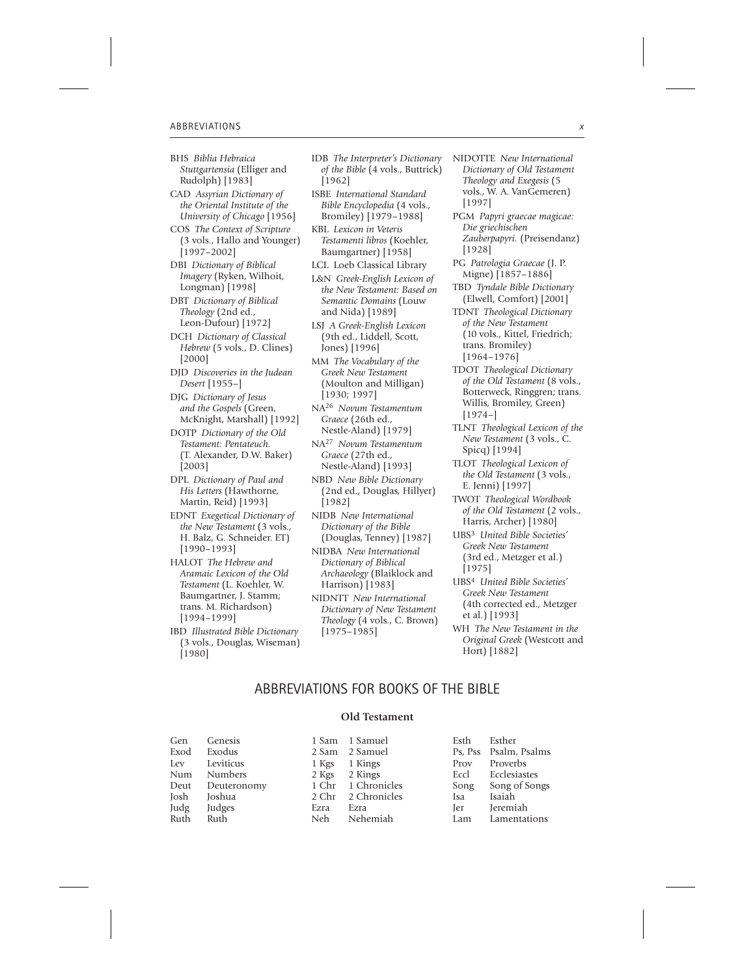- BHS *Biblia Hebraica Stuttgartensia* (Elliger and Rudolph) [1983]
- CAD *Assyrian Dictionary of the Oriental Institute of the University of Chicago* [1956]
- COS *The Context of Scripture* (3 vols., Hallo and Younger) [1997–2002]
- DBI *Dictionary of Biblical Imagery* (Ryken, Wilhoit, Longman) [1998]
- DBT *Dictionary of Biblical Theology* (2nd ed., Leon-Dufour) [1972]
- DCH *Dictionary of Classical Hebrew* (5 vols., D. Clines) [2000]
- DJD *Discoveries in the Judean Desert* [1955–]
- DJG *Dictionary of Jesus and the Gospels* (Green, McKnight, Marshall) [1992]
- DOTP *Dictionary of the Old Testament: Pentateuch.* (T. Alexander, D.W. Baker) [2003]
- DPL *Dictionary of Paul and His Letters* (Hawthorne, Martin, Reid) [1993]
- EDNT *Exegetical Dictionary of the New Testament* (3 vols., H. Balz, G. Schneider. ET) [1990–1993]
- HALOT *The Hebrew and Aramaic Lexicon of the Old Testament* (L. Koehler, W. Baumgartner, J. Stamm; trans. M. Richardson) [1994–1999]
- IBD *Illustrated Bible Dictionary* (3 vols., Douglas, Wiseman) [1980]
- IDB *The Interpreter's Dictionary of the Bible* (4 vols., Buttrick) [1962]
- ISBE *International Standard Bible Encyclopedia* (4 vols., Bromiley) [1979–1988]
- KBL *Lexicon in Veteris Testamenti libros* (Koehler, Baumgartner) [1958]
- LCL Loeb Classical Library
- L&N *Greek-English Lexicon of the New Testament: Based on Semantic Domains* (Louw and Nida) [1989]
- LSJ *A Greek-English Lexicon* (9th ed., Liddell, Scott, Jones) [1996]
- MM *The Vocabulary of the Greek New Testament* (Moulton and Milligan) [1930; 1997]
- NA26 *Novum Testamentum Graece* (26th ed., Nestle-Aland) [1979]
- NA27 *Novum Testamentum Graece* (27th ed., Nestle-Aland) [1993]
- NBD *New Bible Dictionary* (2nd ed., Douglas, Hillyer) [1982]
- NIDB *New International Dictionary of the Bible* (Douglas, Tenney) [1987]
- NIDBA *New International Dictionary of Biblical Archaeology* (Blaiklock and Harrison) [1983]
- NIDNTT *New International Dictionary of New Testament Theology* (4 vols., C. Brown) [1975–1985]
- NIDOTTE *New International Dictionary of Old Testament Theology and Exegesis* (5 vols., W. A. VanGemeren) [1997]
- PGM *Papyri graecae magicae: Die griechischen Zauberpapyri.* (Preisendanz) [1928]
- PG *Patrologia Graecae* (J. P. Migne) [1857–1886]
- TBD *Tyndale Bible Dictionary* (Elwell, Comfort) [2001]
- TDNT *Theological Dictionary of the New Testament* (10 vols., Kittel, Friedrich; trans. Bromiley) [1964–1976]
- TDOT *Theological Dictionary of the Old Testament* (8 vols., Botterweck, Ringgren; trans. Willis, Bromiley, Green) [1974–]
- TLNT *Theological Lexicon of the New Testament* (3 vols., C. Spicq) [1994]
- TLOT *Theological Lexicon of the Old Testament* (3 vols., E. Jenni) [1997]
- TWOT *Theological Wordbook of the Old Testament* (2 vols., Harris, Archer) [1980]
- UBS3 *United Bible Societies' Greek New Testament* (3rd ed., Metzger et al.) [1975]
- UBS4 *United Bible Societies' Greek New Testament* (4th corrected ed., Metzger et al.) [1993]
- WH *The New Testament in the Original Greek* (Westcott and Hort) [1882]

# ABBREVIATIONS FOR BOOKS OF THE BIBLE

### **Old Testament**

| Gen  | Genesis     |
|------|-------------|
| Exod | Exodus      |
| Lev  | Leviticus   |
| Num  | Numbers     |
| Deut | Deuteronomy |
| Josh | Joshua      |
| Judg | Judges      |
| Ruth | Ruth        |
|      |             |

1 Sam 1 Samuel 2 Sam 2 Samuel 1 Kgs 1 Kings 2 Kgs 2 Kings<br>1 Chr 1 Chroi 1 Chronicles 2 Chr 2 Chronicles Ezra Ezra Neh Nehemiah

| Esth    | Esther        |
|---------|---------------|
| Ps, Pss | Psalm, Psalms |
| Prov    | Proverbs      |
| Eccl    | Ecclesiastes  |
| Song    | Song of Songs |
| Isa     | Isaiah        |
| Jer     | Jeremiah      |
| Lam     | Lamentations  |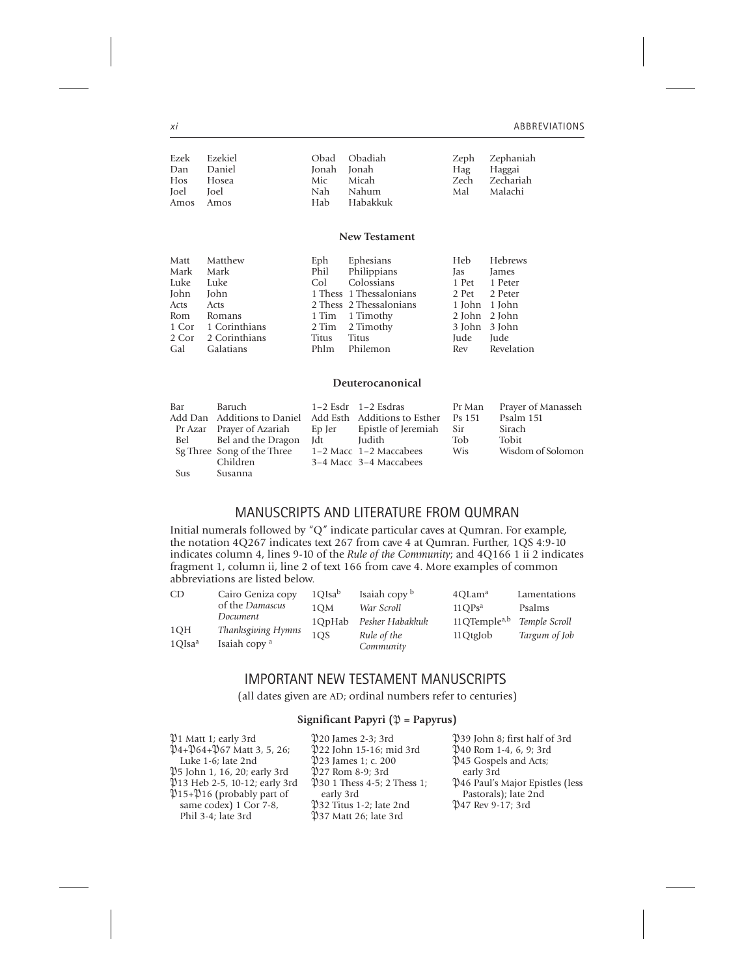| Ezek | Ezekiel     |             | Obad Obadiah | Zeph Zephaniah |
|------|-------------|-------------|--------------|----------------|
| Dan  | Daniel      | Jonah Jonah |              | Hag Haggai     |
| Hos  | Hosea       | Mic         | Micah        | Zech Zechariah |
| Joel | <b>Loel</b> | Nah         | Nahum        | Mal Malachi    |
| Amos | Amos        |             | Hab Habakkuk |                |

### **New Testament**

| Matt  | Matthew             | Eph   | Ephesians               | Heb           | Hebrews      |
|-------|---------------------|-------|-------------------------|---------------|--------------|
| Mark  | Mark                | Phil  | Philippians             | <b>Jas</b>    | <b>James</b> |
| Luke  | Luke                | Col   | Colossians              | 1 Pet         | 1 Peter      |
| John  | John                |       | 1 Thess 1 Thessalonians | 2 Pet         | 2 Peter      |
| Acts  | Acts                |       | 2 Thess 2 Thessalonians | 1 John 1 John |              |
| Rom   | Romans              |       | 1 Tim 1 Timothy         | 2 John 2 John |              |
| 1 Cor | 1 Corinthians       |       | 2 Tim 2 Timothy         | 3 John 3 John |              |
|       | 2 Cor 2 Corinthians | Titus | Titus                   | Jude          | Jude         |
| Gal   | Galatians           | Phlm  | Philemon                | Rev           | Revelation   |

#### **Deuterocanonical**

| Bar | Baruch                                                   |             | $1-2$ Esdr $1-2$ Esdras    | Pr Man | Prayer of Manasseh |
|-----|----------------------------------------------------------|-------------|----------------------------|--------|--------------------|
|     | Add Dan Additions to Daniel Add Esth Additions to Esther |             |                            | Ps 151 | Psalm 151          |
|     | Pr Azar Prayer of Azariah                                |             | Ep Jer Bpistle of Jeremiah | Sir    | Sirach             |
|     | Bel Bel and the Dragon                                   | $\cdot$ Idt | Judith                     | Tob    | Tobit              |
|     | Sg Three Song of the Three                               |             | 1-2 Macc 1-2 Maccabees     | Wis    | Wisdom of Solomon  |
|     | Children                                                 |             | 3-4 Macc 3-4 Maccabees     |        |                    |
| Sus | Susanna                                                  |             |                            |        |                    |

# MANUSCRIPTS AND LITERATURE FROM QUMRAN

Initial numerals followed by "Q" indicate particular caves at Qumran. For example, the notation 4Q267 indicates text 267 from cave 4 at Qumran. Further, 1QS 4:9-10 indicates column 4, lines 9-10 of the *Rule of the Community*; and 4Q166 1 ii 2 indicates fragment 1, column ii, line 2 of text 166 from cave 4. More examples of common abbreviations are listed below.

| CD                 | Cairo Geniza copy        | 1OIsa <sup>b</sup> | Isaiah copy b   | 4OLam <sup>a</sup>        | Lamentations  |
|--------------------|--------------------------|--------------------|-----------------|---------------------------|---------------|
|                    | of the Damascus          | 1OM                | War Scroll      | $11$ OPs <sup>a</sup>     | Psalms        |
|                    | Document                 | 1O <sub>pHab</sub> | Pesher Habakkuk | 11 OTemple <sup>a,b</sup> | Temple Scroll |
| 1OH                | Thanksgiving Hymns       | 1OS                | Rule of the     | 11 OtgJob                 | Targum of Job |
| 1OIsa <sup>a</sup> | Isaiah copy <sup>a</sup> |                    | Community       |                           |               |

# IMPORTANT NEW TESTAMENT MANUSCRIPTS

(all dates given are AD; ordinal numbers refer to centuries)

### **Significant Papyri ( = Papyrus)**

| \$1 Matt 1; early 3rd                                  |
|--------------------------------------------------------|
| $D4+D64+D67$ Matt 3, 5, 26;                            |
| Luke 1-6; late 2nd                                     |
| \$15 John 1, 16, 20; early 3rd                         |
| \$13 Heb 2-5, 10-12; early 3rd                         |
| $\mathfrak{P}$ 15+ $\mathfrak{P}$ 16 (probably part of |
| same codex) 1 Cor 7-8,                                 |
| Phil 3-4; late 3rd                                     |

P20 James 2-3; 3rd P22 John 15-16; mid 3rd P23 James 1; c. 200 P27 Rom 8-9; 3rd P30 1 Thess 4-5; 2 Thess 1; early 3rd P32 Titus 1-2; late 2nd P37 Matt 26; late 3rd

P39 John 8; first half of 3rd P40 Rom 1-4, 6, 9; 3rd P45 Gospels and Acts; early 3rd P46 Paul's Major Epistles (less Pastorals); late 2nd P47 Rev 9-17; 3rd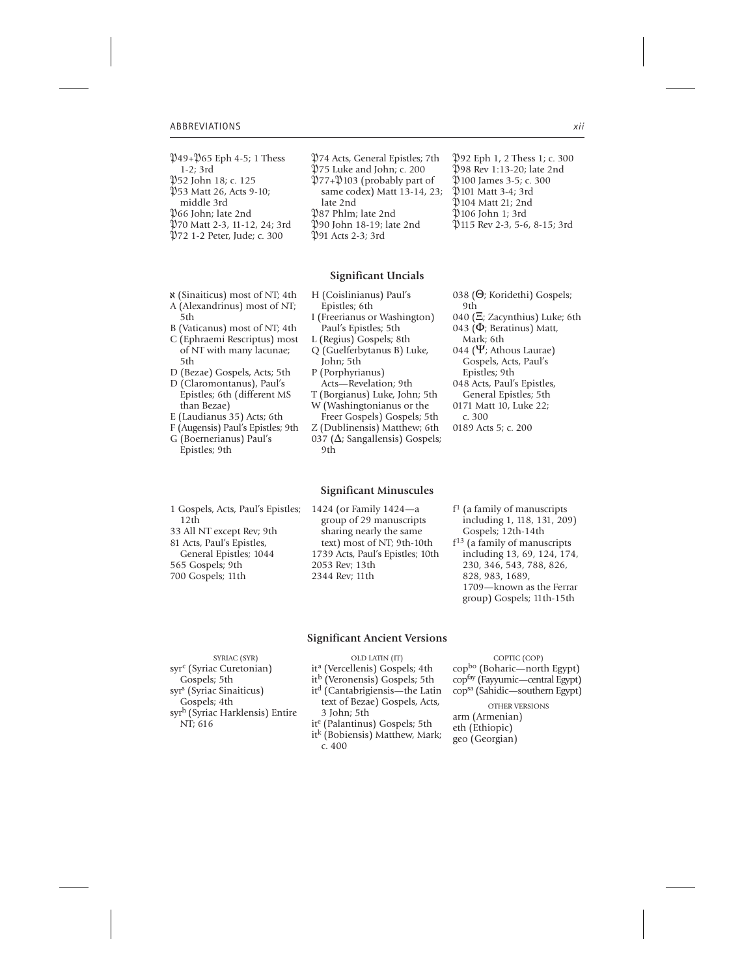- P49+P65 Eph 4-5; 1 Thess 1-2; 3rd
- P52 John 18; c. 125 P53 Matt 26, Acts 9-10;
- middle 3rd
- P66 John; late 2nd
- P70 Matt 2-3, 11-12, 24; 3rd
- P72 1-2 Peter, Jude; c. 300
- (Sinaiticus) most of NT; 4th
- A (Alexandrinus) most of NT; 5th
- B (Vaticanus) most of NT; 4th
- C (Ephraemi Rescriptus) most of NT with many lacunae; 5th
- D (Bezae) Gospels, Acts; 5th
- D (Claromontanus), Paul's Epistles; 6th (different MS than Bezae)
- E (Laudianus 35) Acts; 6th
- F (Augensis) Paul's Epistles; 9th
- G (Boernerianus) Paul's Epistles; 9th

P74 Acts, General Epistles; 7th P75 Luke and John; c. 200 P77+P103 (probably part of same codex) Matt 13-14, 23; late 2nd P87 Phlm; late 2nd P90 John 18-19; late 2nd

P91 Acts 2-3; 3rd

### **Significant Uncials**

- H (Coislinianus) Paul's Epistles; 6th I (Freerianus or Washington) Paul's Epistles; 5th
- L (Regius) Gospels; 8th
- Q (Guelferbytanus B) Luke, John; 5th
- P (Porphyrianus)
- Acts—Revelation; 9th
- T (Borgianus) Luke, John; 5th
- W (Washingtonianus or the
- Freer Gospels) Gospels; 5th Z (Dublinensis) Matthew; 6th
- 037 ( $\Delta$ ; Sangallensis) Gospels; 9th

#### **Significant Minuscules**

- 1 Gospels, Acts, Paul's Epistles; 12th 33 All NT except Rev; 9th 81 Acts, Paul's Epistles, General Epistles; 1044
- 565 Gospels; 9th 700 Gospels; 11th

syr<sup>s</sup>

1424 (or Family 1424—a group of 29 manuscripts sharing nearly the same text) most of NT; 9th-10th 1739 Acts, Paul's Epistles; 10th 2053 Rev; 13th 2344 Rev; 11th

 $f<sup>1</sup>$  (a family of manuscripts including 1, 118, 131, 209) Gospels; 12th-14th

f13 (a family of manuscripts including 13, 69, 124, 174, 230, 346, 543, 788, 826, 828, 983, 1689, 1709—known as the Ferrar group) Gospels; 11th-15th

#### **Significant Ancient Versions**

| SYRIAC (SYR)                                |                     |
|---------------------------------------------|---------------------|
| syr <sup>c</sup> (Syriac Curetonian)        | it <sup>a</sup> (Ve |
| Gospels; 5th                                | $it^b$ (Ve          |
| syr <sup>s</sup> (Syriac Sinaiticus)        | $it^d$ (C           |
| Gospels; 4th                                | text                |
| syr <sup>h</sup> (Syriac Harklensis) Entire | 3 Jc                |
| NT: 616                                     | it <sup>e</sup> (Pa |
|                                             | $it^{k}$ (Bo        |

- OLD LATIN (IT) rcellenis) Gospels; 4th: eronensis) Gospels; 5th antabrigiensis—the Latin of Bezae) Gospels, Acts, 3 John; 5th ilantinus) Gospels; 5th biensis) Matthew, Mark; c. 400
- COPTIC (COP) copbo (Boharic—north Egypt) copfay (Fayyumic—central Egypt) copsa (Sahidic—southern Egypt)
- OTHER VERSIONS arm (Armenian) eth (Ethiopic) geo (Georgian)
- P92 Eph 1, 2 Thess 1; c. 300 P98 Rev 1:13-20; late 2nd P100 James 3-5; c. 300 P101 Matt 3-4; 3rd P104 Matt 21; 2nd P106 John 1; 3rd P115 Rev 2-3, 5-6, 8-15; 3rd
- 038 (Q; Koridethi) Gospels; 9th
- 040 ( $\Xi$ ; Zacynthius) Luke; 6th
- 043 ( $\Phi$ ; Beratinus) Matt, Mark; 6th
- 044 ( $\Psi$ ; Athous Laurae) Gospels, Acts, Paul's Epistles; 9th
- 048 Acts, Paul's Epistles,
- General Epistles; 5th
- 0171 Matt 10, Luke 22; c. 300
- 0189 Acts 5; c. 200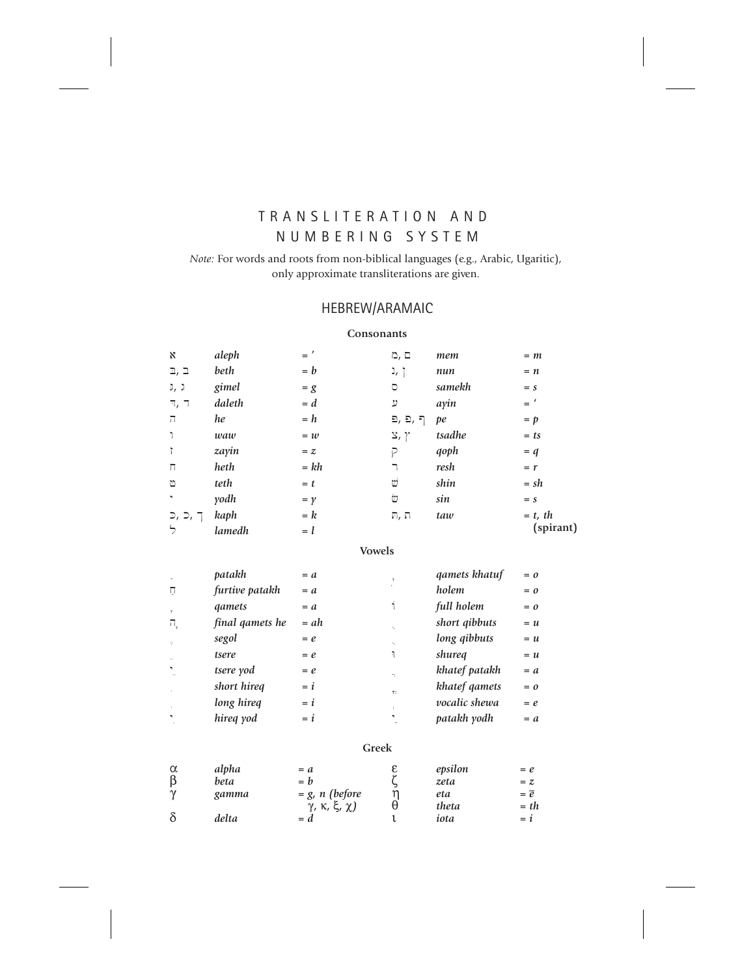# TRANSLITERATION AND NUMBERING SYSTEM

<span id="page-13-0"></span>*Note:* For words and roots from non-biblical languages (e.g., Arabic, Ugaritic), only approximate transliterations are given.

# HEBREW/ARAMAIC

### **Consonants**

| aleph  | $=$ '  | ם ,ם           | mem    | $=$ $m$   |
|--------|--------|----------------|--------|-----------|
| beth   | $= b$  | ן ג            | nun    | $= n$     |
| gimel  | $= g$  | ○              | samekh | $= S$     |
| daleth | $= d$  | ע              | ayin   | $=$ '     |
| he     | $= h$  | ף , פ          | pe     | $= p$     |
| waw    | $= w$  | ኔ, ነ           | tsadhe | $=$ ts    |
| zayin  | $= z$  | $\overline{P}$ | qoph   | $= q$     |
| heth   | $= kh$ |                | resh   | $= r$     |
| teth   | $= t$  | ΰ              | shin   | $= sh$    |
| yodh   | $= y$  | Ü              | sin    | $= S$     |
| kaph   | $= k$  | ភ, ភ           | taw    | $=$ t, th |
| lamedh | $=1$   |                |        | (spirant) |
|        |        |                |        |           |

# **Vowels**

|                      | patakh          | $= a$  | $\tau$                      | <i>gamets khatuf</i> | $= 0$ |
|----------------------|-----------------|--------|-----------------------------|----------------------|-------|
| П                    | furtive patakh  | $= a$  |                             | holem                | $= 0$ |
| $\tau$               | <i>damets</i>   | $= a$  |                             | full holem           | $= 0$ |
| Π,                   | final qamets he | $= ah$ | $\mathcal{H}_\mathrm{c}$    | short gibbuts        | $= u$ |
| $\mathcal{Q}$        | segol           | $= e$  | ×.                          | long qibbuts         | $= u$ |
| $\ddot{\phantom{a}}$ | tsere           | $= e$  | ٦                           | shureq               | $= u$ |
| ۰                    | tsere yod       | $= e$  | $\mathcal{L}_{\mathcal{I}}$ | khatef patakh        | $= a$ |
|                      | short hireq     | $=$ i  | $T$ :                       | khatef qamets        | $= 0$ |
|                      | long hireq      | $= i$  | ÷                           | vocalic shewa        | $= e$ |
| ,                    | hireg yod       | $= i$  |                             | patakh yodh          | $= a$ |

### **Greek**

| $\alpha$     | alpha | $= a$                                  |   | epsilon | $= e$           |
|--------------|-------|----------------------------------------|---|---------|-----------------|
| β            | beta  | $= b$                                  |   | zeta    | $= z$           |
| $\mathcal V$ | gamma | $= g, n$ (before                       |   | eta     | $=\overline{e}$ |
|              |       | $\gamma$ , $\kappa$ , $\xi$ , $\chi$ ) | θ | theta   | $=$ th          |
| δ            | delta | $= d$                                  |   | iota    | $=$ 1           |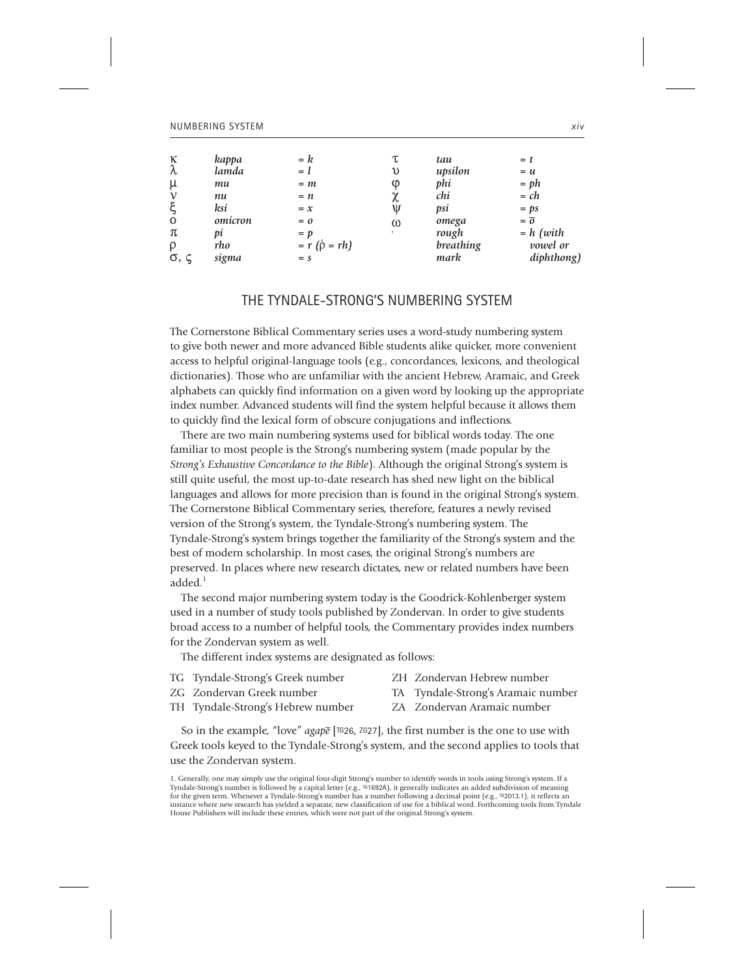| к<br>$\lambda$<br>μ<br>$\begin{array}{c} \nu \\ \xi \end{array}$<br>$\mathbf 0$<br>π<br>$\rho$ | kappa<br>lamda<br>mи<br>nu<br>ksi<br>omicron<br>рi<br>rho | $= k$<br>$=1$<br>$=$ $m$<br>$= n$<br>$= x$<br>$= 0$<br>$= p$<br>$= r (\dot{\rho} = rh)$ | v<br>O<br>W<br>ω | tau<br>upsilon<br>phi<br>chi<br>psi<br>omega<br>rough<br>breathing | $= t$<br>$= u$<br>$=$ ph<br>$=$ ch<br>$= ps$<br>$= \overline{0}$<br>$= h$ (with<br>vowel or |
|------------------------------------------------------------------------------------------------|-----------------------------------------------------------|-----------------------------------------------------------------------------------------|------------------|--------------------------------------------------------------------|---------------------------------------------------------------------------------------------|
| $\sigma$ , $\zeta$                                                                             | sigma                                                     | $= S$                                                                                   |                  | mark                                                               | diphthong)                                                                                  |

# THE TYNDALE-STRONG'S NUMBERING SYSTEM

The Cornerstone Biblical Commentary series uses a word-study numbering system to give both newer and more advanced Bible students alike quicker, more convenient access to helpful original-language tools (e.g., concordances, lexicons, and theological dictionaries). Those who are unfamiliar with the ancient Hebrew, Aramaic, and Greek alphabets can quickly find information on a given word by looking up the appropriate index number. Advanced students will find the system helpful because it allows them to quickly find the lexical form of obscure conjugations and inflections.

There are two main numbering systems used for biblical words today. The one familiar to most people is the Strong's numbering system (made popular by the *Strong's Exhaustive Concordance to the Bible*). Although the original Strong's system is still quite useful, the most up-to-date research has shed new light on the biblical languages and allows for more precision than is found in the original Strong's system. The Cornerstone Biblical Commentary series, therefore, features a newly revised version of the Strong's system, the Tyndale-Strong's numbering system. The Tyndale-Strong's system brings together the familiarity of the Strong's system and the best of modern scholarship. In most cases, the original Strong's numbers are preserved. In places where new research dictates, new or related numbers have been added.<sup>1</sup>

The second major numbering system today is the Goodrick-Kohlenberger system used in a number of study tools published by Zondervan. In order to give students broad access to a number of helpful tools, the Commentary provides index numbers for the Zondervan system as well.

The different index systems are designated as follows:

TG Tyndale-Strong's Greek number

ZG Zondervan Greek number

- ZH Zondervan Hebrew number
- TA Tyndale-Strong's Aramaic number
- TH Tyndale-Strong's Hebrew number
- ZA Zondervan Aramaic number

So in the example, "love" *agap*<sup> $\bar{c}$ </sup> [<sup>TG26, ZG27</sup>], the first number is the one to use with Greek tools keyed to the Tyndale-Strong's system, and the second applies to tools that use the Zondervan system.

<sup>1.</sup> Generally, one may simply use the original four-digit Strong's number to identify words in tools using Strong's system. If a Tyndale-Strong's number is followed by a capital letter (e.g., TG1692A), it generally indicates an added subdivision of meaning for the given term. Whenever a Tyndale-Strong's number has a number following a decimal point (e.g., <sup>TG2013.1</sup>), it reflects an instance where new research has yielded a separate, new classification of use for a biblical word. Forthcoming tools from Tyndale House Publishers will include these entries, which were not part of the original Strong's system.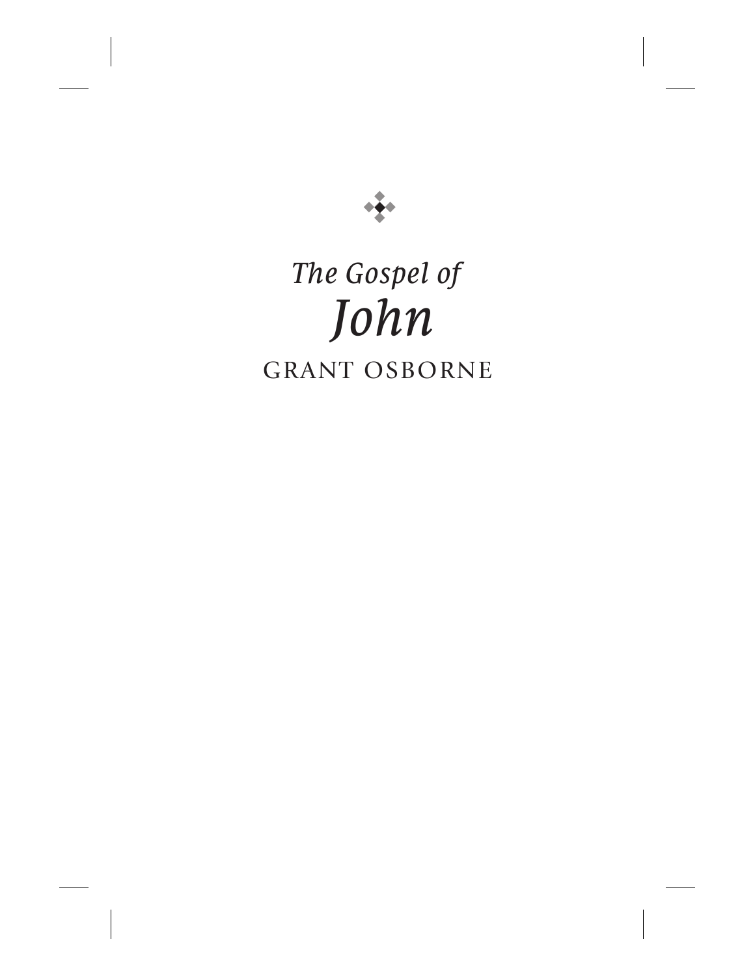

# <span id="page-15-0"></span>*The Gospel of John* GRANT OSBORNE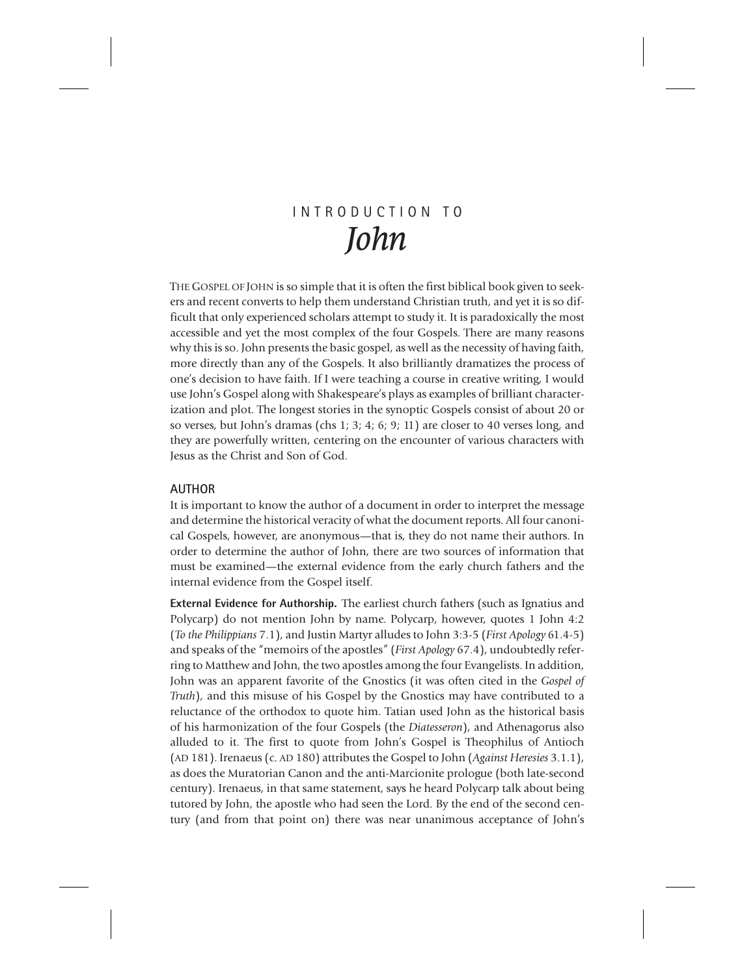# INTRODUCTION TO *John*

THE GOSPEL OF JOHN is so simple that it is often the first biblical book given to seekers and recent converts to help them understand Christian truth, and yet it is so difficult that only experienced scholars attempt to study it. It is paradoxically the most accessible and yet the most complex of the four Gospels. There are many reasons why this is so. John presents the basic gospel, as well as the necessity of having faith, more directly than any of the Gospels. It also brilliantly dramatizes the process of one's decision to have faith. If I were teaching a course in creative writing, I would use John's Gospel along with Shakespeare's plays as examples of brilliant characterization and plot. The longest stories in the synoptic Gospels consist of about 20 or so verses, but John's dramas (chs 1; 3; 4; 6; 9; 11) are closer to 40 verses long, and they are powerfully written, centering on the encounter of various characters with Jesus as the Christ and Son of God.

# **AUTHOR**

It is important to know the author of a document in order to interpret the message and determine the historical veracity of what the document reports. All four canonical Gospels, however, are anonymous—that is, they do not name their authors. In order to determine the author of John, there are two sources of information that must be examined—the external evidence from the early church fathers and the internal evidence from the Gospel itself.

**External Evidence for Authorship.** The earliest church fathers (such as Ignatius and Polycarp) do not mention John by name. Polycarp, however, quotes 1 John 4:2 (*To the Philippians* 7.1), and Justin Martyr alludes to John 3:3-5 (*First Apology* 61.4-5) and speaks of the "memoirs of the apostles" (*First Apology* 67.4), undoubtedly referring to Matthew and John, the two apostles among the four Evangelists. In addition, John was an apparent favorite of the Gnostics (it was often cited in the *Gospel of Truth*), and this misuse of his Gospel by the Gnostics may have contributed to a reluctance of the orthodox to quote him. Tatian used John as the historical basis of his harmonization of the four Gospels (the *Diatesseron*), and Athenagorus also alluded to it. The first to quote from John's Gospel is Theophilus of Antioch (AD 181). Irenaeus (c. AD 180) attributes the Gospel to John (*Against Heresies* 3.1.1), as does the Muratorian Canon and the anti-Marcionite prologue (both late-second century). Irenaeus, in that same statement, says he heard Polycarp talk about being tutored by John, the apostle who had seen the Lord. By the end of the second century (and from that point on) there was near unanimous acceptance of John's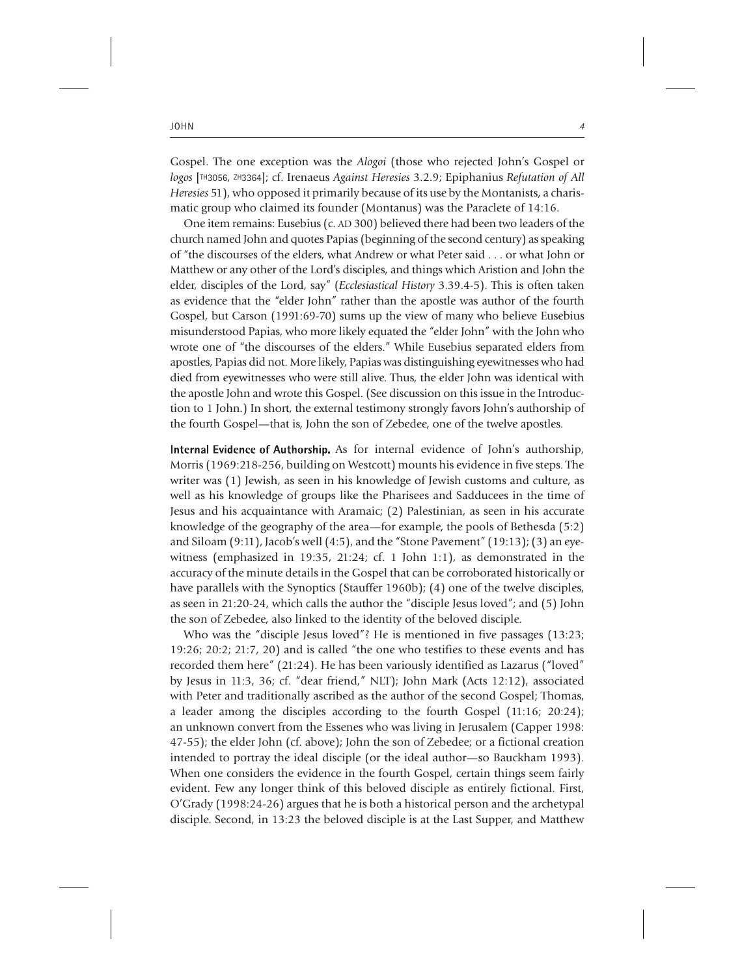Gospel. The one exception was the *Alogoi* (those who rejected John's Gospel or *logos* [TH3056, ZH3364]; cf. Irenaeus *Against Heresies* 3.2.9; Epiphanius *Refutation of All Heresies* 51), who opposed it primarily because of its use by the Montanists, a charismatic group who claimed its founder (Montanus) was the Paraclete of 14:16.

One item remains: Eusebius (c. AD 300) believed there had been two leaders of the church named John and quotes Papias (beginning of the second century) as speaking of "the discourses of the elders, what Andrew or what Peter said . . . or what John or Matthew or any other of the Lord's disciples, and things which Aristion and John the elder, disciples of the Lord, say" (*Ecclesiastical History* 3.39.4-5). This is often taken as evidence that the "elder John" rather than the apostle was author of the fourth Gospel, but Carson (1991:69-70) sums up the view of many who believe Eusebius misunderstood Papias, who more likely equated the "elder John" with the John who wrote one of "the discourses of the elders." While Eusebius separated elders from apostles, Papias did not. More likely, Papias was distinguishing eyewitnesses who had died from eyewitnesses who were still alive. Thus, the elder John was identical with the apostle John and wrote this Gospel. (See discussion on this issue in the Introduction to 1 John.) In short, the external testimony strongly favors John's authorship of the fourth Gospel—that is, John the son of Zebedee, one of the twelve apostles.

**Internal Evidence of Authorship.** As for internal evidence of John's authorship, Morris (1969:218-256, building on Westcott) mounts his evidence in five steps. The writer was (1) Jewish, as seen in his knowledge of Jewish customs and culture, as well as his knowledge of groups like the Pharisees and Sadducees in the time of Jesus and his acquaintance with Aramaic; (2) Palestinian, as seen in his accurate knowledge of the geography of the area—for example, the pools of Bethesda (5:2) and Siloam (9:11), Jacob's well (4:5), and the "Stone Pavement" (19:13); (3) an eyewitness (emphasized in 19:35, 21:24; cf. 1 John 1:1), as demonstrated in the accuracy of the minute details in the Gospel that can be corroborated historically or have parallels with the Synoptics (Stauffer 1960b); (4) one of the twelve disciples, as seen in 21:20-24, which calls the author the "disciple Jesus loved"; and (5) John the son of Zebedee, also linked to the identity of the beloved disciple.

Who was the "disciple Jesus loved"? He is mentioned in five passages (13:23; 19:26; 20:2; 21:7, 20) and is called "the one who testifies to these events and has recorded them here" (21:24). He has been variously identified as Lazarus ("loved" by Jesus in 11:3, 36; cf. "dear friend," NLT); John Mark (Acts 12:12), associated with Peter and traditionally ascribed as the author of the second Gospel; Thomas, a leader among the disciples according to the fourth Gospel (11:16; 20:24); an unknown convert from the Essenes who was living in Jerusalem (Capper 1998: 47-55); the elder John (cf. above); John the son of Zebedee; or a fictional creation intended to portray the ideal disciple (or the ideal author—so Bauckham 1993). When one considers the evidence in the fourth Gospel, certain things seem fairly evident. Few any longer think of this beloved disciple as entirely fictional. First, O'Grady (1998:24-26) argues that he is both a historical person and the archetypal disciple. Second, in 13:23 the beloved disciple is at the Last Supper, and Matthew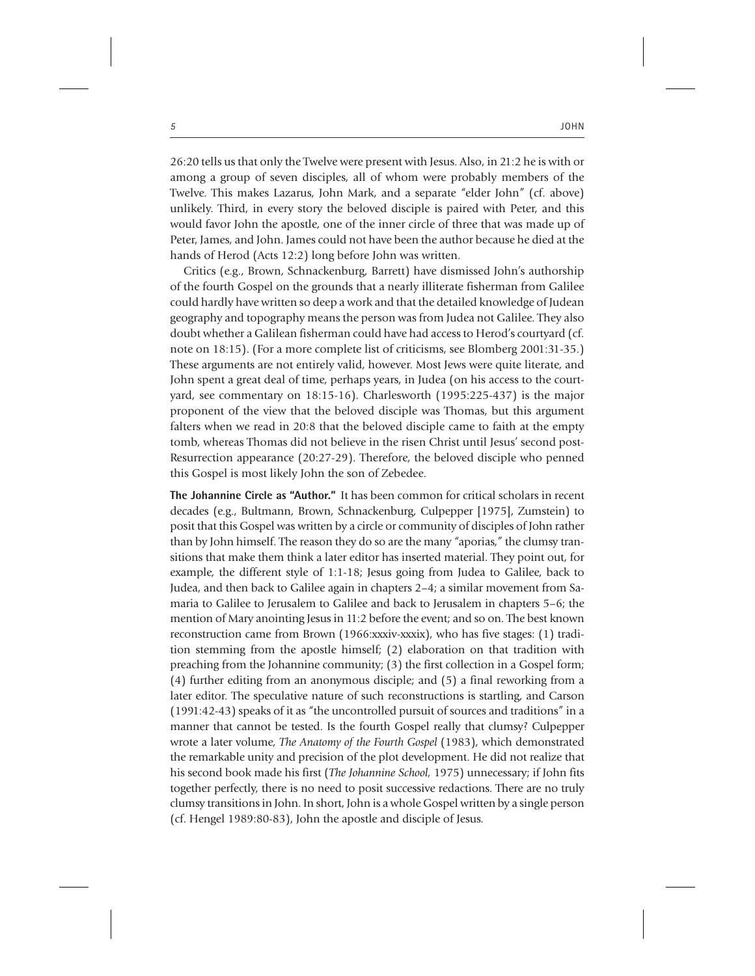26:20 tells us that only the Twelve were present with Jesus. Also, in 21:2 he is with or among a group of seven disciples, all of whom were probably members of the Twelve. This makes Lazarus, John Mark, and a separate "elder John" (cf. above) unlikely. Third, in every story the beloved disciple is paired with Peter, and this would favor John the apostle, one of the inner circle of three that was made up of Peter, James, and John. James could not have been the author because he died at the hands of Herod (Acts 12:2) long before John was written.

Critics (e.g., Brown, Schnackenburg, Barrett) have dismissed John's authorship of the fourth Gospel on the grounds that a nearly illiterate fisherman from Galilee could hardly have written so deep a work and that the detailed knowledge of Judean geography and topography means the person was from Judea not Galilee. They also doubt whether a Galilean fisherman could have had access to Herod's courtyard (cf. note on 18:15). (For a more complete list of criticisms, see Blomberg 2001:31-35.) These arguments are not entirely valid, however. Most Jews were quite literate, and John spent a great deal of time, perhaps years, in Judea (on his access to the courtyard, see commentary on 18:15-16). Charlesworth (1995:225-437) is the major proponent of the view that the beloved disciple was Thomas, but this argument falters when we read in 20:8 that the beloved disciple came to faith at the empty tomb, whereas Thomas did not believe in the risen Christ until Jesus' second post-Resurrection appearance (20:27-29). Therefore, the beloved disciple who penned this Gospel is most likely John the son of Zebedee.

**The Johannine Circle as "Author."** It has been common for critical scholars in recent decades (e.g., Bultmann, Brown, Schnackenburg, Culpepper [1975], Zumstein) to posit that this Gospel was written by a circle or community of disciples of John rather than by John himself. The reason they do so are the many "aporias," the clumsy transitions that make them think a later editor has inserted material. They point out, for example, the different style of 1:1-18; Jesus going from Judea to Galilee, back to Judea, and then back to Galilee again in chapters 2–4; a similar movement from Samaria to Galilee to Jerusalem to Galilee and back to Jerusalem in chapters 5–6; the mention of Mary anointing Jesus in 11:2 before the event; and so on. The best known reconstruction came from Brown (1966:xxxiv-xxxix), who has five stages: (1) tradition stemming from the apostle himself; (2) elaboration on that tradition with preaching from the Johannine community; (3) the first collection in a Gospel form; (4) further editing from an anonymous disciple; and (5) a final reworking from a later editor. The speculative nature of such reconstructions is startling, and Carson (1991:42-43) speaks of it as "the uncontrolled pursuit of sources and traditions" in a manner that cannot be tested. Is the fourth Gospel really that clumsy? Culpepper wrote a later volume, *The Anatomy of the Fourth Gospel* (1983), which demonstrated the remarkable unity and precision of the plot development. He did not realize that his second book made his first (*The Johannine School,* 1975) unnecessary; if John fits together perfectly, there is no need to posit successive redactions. There are no truly clumsy transitions in John. In short, John is a whole Gospel written by a single person (cf. Hengel 1989:80-83), John the apostle and disciple of Jesus.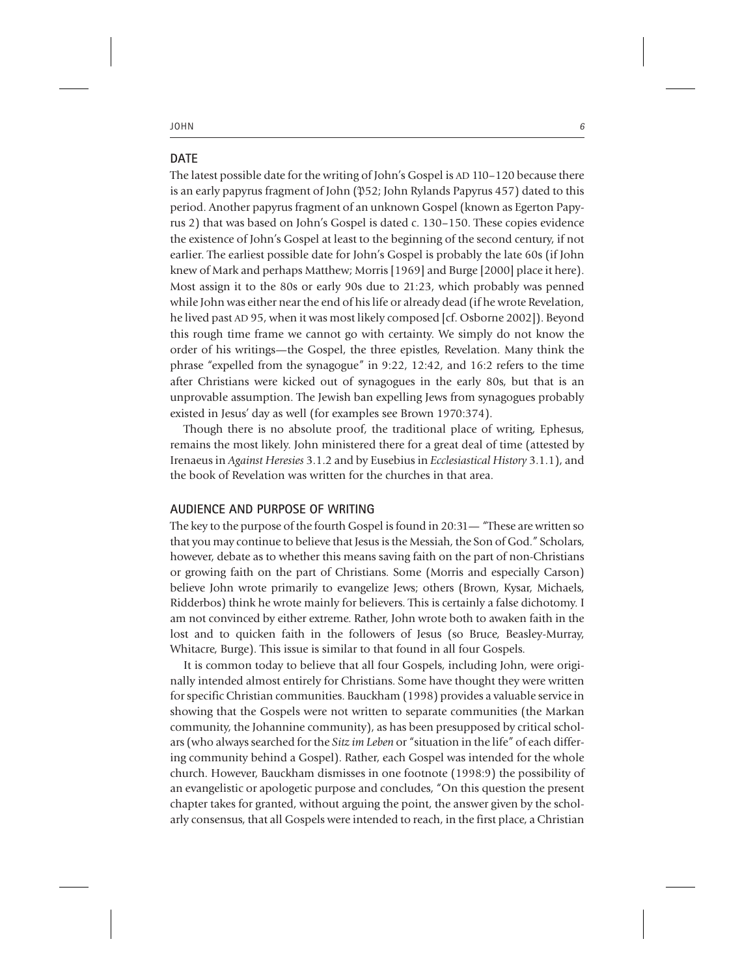# **DATE**

The latest possible date for the writing of John's Gospel is AD 110–120 because there is an early papyrus fragment of John  $(\n\gamma 52;$  John Rylands Papyrus 457) dated to this period. Another papyrus fragment of an unknown Gospel (known as Egerton Papyrus 2) that was based on John's Gospel is dated c. 130–150. These copies evidence the existence of John's Gospel at least to the beginning of the second century, if not earlier. The earliest possible date for John's Gospel is probably the late 60s (if John knew of Mark and perhaps Matthew; Morris [1969] and Burge [2000] place it here). Most assign it to the 80s or early 90s due to 21:23, which probably was penned while John was either near the end of his life or already dead (if he wrote Revelation, he lived past AD 95, when it was most likely composed [cf. Osborne 2002]). Beyond this rough time frame we cannot go with certainty. We simply do not know the order of his writings—the Gospel, the three epistles, Revelation. Many think the phrase "expelled from the synagogue" in 9:22, 12:42, and 16:2 refers to the time after Christians were kicked out of synagogues in the early 80s, but that is an unprovable assumption. The Jewish ban expelling Jews from synagogues probably existed in Jesus' day as well (for examples see Brown 1970:374).

Though there is no absolute proof, the traditional place of writing, Ephesus, remains the most likely. John ministered there for a great deal of time (attested by Irenaeus in *Against Heresies* 3.1.2 and by Eusebius in *Ecclesiastical History* 3.1.1), and the book of Revelation was written for the churches in that area.

### **AUDIENCE AND PURPOSE OF WRITING**

The key to the purpose of the fourth Gospel is found in 20:31— "These are written so that you may continue to believe that Jesus is the Messiah, the Son of God." Scholars, however, debate as to whether this means saving faith on the part of non-Christians or growing faith on the part of Christians. Some (Morris and especially Carson) believe John wrote primarily to evangelize Jews; others (Brown, Kysar, Michaels, Ridderbos) think he wrote mainly for believers. This is certainly a false dichotomy. I am not convinced by either extreme. Rather, John wrote both to awaken faith in the lost and to quicken faith in the followers of Jesus (so Bruce, Beasley-Murray, Whitacre, Burge). This issue is similar to that found in all four Gospels.

It is common today to believe that all four Gospels, including John, were originally intended almost entirely for Christians. Some have thought they were written for specific Christian communities. Bauckham (1998) provides a valuable service in showing that the Gospels were not written to separate communities (the Markan community, the Johannine community), as has been presupposed by critical scholars (who always searched for the *Sitz im Leben* or "situation in the life" of each differing community behind a Gospel). Rather, each Gospel was intended for the whole church. However, Bauckham dismisses in one footnote (1998:9) the possibility of an evangelistic or apologetic purpose and concludes, "On this question the present chapter takes for granted, without arguing the point, the answer given by the scholarly consensus, that all Gospels were intended to reach, in the first place, a Christian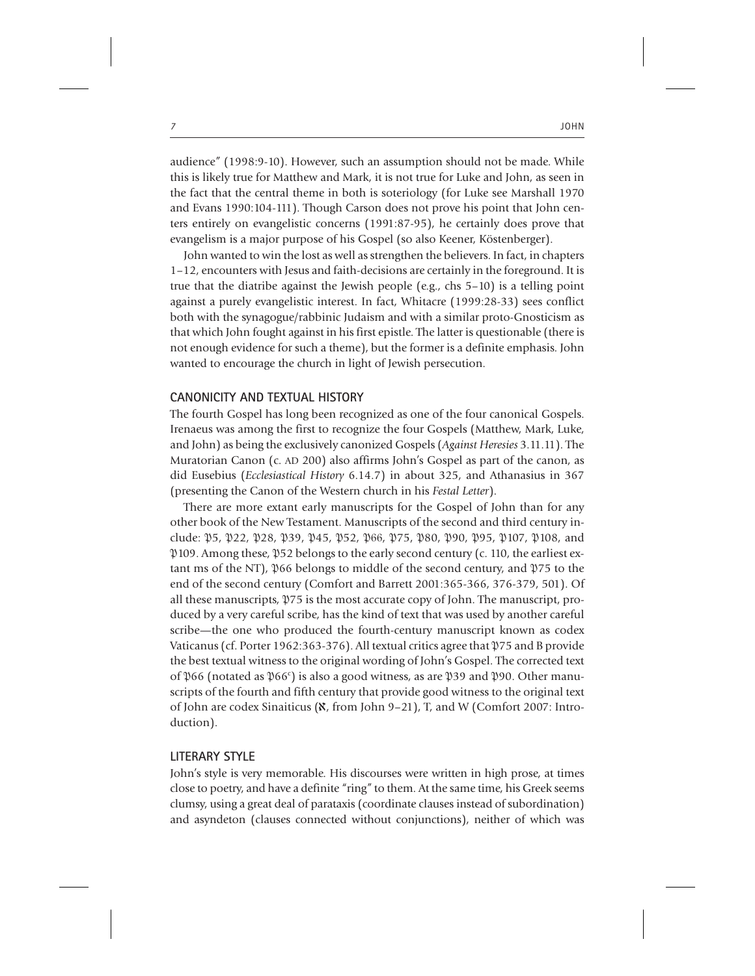audience" (1998:9-10). However, such an assumption should not be made. While this is likely true for Matthew and Mark, it is not true for Luke and John, as seen in the fact that the central theme in both is soteriology (for Luke see Marshall 1970 and Evans 1990:104-111). Though Carson does not prove his point that John centers entirely on evangelistic concerns (1991:87-95), he certainly does prove that evangelism is a major purpose of his Gospel (so also Keener, Köstenberger).

John wanted to win the lost as well as strengthen the believers. In fact, in chapters 1–12, encounters with Jesus and faith-decisions are certainly in the foreground. It is true that the diatribe against the Jewish people (e.g., chs 5–10) is a telling point against a purely evangelistic interest. In fact, Whitacre (1999:28-33) sees conflict both with the synagogue/rabbinic Judaism and with a similar proto-Gnosticism as that which John fought against in his first epistle. The latter is questionable (there is not enough evidence for such a theme), but the former is a definite emphasis. John wanted to encourage the church in light of Jewish persecution.

### **CANONICITY AND TEXTUAL HISTORY**

The fourth Gospel has long been recognized as one of the four canonical Gospels. Irenaeus was among the first to recognize the four Gospels (Matthew, Mark, Luke, and John) as being the exclusively canonized Gospels (*Against Heresies* 3.11.11). The Muratorian Canon (c. AD 200) also affirms John's Gospel as part of the canon, as did Eusebius (*Ecclesiastical History* 6.14.7) in about 325, and Athanasius in 367 (presenting the Canon of the Western church in his *Festal Letter*).

There are more extant early manuscripts for the Gospel of John than for any other book of the New Testament. Manuscripts of the second and third century include: P5, P22, P28, P39, P45, P52, P66, P75, P80, P90, P95, P107, P108, and  $\updownarrow$  109. Among these,  $\updownarrow$  52 belongs to the early second century (c. 110, the earliest extant ms of the NT),  $\mathfrak{P}66$  belongs to middle of the second century, and  $\mathfrak{P}75$  to the end of the second century (Comfort and Barrett 2001:365-366, 376-379, 501). Of all these manuscripts,  $\mathfrak{P}75$  is the most accurate copy of John. The manuscript, produced by a very careful scribe, has the kind of text that was used by another careful scribe—the one who produced the fourth-century manuscript known as codex Vaticanus (cf. Porter 1962:363-376). All textual critics agree that  $\gamma$ 75 and B provide the best textual witness to the original wording of John's Gospel. The corrected text of \$66 (notated as \$66°) is also a good witness, as are \$39 and \$90. Other manuscripts of the fourth and fifth century that provide good witness to the original text of John are codex Sinaiticus ( $\hat{\mathbf{X}}$ , from John 9–21), T, and W (Comfort 2007: Introduction).

### **LITERARY STYLE**

John's style is very memorable. His discourses were written in high prose, at times close to poetry, and have a definite "ring" to them. At the same time, his Greek seems clumsy, using a great deal of parataxis (coordinate clauses instead of subordination) and asyndeton (clauses connected without conjunctions), neither of which was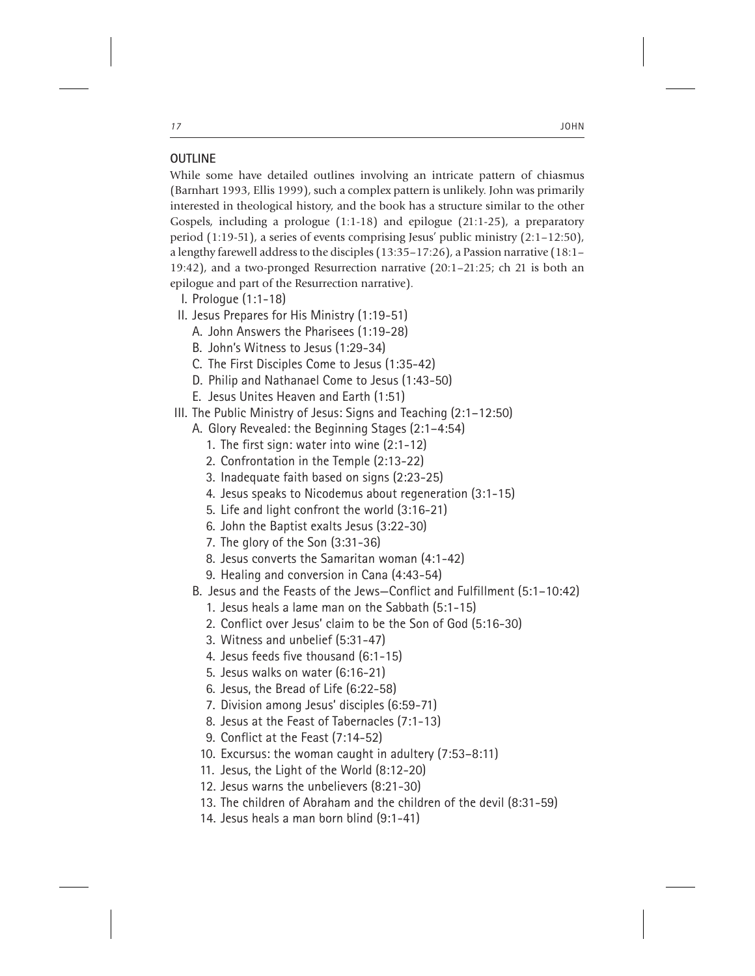# **OUTLINE**

While some have detailed outlines involving an intricate pattern of chiasmus (Barnhart 1993, Ellis 1999), such a complex pattern is unlikely. John was primarily interested in theological history, and the book has a structure similar to the other Gospels, including a prologue (1:1-18) and epilogue (21:1-25), a preparatory period (1:19-51), a series of events comprising Jesus' public ministry (2:1–12:50), a lengthy farewell address to the disciples (13:35–17:26), a Passion narrative (18:1– 19:42), and a two-pronged Resurrection narrative (20:1–21:25; ch 21 is both an epilogue and part of the Resurrection narrative).

- I. Prologue (1:1-18)
- II. Jesus Prepares for His Ministry (1:19-51)
	- A. John Answers the Pharisees (1:19-28)
	- B. John's Witness to Jesus (1:29-34)
	- C. The First Disciples Come to Jesus (1:35-42)
	- D. Philip and Nathanael Come to Jesus (1:43-50)
	- E. Jesus Unites Heaven and Earth (1:51)
- III. The Public Ministry of Jesus: Signs and Teaching (2:1–12:50)
	- A. Glory Revealed: the Beginning Stages (2:1–4:54)
		- 1. The first sign: water into wine (2:1-12)
		- 2. Confrontation in the Temple (2:13-22)
		- 3. Inadequate faith based on signs (2:23-25)
		- 4. Jesus speaks to Nicodemus about regeneration (3:1-15)
		- 5. Life and light confront the world (3:16-21)
		- 6. John the Baptist exalts Jesus (3:22-30)
		- 7. The glory of the Son (3:31-36)
		- 8. Jesus converts the Samaritan woman (4:1-42)
		- 9. Healing and conversion in Cana (4:43-54)
	- B. Jesus and the Feasts of the Jews—Conflict and Fulfillment (5:1–10:42)
		- 1. Jesus heals a lame man on the Sabbath (5:1-15)
		- 2. Conflict over Jesus' claim to be the Son of God (5:16-30)
		- 3. Witness and unbelief (5:31-47)
		- 4. Jesus feeds five thousand (6:1-15)
		- 5. Jesus walks on water (6:16-21)
		- 6. Jesus, the Bread of Life (6:22-58)
		- 7. Division among Jesus' disciples (6:59-71)
		- 8. Jesus at the Feast of Tabernacles (7:1-13)
		- 9. Conflict at the Feast (7:14-52)
		- 10. Excursus: the woman caught in adultery (7:53–8:11)
		- 11. Jesus, the Light of the World (8:12-20)
		- 12. Jesus warns the unbelievers (8:21-30)
		- 13. The children of Abraham and the children of the devil (8:31-59)
		- 14. Jesus heals a man born blind (9:1-41)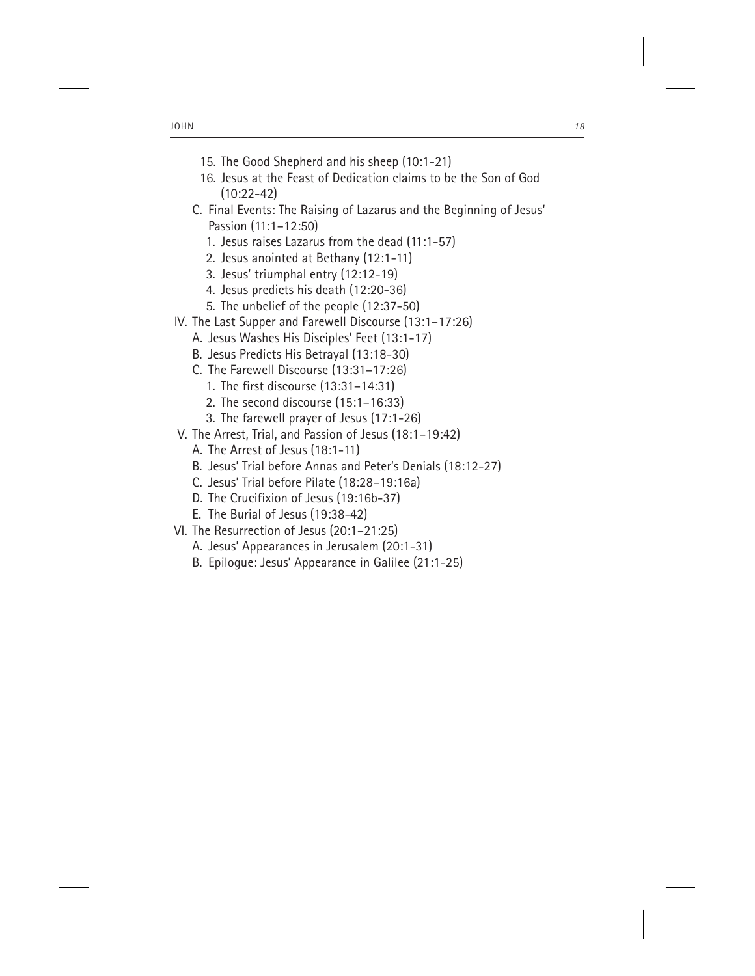- 15. The Good Shepherd and his sheep (10:1-21)
- 16. Jesus at the Feast of Dedication claims to be the Son of God (10:22-42)
- C. Final Events: The Raising of Lazarus and the Beginning of Jesus' Passion (11:1–12:50)
	- 1. Jesus raises Lazarus from the dead (11:1-57)
	- 2. Jesus anointed at Bethany (12:1-11)
	- 3. Jesus' triumphal entry (12:12-19)
	- 4. Jesus predicts his death (12:20-36)
	- 5. The unbelief of the people (12:37-50)
- IV. The Last Supper and Farewell Discourse (13:1–17:26)
	- A. Jesus Washes His Disciples' Feet (13:1-17)
	- B. Jesus Predicts His Betrayal (13:18-30)
	- C. The Farewell Discourse (13:31–17:26)
		- 1. The first discourse (13:31–14:31)
		- 2. The second discourse (15:1–16:33)
		- 3. The farewell prayer of Jesus (17:1-26)
- V. The Arrest, Trial, and Passion of Jesus (18:1–19:42)
	- A. The Arrest of Jesus (18:1-11)
	- B. Jesus' Trial before Annas and Peter's Denials (18:12-27)
	- C. Jesus' Trial before Pilate (18:28–19:16a)
	- D. The Crucifixion of Jesus (19:16b-37)
	- E. The Burial of Jesus (19:38-42)
- VI. The Resurrection of Jesus (20:1–21:25)
	- A. Jesus' Appearances in Jerusalem (20:1-31)
	- B. Epilogue: Jesus' Appearance in Galilee (21:1-25)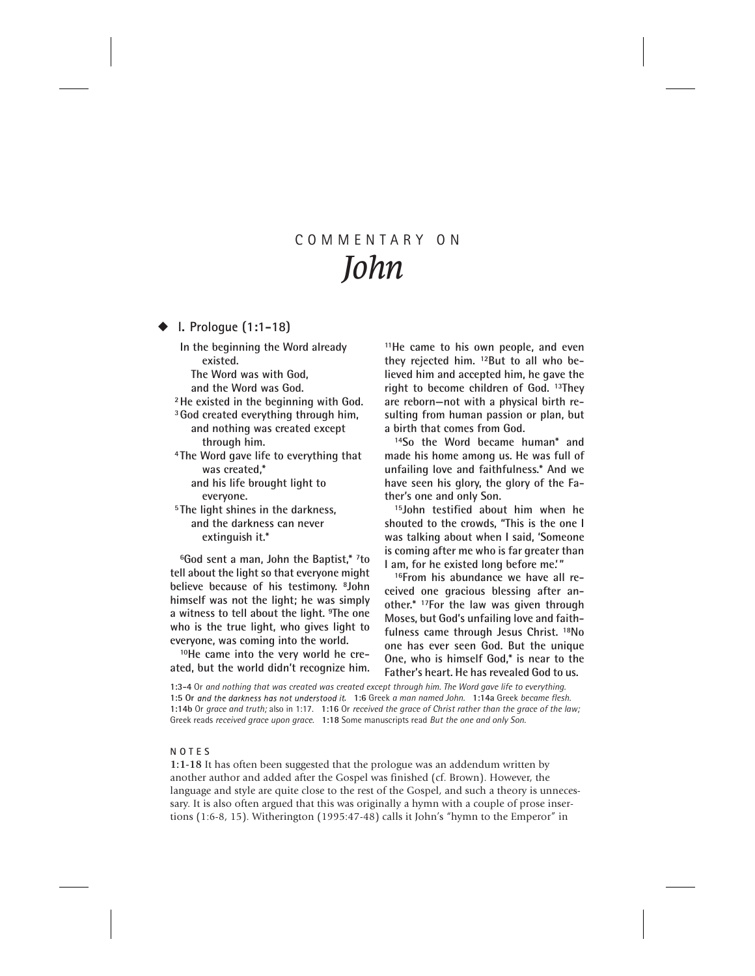# COMMENTARY ON *John*

◆ **I. Prologue (1:1-18)**

**In the beginning the Word already existed. The Word was with God, and the Word was God. 2He existed in the beginning with God. 3God created everything through him, and nothing was created except through him. <sup>4</sup> The Word gave life to everything that was created,\* and his life brought light to everyone. <sup>5</sup> The light shines in the darkness, and the darkness can never**

**extinguish it.\***

**6God sent a man, John the Baptist,\* 7to tell about the light so that everyone might believe because of his testimony. 8John himself was not the light; he was simply a witness to tell about the light. 9The one who is the true light, who gives light to everyone, was coming into the world.**

**10He came into the very world he created, but the world didn't recognize him.** **11He came to his own people, and even they rejected him. 12But to all who believed him and accepted him, he gave the right to become children of God. 13They are reborn—not with a physical birth resulting from human passion or plan, but a birth that comes from God.**

**14So the Word became human\* and made his home among us. He was full of unfailing love and faithfulness.\* And we have seen his glory, the glory of the Father's one and only Son.**

**15John testified about him when he shouted to the crowds, "This is the one I was talking about when I said, 'Someone is coming after me who is far greater than I am, for he existed long before me.'"**

**16From his abundance we have all received one gracious blessing after another.\* 17For the law was given through Moses, but God's unfailing love and faithfulness came through Jesus Christ. 18No one has ever seen God. But the unique One, who is himself God,\* is near to the Father's heart. He has revealed God to us.**

**1:3-4** Or *and nothing that was created was created except through him. The Word gave life to everything.* **1:5 Or . 1:6** Greek *a man named John.* **1:14a** Greek *became flesh.* **1:14b** Or *grace and truth;* also in 1:17. **1:16** Or *received the grace of Christ rather than the grace of the law;* Greek reads *received grace upon grace.* **1:18** Some manuscripts read *But the one and only Son.*

### **NOTES**

**1:1-18** It has often been suggested that the prologue was an addendum written by another author and added after the Gospel was finished (cf. Brown). However, the language and style are quite close to the rest of the Gospel, and such a theory is unnecessary. It is also often argued that this was originally a hymn with a couple of prose insertions (1:6-8, 15). Witherington (1995:47-48) calls it John's "hymn to the Emperor" in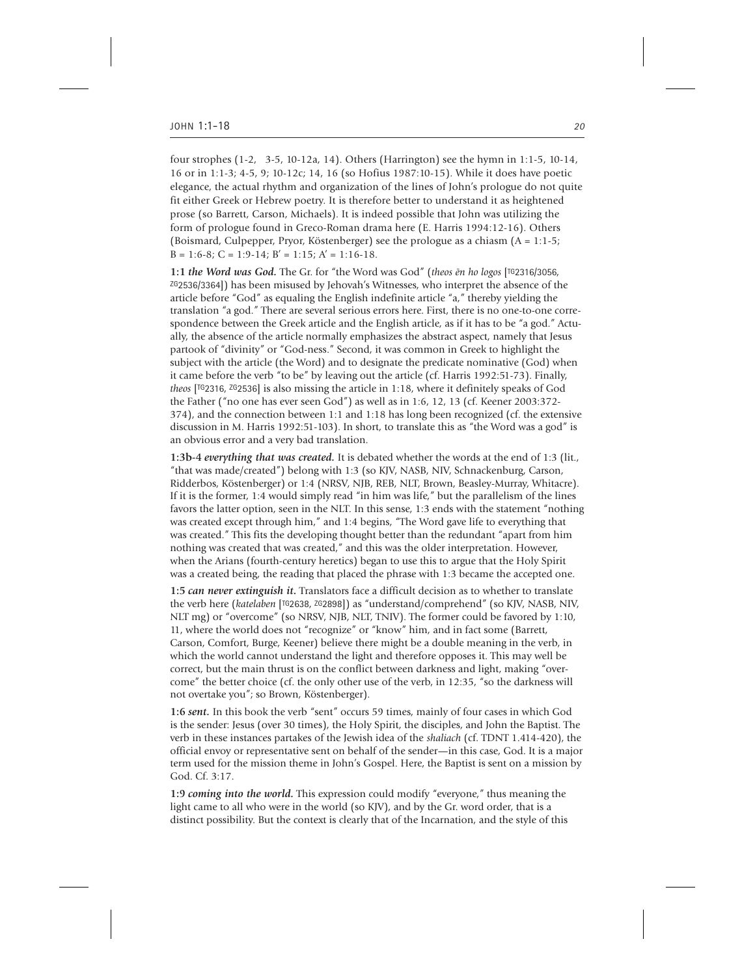four strophes (1-2, 3-5, 10-12a, 14). Others (Harrington) see the hymn in 1:1-5, 10-14, 16 or in 1:1-3; 4-5, 9; 10-12c; 14, 16 (so Hofius 1987:10-15). While it does have poetic elegance, the actual rhythm and organization of the lines of John's prologue do not quite fit either Greek or Hebrew poetry. It is therefore better to understand it as heightened prose (so Barrett, Carson, Michaels). It is indeed possible that John was utilizing the form of prologue found in Greco-Roman drama here (E. Harris 1994:12-16). Others (Boismard, Culpepper, Pryor, Köstenberger) see the prologue as a chiasm (A = 1:1-5;  $B = 1:6-8$ ;  $C = 1:9-14$ ;  $B' = 1:15$ ;  $A' = 1:16-18$ .

**1:1** *the Word was God.* The Gr. for "the Word was God" (*theos en ho logos* [<sup>162316</sup>/3056, ZG2536/3364]) has been misused by Jehovah's Witnesses, who interpret the absence of the article before "God" as equaling the English indefinite article "a," thereby yielding the translation "a god." There are several serious errors here. First, there is no one-to-one correspondence between the Greek article and the English article, as if it has to be "a god." Actually, the absence of the article normally emphasizes the abstract aspect, namely that Jesus partook of "divinity" or "God-ness." Second, it was common in Greek to highlight the subject with the article (the Word) and to designate the predicate nominative (God) when it came before the verb "to be" by leaving out the article (cf. Harris 1992:51-73). Finally, *theos* [TG2316, ZG2536] is also missing the article in 1:18, where it definitely speaks of God the Father ("no one has ever seen God") as well as in 1:6, 12, 13 (cf. Keener 2003:372- 374), and the connection between 1:1 and 1:18 has long been recognized (cf. the extensive discussion in M. Harris 1992:51-103). In short, to translate this as "the Word was a god" is an obvious error and a very bad translation.

**1:3b-4** *everything that was created.* It is debated whether the words at the end of 1:3 (lit., "that was made/created") belong with 1:3 (so KJV, NASB, NIV, Schnackenburg, Carson, Ridderbos, Köstenberger) or 1:4 (NRSV, NJB, REB, NLT, Brown, Beasley-Murray, Whitacre). If it is the former, 1:4 would simply read "in him was life," but the parallelism of the lines favors the latter option, seen in the NLT. In this sense, 1:3 ends with the statement "nothing was created except through him," and 1:4 begins, "The Word gave life to everything that was created." This fits the developing thought better than the redundant "apart from him nothing was created that was created," and this was the older interpretation. However, when the Arians (fourth-century heretics) began to use this to argue that the Holy Spirit was a created being, the reading that placed the phrase with 1:3 became the accepted one.

**1:5** *can never extinguish it.* Translators face a difficult decision as to whether to translate the verb here (*katelaben* [<sup>TG</sup>2638, <sup>ZG</sup>2898]) as "understand/comprehend" (so KJV, NASB, NIV, NLT mg) or "overcome" (so NRSV, NJB, NLT, TNIV). The former could be favored by 1:10, 11, where the world does not "recognize" or "know" him, and in fact some (Barrett, Carson, Comfort, Burge, Keener) believe there might be a double meaning in the verb, in which the world cannot understand the light and therefore opposes it. This may well be correct, but the main thrust is on the conflict between darkness and light, making "overcome" the better choice (cf. the only other use of the verb, in 12:35, "so the darkness will not overtake you"; so Brown, Köstenberger).

**1:6** *sent.* In this book the verb "sent" occurs 59 times, mainly of four cases in which God is the sender: Jesus (over 30 times), the Holy Spirit, the disciples, and John the Baptist. The verb in these instances partakes of the Jewish idea of the *shaliach* (cf. TDNT 1.414-420), the official envoy or representative sent on behalf of the sender—in this case, God. It is a major term used for the mission theme in John's Gospel. Here, the Baptist is sent on a mission by God. Cf. 3:17.

**1:9** *coming into the world.* This expression could modify "everyone," thus meaning the light came to all who were in the world (so KJV), and by the Gr. word order, that is a distinct possibility. But the context is clearly that of the Incarnation, and the style of this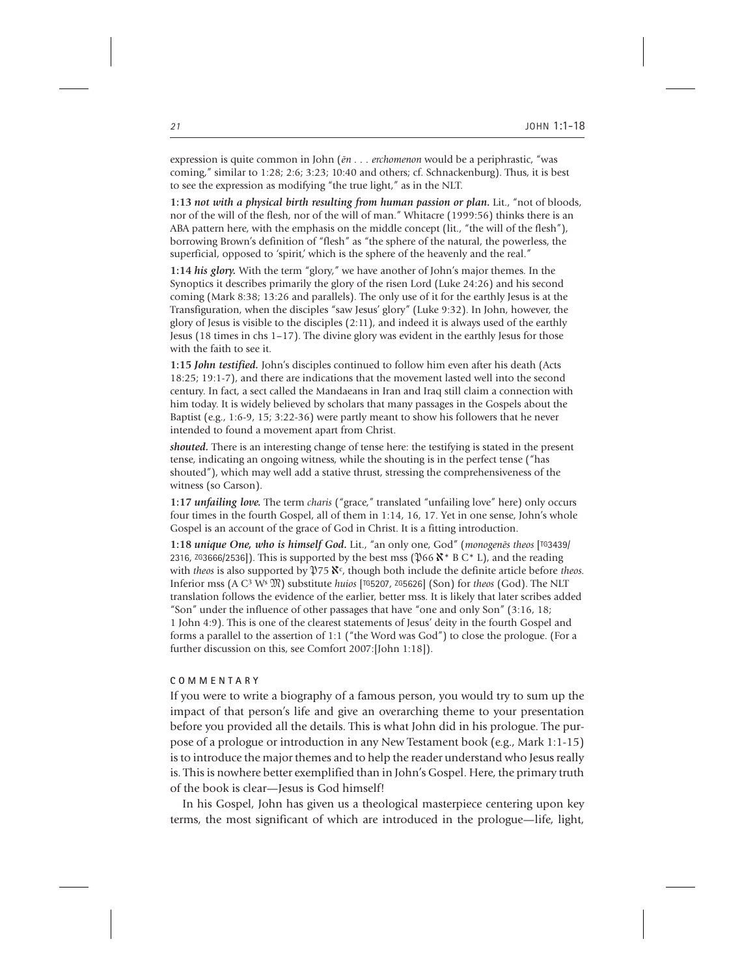expression is quite common in John (*en . . . erchomenon* would be a periphrastic, "was coming," similar to 1:28; 2:6; 3:23; 10:40 and others; cf. Schnackenburg). Thus, it is best to see the expression as modifying "the true light," as in the NLT.

**1:13** *not with a physical birth resulting from human passion or plan.* Lit., "not of bloods, nor of the will of the flesh, nor of the will of man." Whitacre (1999:56) thinks there is an ABA pattern here, with the emphasis on the middle concept (lit., "the will of the flesh"), borrowing Brown's definition of "flesh" as "the sphere of the natural, the powerless, the superficial, opposed to 'spirit,' which is the sphere of the heavenly and the real."

**1:14** *his glory.* With the term "glory," we have another of John's major themes. In the Synoptics it describes primarily the glory of the risen Lord (Luke 24:26) and his second coming (Mark 8:38; 13:26 and parallels). The only use of it for the earthly Jesus is at the Transfiguration, when the disciples "saw Jesus' glory" (Luke 9:32). In John, however, the glory of Jesus is visible to the disciples (2:11), and indeed it is always used of the earthly Jesus (18 times in chs 1–17). The divine glory was evident in the earthly Jesus for those with the faith to see it.

**1:15** *John testified.* John's disciples continued to follow him even after his death (Acts 18:25; 19:1-7), and there are indications that the movement lasted well into the second century. In fact, a sect called the Mandaeans in Iran and Iraq still claim a connection with him today. It is widely believed by scholars that many passages in the Gospels about the Baptist (e.g., 1:6-9, 15; 3:22-36) were partly meant to show his followers that he never intended to found a movement apart from Christ.

*shouted.* There is an interesting change of tense here: the testifying is stated in the present tense, indicating an ongoing witness, while the shouting is in the perfect tense ("has shouted"), which may well add a stative thrust, stressing the comprehensiveness of the witness (so Carson).

**1:17** *unfailing love.* The term *charis* ("grace," translated "unfailing love" here) only occurs four times in the fourth Gospel, all of them in 1:14, 16, 17. Yet in one sense, John's whole Gospel is an account of the grace of God in Christ. It is a fitting introduction.

**1:18** *unique One, who is himself God.* Lit., "an only one, God" (*monogen*e*s theos* [TG3439/ 2316,  $26366/2536$ ]). This is supported by the best mss ( $\mathfrak{P}66 \times^* B C^* L$ ), and the reading with *theos* is also supported by  $\mathfrak{P}75 \times c$ , though both include the definite article before *theos*. Inferior mss (A C3 Ws M) substitute *huios* [TG5207, ZG5626] (Son) for *theos* (God). The NLT translation follows the evidence of the earlier, better mss. It is likely that later scribes added "Son" under the influence of other passages that have "one and only Son" (3:16, 18; 1 John 4:9). This is one of the clearest statements of Jesus' deity in the fourth Gospel and forms a parallel to the assertion of 1:1 ("the Word was God") to close the prologue. (For a further discussion on this, see Comfort 2007:[John 1:18]).

### **COMMENTARY**

If you were to write a biography of a famous person, you would try to sum up the impact of that person's life and give an overarching theme to your presentation before you provided all the details. This is what John did in his prologue. The purpose of a prologue or introduction in any New Testament book (e.g., Mark 1:1-15) is to introduce the major themes and to help the reader understand who Jesus really is. This is nowhere better exemplified than in John's Gospel. Here, the primary truth of the book is clear—Jesus is God himself!

In his Gospel, John has given us a theological masterpiece centering upon key terms, the most significant of which are introduced in the prologue—life, light,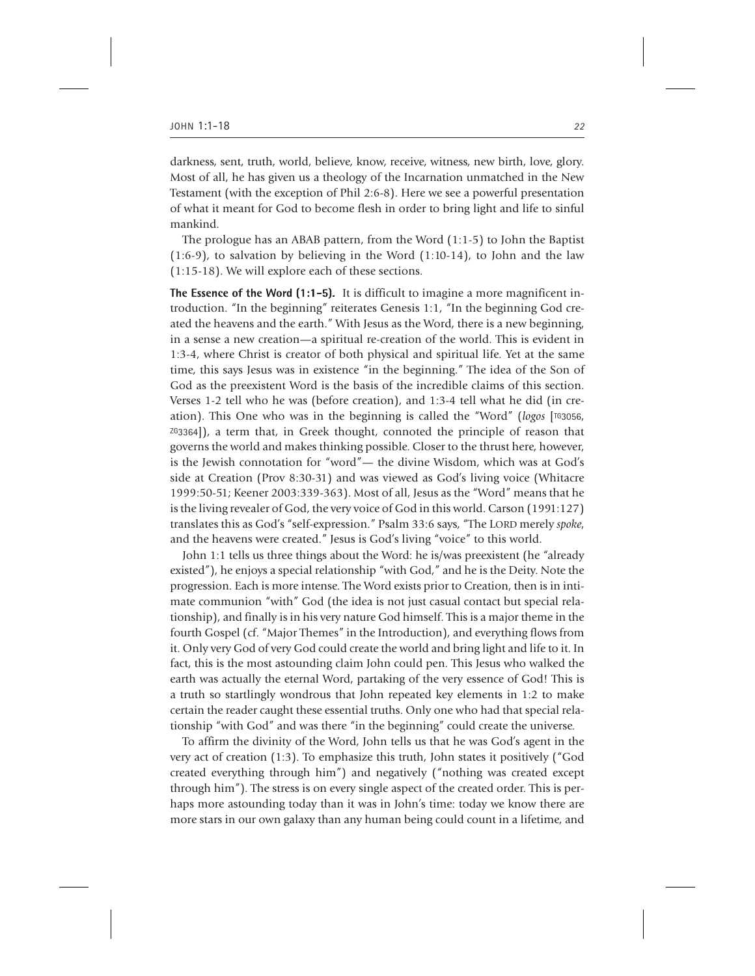darkness, sent, truth, world, believe, know, receive, witness, new birth, love, glory. Most of all, he has given us a theology of the Incarnation unmatched in the New Testament (with the exception of Phil 2:6-8). Here we see a powerful presentation of what it meant for God to become flesh in order to bring light and life to sinful mankind.

The prologue has an ABAB pattern, from the Word (1:1-5) to John the Baptist  $(1:6-9)$ , to salvation by believing in the Word  $(1:10-14)$ , to John and the law (1:15-18). We will explore each of these sections.

The Essence of the Word  $(1:1-5)$ . It is difficult to imagine a more magnificent introduction. "In the beginning" reiterates Genesis 1:1, "In the beginning God created the heavens and the earth." With Jesus as the Word, there is a new beginning, in a sense a new creation—a spiritual re-creation of the world. This is evident in 1:3-4, where Christ is creator of both physical and spiritual life. Yet at the same time, this says Jesus was in existence "in the beginning." The idea of the Son of God as the preexistent Word is the basis of the incredible claims of this section. Verses 1-2 tell who he was (before creation), and 1:3-4 tell what he did (in creation). This One who was in the beginning is called the "Word" (*logos* [TG3056, ZG3364]), a term that, in Greek thought, connoted the principle of reason that governs the world and makes thinking possible. Closer to the thrust here, however, is the Jewish connotation for "word"— the divine Wisdom, which was at God's side at Creation (Prov 8:30-31) and was viewed as God's living voice (Whitacre 1999:50-51; Keener 2003:339-363). Most of all, Jesus as the "Word" means that he is the living revealer of God, the very voice of God in this world. Carson (1991:127) translates this as God's "self-expression." Psalm 33:6 says, "The LORD merely *spoke*, and the heavens were created." Jesus is God's living "voice" to this world.

John 1:1 tells us three things about the Word: he is/was preexistent (he "already existed"), he enjoys a special relationship "with God," and he is the Deity. Note the progression. Each is more intense. The Word exists prior to Creation, then is in intimate communion "with" God (the idea is not just casual contact but special relationship), and finally is in his very nature God himself. This is a major theme in the fourth Gospel (cf. "Major Themes" in the Introduction), and everything flows from it. Only very God of very God could create the world and bring light and life to it. In fact, this is the most astounding claim John could pen. This Jesus who walked the earth was actually the eternal Word, partaking of the very essence of God! This is a truth so startlingly wondrous that John repeated key elements in 1:2 to make certain the reader caught these essential truths. Only one who had that special relationship "with God" and was there "in the beginning" could create the universe.

To affirm the divinity of the Word, John tells us that he was God's agent in the very act of creation (1:3). To emphasize this truth, John states it positively ("God created everything through him") and negatively ("nothing was created except through him"). The stress is on every single aspect of the created order. This is perhaps more astounding today than it was in John's time: today we know there are more stars in our own galaxy than any human being could count in a lifetime, and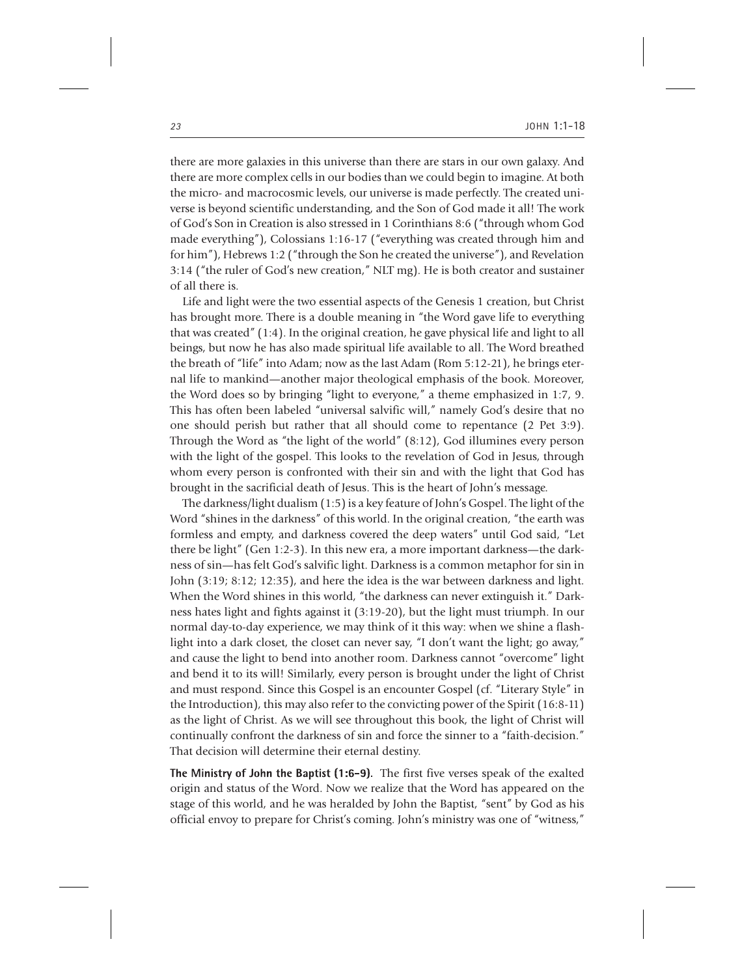there are more galaxies in this universe than there are stars in our own galaxy. And there are more complex cells in our bodies than we could begin to imagine. At both the micro- and macrocosmic levels, our universe is made perfectly. The created universe is beyond scientific understanding, and the Son of God made it all! The work of God's Son in Creation is also stressed in 1 Corinthians 8:6 ("through whom God made everything"), Colossians 1:16-17 ("everything was created through him and for him"), Hebrews 1:2 ("through the Son he created the universe"), and Revelation 3:14 ("the ruler of God's new creation," NLT mg). He is both creator and sustainer of all there is.

Life and light were the two essential aspects of the Genesis 1 creation, but Christ has brought more. There is a double meaning in "the Word gave life to everything that was created" (1:4). In the original creation, he gave physical life and light to all beings, but now he has also made spiritual life available to all. The Word breathed the breath of "life" into Adam; now as the last Adam (Rom 5:12-21), he brings eternal life to mankind—another major theological emphasis of the book. Moreover, the Word does so by bringing "light to everyone," a theme emphasized in 1:7, 9. This has often been labeled "universal salvific will," namely God's desire that no one should perish but rather that all should come to repentance (2 Pet 3:9). Through the Word as "the light of the world" (8:12), God illumines every person with the light of the gospel. This looks to the revelation of God in Jesus, through whom every person is confronted with their sin and with the light that God has brought in the sacrificial death of Jesus. This is the heart of John's message.

The darkness/light dualism (1:5) is a key feature of John's Gospel. The light of the Word "shines in the darkness" of this world. In the original creation, "the earth was formless and empty, and darkness covered the deep waters" until God said, "Let there be light" (Gen 1:2-3). In this new era, a more important darkness—the darkness of sin—has felt God's salvific light. Darkness is a common metaphor for sin in John (3:19; 8:12; 12:35), and here the idea is the war between darkness and light. When the Word shines in this world, "the darkness can never extinguish it." Darkness hates light and fights against it (3:19-20), but the light must triumph. In our normal day-to-day experience, we may think of it this way: when we shine a flashlight into a dark closet, the closet can never say, "I don't want the light; go away," and cause the light to bend into another room. Darkness cannot "overcome" light and bend it to its will! Similarly, every person is brought under the light of Christ and must respond. Since this Gospel is an encounter Gospel (cf. "Literary Style" in the Introduction), this may also refer to the convicting power of the Spirit (16:8-11) as the light of Christ. As we will see throughout this book, the light of Christ will continually confront the darkness of sin and force the sinner to a "faith-decision." That decision will determine their eternal destiny.

The Ministry of John the Baptist (1:6-9). The first five verses speak of the exalted origin and status of the Word. Now we realize that the Word has appeared on the stage of this world, and he was heralded by John the Baptist, "sent" by God as his official envoy to prepare for Christ's coming. John's ministry was one of "witness,"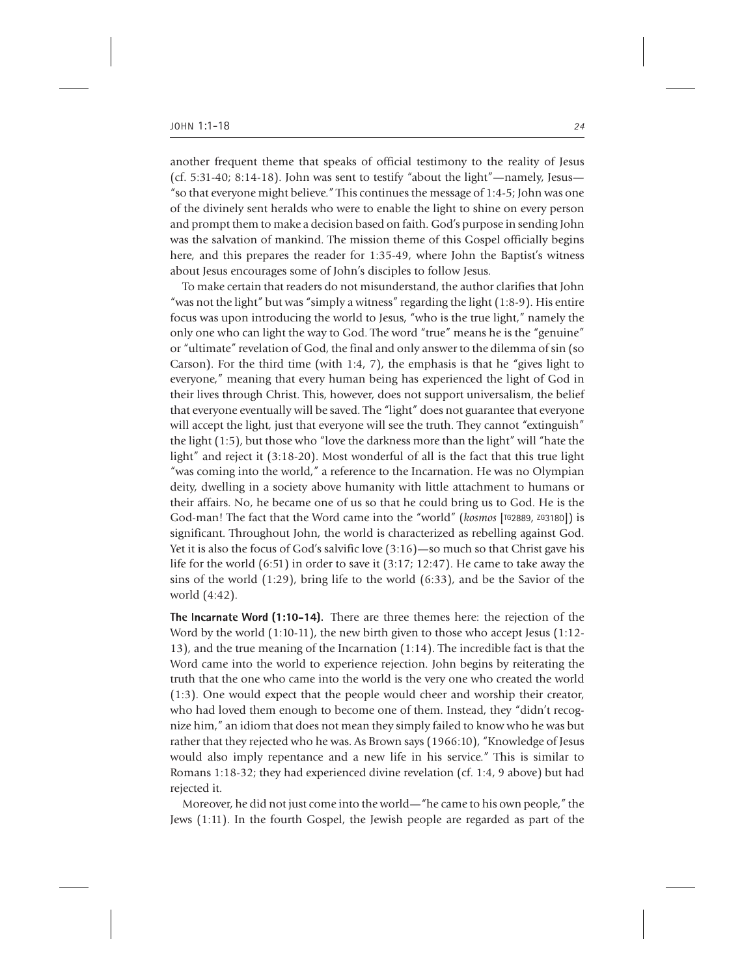another frequent theme that speaks of official testimony to the reality of Jesus (cf. 5:31-40; 8:14-18). John was sent to testify "about the light"—namely, Jesus— "so that everyone might believe." This continues the message of 1:4-5; John was one of the divinely sent heralds who were to enable the light to shine on every person and prompt them to make a decision based on faith. God's purpose in sending John was the salvation of mankind. The mission theme of this Gospel officially begins here, and this prepares the reader for 1:35-49, where John the Baptist's witness about Jesus encourages some of John's disciples to follow Jesus.

To make certain that readers do not misunderstand, the author clarifies that John "was not the light" but was "simply a witness" regarding the light (1:8-9). His entire focus was upon introducing the world to Jesus, "who is the true light," namely the only one who can light the way to God. The word "true" means he is the "genuine" or "ultimate" revelation of God, the final and only answer to the dilemma of sin (so Carson). For the third time (with 1:4, 7), the emphasis is that he "gives light to everyone," meaning that every human being has experienced the light of God in their lives through Christ. This, however, does not support universalism, the belief that everyone eventually will be saved. The "light" does not guarantee that everyone will accept the light, just that everyone will see the truth. They cannot "extinguish" the light (1:5), but those who "love the darkness more than the light" will "hate the light" and reject it (3:18-20). Most wonderful of all is the fact that this true light "was coming into the world," a reference to the Incarnation. He was no Olympian deity, dwelling in a society above humanity with little attachment to humans or their affairs. No, he became one of us so that he could bring us to God. He is the God-man! The fact that the Word came into the "world" (*kosmos* [<sup>162889</sup>, <sup>263180</sup>]) is significant. Throughout John, the world is characterized as rebelling against God. Yet it is also the focus of God's salvific love (3:16)—so much so that Christ gave his life for the world (6:51) in order to save it (3:17; 12:47). He came to take away the sins of the world (1:29), bring life to the world (6:33), and be the Savior of the world (4:42).

The Incarnate Word  $(1:10-14)$ . There are three themes here: the rejection of the Word by the world (1:10-11), the new birth given to those who accept Jesus (1:12- 13), and the true meaning of the Incarnation (1:14). The incredible fact is that the Word came into the world to experience rejection. John begins by reiterating the truth that the one who came into the world is the very one who created the world (1:3). One would expect that the people would cheer and worship their creator, who had loved them enough to become one of them. Instead, they "didn't recognize him," an idiom that does not mean they simply failed to know who he was but rather that they rejected who he was. As Brown says (1966:10), "Knowledge of Jesus would also imply repentance and a new life in his service." This is similar to Romans 1:18-32; they had experienced divine revelation (cf. 1:4, 9 above) but had rejected it.

Moreover, he did not just come into the world—"he came to his own people," the Jews (1:11). In the fourth Gospel, the Jewish people are regarded as part of the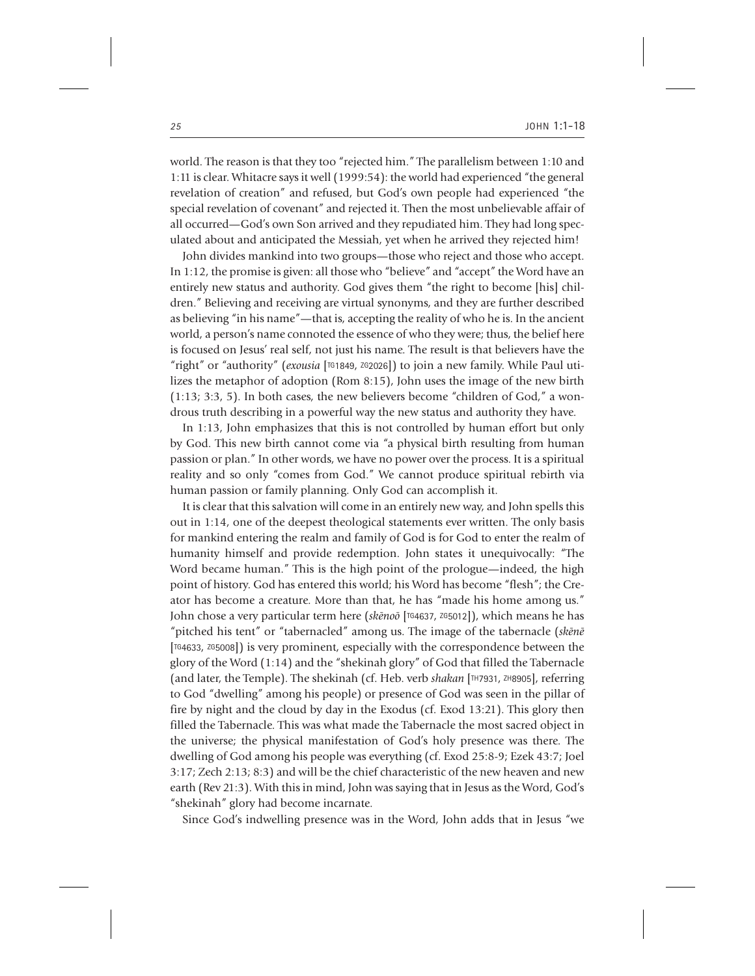world. The reason is that they too "rejected him." The parallelism between 1:10 and 1:11 is clear. Whitacre says it well (1999:54): the world had experienced "the general revelation of creation" and refused, but God's own people had experienced "the special revelation of covenant" and rejected it. Then the most unbelievable affair of all occurred—God's own Son arrived and they repudiated him. They had long speculated about and anticipated the Messiah, yet when he arrived they rejected him!

John divides mankind into two groups—those who reject and those who accept. In 1:12, the promise is given: all those who "believe" and "accept" the Word have an entirely new status and authority. God gives them "the right to become [his] children." Believing and receiving are virtual synonyms, and they are further described as believing "in his name"—that is, accepting the reality of who he is. In the ancient world, a person's name connoted the essence of who they were; thus, the belief here is focused on Jesus' real self, not just his name. The result is that believers have the "right" or "authority" (*exousia* [TG1849, ZG2026]) to join a new family. While Paul utilizes the metaphor of adoption (Rom 8:15), John uses the image of the new birth (1:13; 3:3, 5). In both cases, the new believers become "children of God," a wondrous truth describing in a powerful way the new status and authority they have.

In 1:13, John emphasizes that this is not controlled by human effort but only by God. This new birth cannot come via "a physical birth resulting from human passion or plan." In other words, we have no power over the process. It is a spiritual reality and so only "comes from God." We cannot produce spiritual rebirth via human passion or family planning. Only God can accomplish it.

It is clear that this salvation will come in an entirely new way, and John spells this out in 1:14, one of the deepest theological statements ever written. The only basis for mankind entering the realm and family of God is for God to enter the realm of humanity himself and provide redemption. John states it unequivocally: "The Word became human." This is the high point of the prologue—indeed, the high point of history. God has entered this world; his Word has become "flesh"; the Creator has become a creature. More than that, he has "made his home among us." John chose a very particular term here (skēnoō [<sup>TG4637, ZG5012]), which means he has</sup> "pitched his tent" or "tabernacled" among us. The image of the tabernacle (*sk*e*n*e [TG4633, ZG5008]) is very prominent, especially with the correspondence between the glory of the Word (1:14) and the "shekinah glory" of God that filled the Tabernacle (and later, the Temple). The shekinah (cf. Heb. verb shakan [TH7931, ZH8905], referring to God "dwelling" among his people) or presence of God was seen in the pillar of fire by night and the cloud by day in the Exodus (cf. Exod 13:21). This glory then filled the Tabernacle. This was what made the Tabernacle the most sacred object in the universe; the physical manifestation of God's holy presence was there. The dwelling of God among his people was everything (cf. Exod 25:8-9; Ezek 43:7; Joel 3:17; Zech 2:13; 8:3) and will be the chief characteristic of the new heaven and new earth (Rev 21:3). With this in mind, John was saying that in Jesus as the Word, God's "shekinah" glory had become incarnate.

Since God's indwelling presence was in the Word, John adds that in Jesus "we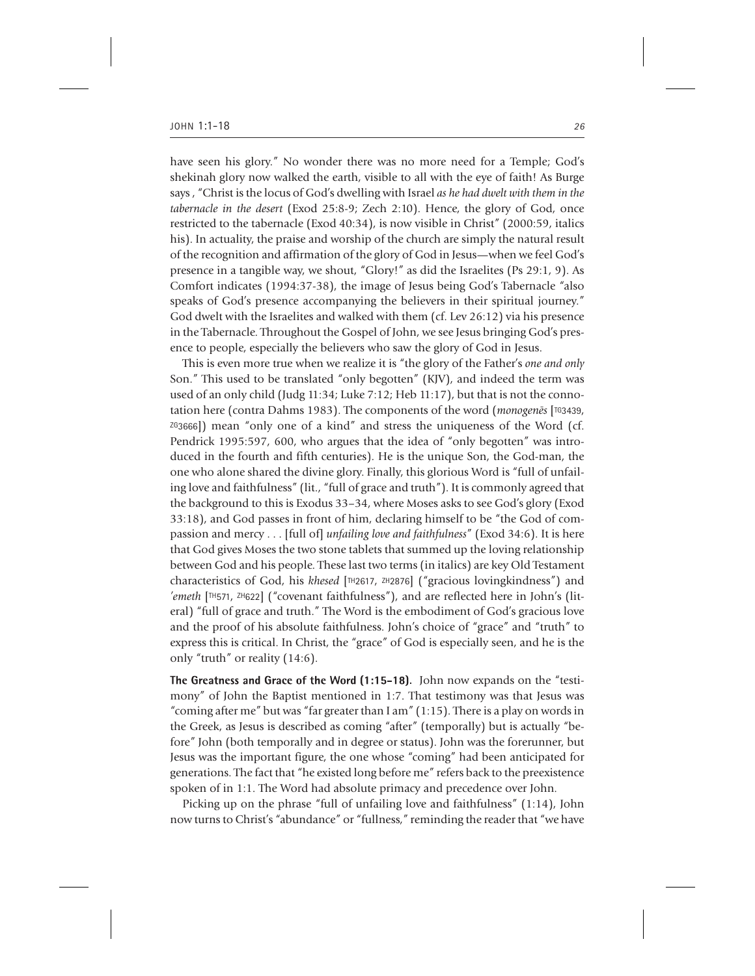have seen his glory." No wonder there was no more need for a Temple; God's shekinah glory now walked the earth, visible to all with the eye of faith! As Burge says , "Christ is the locus of God's dwelling with Israel *as he had dwelt with them in the tabernacle in the desert* (Exod 25:8-9; Zech 2:10). Hence, the glory of God, once restricted to the tabernacle (Exod 40:34), is now visible in Christ" (2000:59, italics his). In actuality, the praise and worship of the church are simply the natural result of the recognition and affirmation of the glory of God in Jesus—when we feel God's presence in a tangible way, we shout, "Glory!" as did the Israelites (Ps 29:1, 9). As Comfort indicates (1994:37-38), the image of Jesus being God's Tabernacle "also speaks of God's presence accompanying the believers in their spiritual journey." God dwelt with the Israelites and walked with them (cf. Lev 26:12) via his presence in the Tabernacle. Throughout the Gospel of John, we see Jesus bringing God's presence to people, especially the believers who saw the glory of God in Jesus.

This is even more true when we realize it is "the glory of the Father's *one and only* Son." This used to be translated "only begotten" (KJV), and indeed the term was used of an only child (Judg 11:34; Luke 7:12; Heb 11:17), but that is not the connotation here (contra Dahms 1983). The components of the word (*monogenes* [<sup>rG3439</sup>,  $Z^{3666}$ ) mean "only one of a kind" and stress the uniqueness of the Word (cf. Pendrick 1995:597, 600, who argues that the idea of "only begotten" was introduced in the fourth and fifth centuries). He is the unique Son, the God-man, the one who alone shared the divine glory. Finally, this glorious Word is "full of unfailing love and faithfulness" (lit., "full of grace and truth"). It is commonly agreed that the background to this is Exodus 33–34, where Moses asks to see God's glory (Exod 33:18), and God passes in front of him, declaring himself to be "the God of compassion and mercy . . . [full of] *unfailing love and faithfulness*" (Exod 34:6). It is here that God gives Moses the two stone tablets that summed up the loving relationship between God and his people. These last two terms (in italics) are key Old Testament characteristics of God, his *khesed* [TH2617, ZH2876] ("gracious lovingkindness") and *'emeth* [<sup>TH571</sup>, <sup>zH622</sup>] ("covenant faithfulness"), and are reflected here in John's (literal) "full of grace and truth." The Word is the embodiment of God's gracious love and the proof of his absolute faithfulness. John's choice of "grace" and "truth" to express this is critical. In Christ, the "grace" of God is especially seen, and he is the only "truth" or reality (14:6).

The Greatness and Grace of the Word (1:15-18). John now expands on the "testimony" of John the Baptist mentioned in 1:7. That testimony was that Jesus was "coming after me" but was "far greater than I am" (1:15). There is a play on words in the Greek, as Jesus is described as coming "after" (temporally) but is actually "before" John (both temporally and in degree or status). John was the forerunner, but Jesus was the important figure, the one whose "coming" had been anticipated for generations. The fact that "he existed long before me" refers back to the preexistence spoken of in 1:1. The Word had absolute primacy and precedence over John.

Picking up on the phrase "full of unfailing love and faithfulness" (1:14), John now turns to Christ's "abundance" or "fullness," reminding the reader that "we have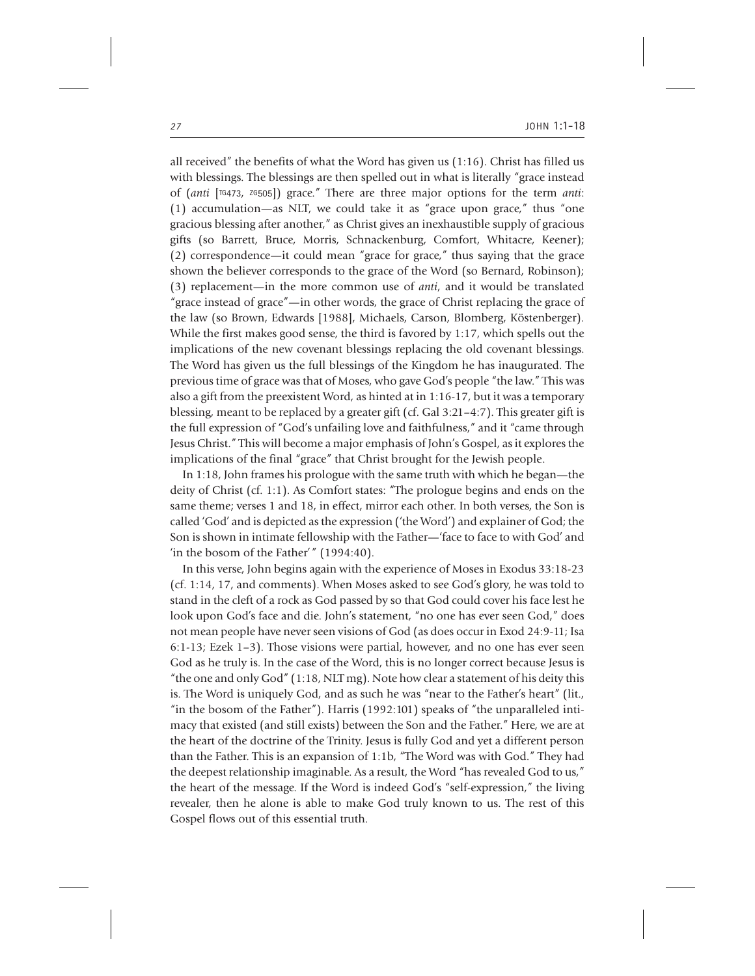all received" the benefits of what the Word has given us (1:16). Christ has filled us with blessings. The blessings are then spelled out in what is literally "grace instead of (*anti* [TG473, ZG505]) grace." There are three major options for the term *anti*: (1) accumulation—as NLT, we could take it as "grace upon grace," thus "one gracious blessing after another," as Christ gives an inexhaustible supply of gracious gifts (so Barrett, Bruce, Morris, Schnackenburg, Comfort, Whitacre, Keener); (2) correspondence—it could mean "grace for grace," thus saying that the grace shown the believer corresponds to the grace of the Word (so Bernard, Robinson); (3) replacement—in the more common use of *anti*, and it would be translated "grace instead of grace"—in other words, the grace of Christ replacing the grace of the law (so Brown, Edwards [1988], Michaels, Carson, Blomberg, Köstenberger). While the first makes good sense, the third is favored by 1:17, which spells out the implications of the new covenant blessings replacing the old covenant blessings. The Word has given us the full blessings of the Kingdom he has inaugurated. The previous time of grace was that of Moses, who gave God's people "the law." This was also a gift from the preexistent Word, as hinted at in 1:16-17, but it was a temporary blessing, meant to be replaced by a greater gift (cf. Gal  $3:21-4:7$ ). This greater gift is the full expression of "God's unfailing love and faithfulness," and it "came through Jesus Christ." This will become a major emphasis of John's Gospel, as it explores the implications of the final "grace" that Christ brought for the Jewish people.

In 1:18, John frames his prologue with the same truth with which he began—the deity of Christ (cf. 1:1). As Comfort states: "The prologue begins and ends on the same theme; verses 1 and 18, in effect, mirror each other. In both verses, the Son is called 'God' and is depicted as the expression ('the Word') and explainer of God; the Son is shown in intimate fellowship with the Father—'face to face to with God' and 'in the bosom of the Father'" (1994:40).

In this verse, John begins again with the experience of Moses in Exodus 33:18-23 (cf. 1:14, 17, and comments). When Moses asked to see God's glory, he was told to stand in the cleft of a rock as God passed by so that God could cover his face lest he look upon God's face and die. John's statement, "no one has ever seen God," does not mean people have never seen visions of God (as does occur in Exod 24:9-11; Isa 6:1-13; Ezek 1–3). Those visions were partial, however, and no one has ever seen God as he truly is. In the case of the Word, this is no longer correct because Jesus is "the one and only God" (1:18, NLT mg). Note how clear a statement of his deity this is. The Word is uniquely God, and as such he was "near to the Father's heart" (lit., "in the bosom of the Father"). Harris (1992:101) speaks of "the unparalleled intimacy that existed (and still exists) between the Son and the Father." Here, we are at the heart of the doctrine of the Trinity. Jesus is fully God and yet a different person than the Father. This is an expansion of 1:1b, "The Word was with God." They had the deepest relationship imaginable. As a result, the Word "has revealed God to us," the heart of the message. If the Word is indeed God's "self-expression," the living revealer, then he alone is able to make God truly known to us. The rest of this Gospel flows out of this essential truth.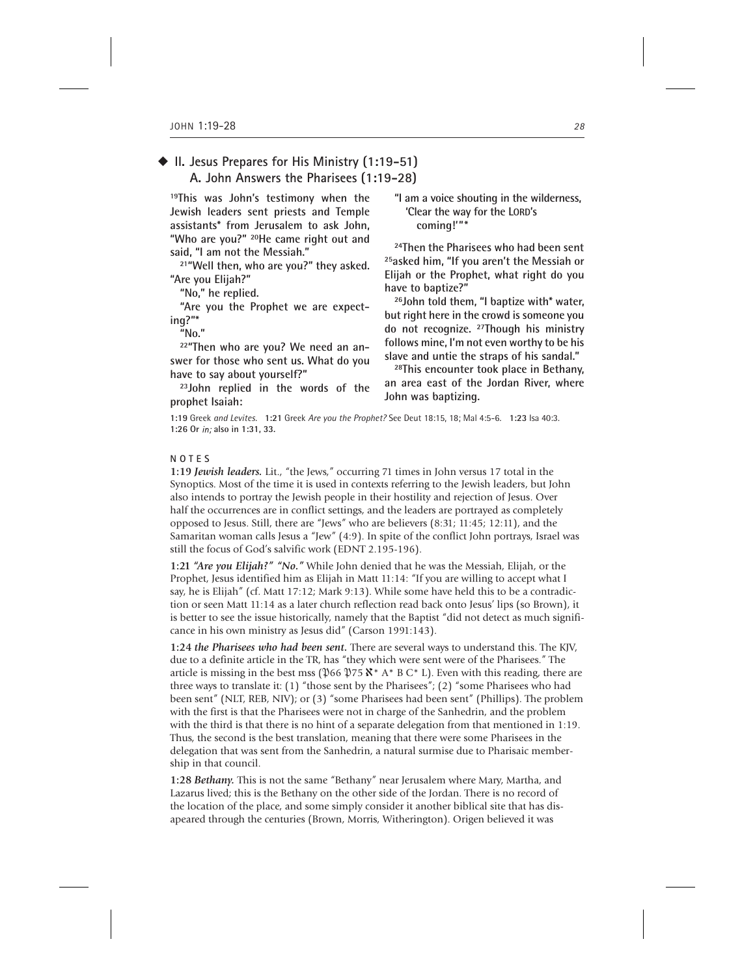# ◆ **II. Jesus Prepares for His Ministry (1:19-51) A. John Answers the Pharisees (1:19-28)**

**19This was John's testimony when the Jewish leaders sent priests and Temple assistants\* from Jerusalem to ask John, "Who are you?" 20He came right out and said, "I am not the Messiah."**

**21"Well then, who are you?" they asked. "Are you Elijah?"**

**"No," he replied.**

**"Are you the Prophet we are expecting?"\***

**"No."**

**22"Then who are you? We need an answer for those who sent us. What do you have to say about yourself?"**

**23John replied in the words of the prophet Isaiah:**

**"I am a voice shouting in the wilderness, 'Clear the way for the LORD's coming!'"\***

**24Then the Pharisees who had been sent 25asked him, "If you aren't the Messiah or Elijah or the Prophet, what right do you have to baptize?"**

**26John told them, "I baptize with\* water, but right here in the crowd is someone you do not recognize. 27Though his ministry follows mine, I'm not even worthy to be his slave and untie the straps of his sandal."**

**28This encounter took place in Bethany, an area east of the Jordan River, where John was baptizing.**

**1:19** Greek *and Levites*. **1:21** Greek *Are you the Prophet?* See Deut 18:15, 18; Mal 4:5-6. **1:23** Isa 40:3. **1:26 Or also in 1:31, 33.**

#### **NOTES**

**1:19** *Jewish leaders.* Lit., "the Jews," occurring 71 times in John versus 17 total in the Synoptics. Most of the time it is used in contexts referring to the Jewish leaders, but John also intends to portray the Jewish people in their hostility and rejection of Jesus. Over half the occurrences are in conflict settings, and the leaders are portrayed as completely opposed to Jesus. Still, there are "Jews" who are believers (8:31; 11:45; 12:11), and the Samaritan woman calls Jesus a "Jew" (4:9). In spite of the conflict John portrays, Israel was still the focus of God's salvific work (EDNT 2.195-196).

**1:21** *"Are you Elijah?" "No."* While John denied that he was the Messiah, Elijah, or the Prophet, Jesus identified him as Elijah in Matt 11:14: "If you are willing to accept what I say, he is Elijah" (cf. Matt 17:12; Mark 9:13). While some have held this to be a contradiction or seen Matt 11:14 as a later church reflection read back onto Jesus' lips (so Brown), it is better to see the issue historically, namely that the Baptist "did not detect as much significance in his own ministry as Jesus did" (Carson 1991:143).

**1:24** *the Pharisees who had been sent.* There are several ways to understand this. The KJV, due to a definite article in the TR, has "they which were sent were of the Pharisees." The article is missing in the best mss ( $\mathfrak{P}66 \mathfrak{P}75 \mathbf{X}^* A^* B C^* L$ ). Even with this reading, there are three ways to translate it:  $(1)$  "those sent by the Pharisees";  $(2)$  "some Pharisees who had been sent" (NLT, REB, NIV); or (3) "some Pharisees had been sent" (Phillips). The problem with the first is that the Pharisees were not in charge of the Sanhedrin, and the problem with the third is that there is no hint of a separate delegation from that mentioned in 1:19. Thus, the second is the best translation, meaning that there were some Pharisees in the delegation that was sent from the Sanhedrin, a natural surmise due to Pharisaic membership in that council.

**1:28** *Bethany.* This is not the same "Bethany" near Jerusalem where Mary, Martha, and Lazarus lived; this is the Bethany on the other side of the Jordan. There is no record of the location of the place, and some simply consider it another biblical site that has disapeared through the centuries (Brown, Morris, Witherington). Origen believed it was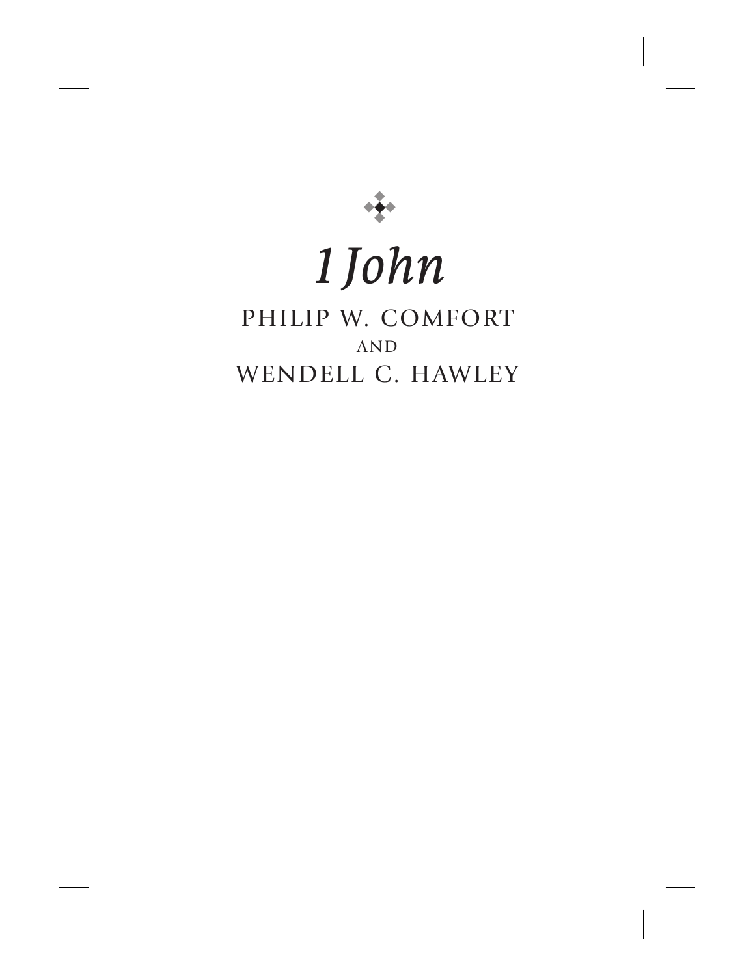<span id="page-34-0"></span>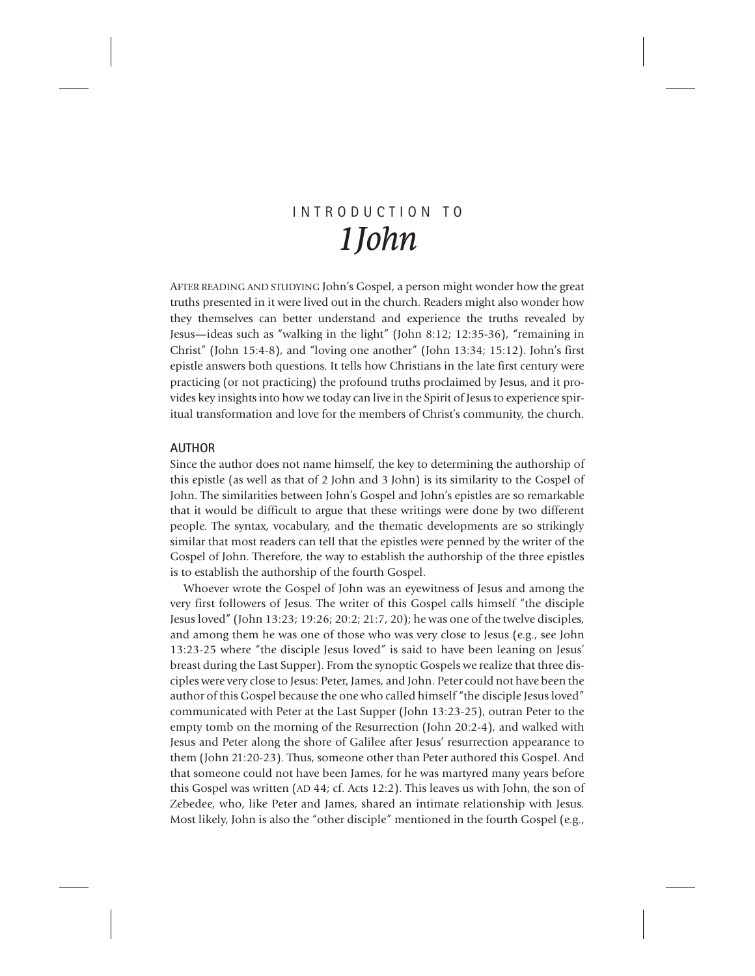# INTRODUCTION TO *1 John*

AFTER READING AND STUDYING John's Gospel, a person might wonder how the great truths presented in it were lived out in the church. Readers might also wonder how they themselves can better understand and experience the truths revealed by Jesus—ideas such as "walking in the light" (John 8:12; 12:35-36), "remaining in Christ" (John 15:4-8), and "loving one another" (John 13:34; 15:12). John's first epistle answers both questions. It tells how Christians in the late first century were practicing (or not practicing) the profound truths proclaimed by Jesus, and it provides key insights into how we today can live in the Spirit of Jesus to experience spiritual transformation and love for the members of Christ's community, the church.

# **AUTHOR**

Since the author does not name himself, the key to determining the authorship of this epistle (as well as that of 2 John and 3 John) is its similarity to the Gospel of John. The similarities between John's Gospel and John's epistles are so remarkable that it would be difficult to argue that these writings were done by two different people. The syntax, vocabulary, and the thematic developments are so strikingly similar that most readers can tell that the epistles were penned by the writer of the Gospel of John. Therefore, the way to establish the authorship of the three epistles is to establish the authorship of the fourth Gospel.

Whoever wrote the Gospel of John was an eyewitness of Jesus and among the very first followers of Jesus. The writer of this Gospel calls himself "the disciple Jesus loved" (John 13:23; 19:26; 20:2; 21:7, 20); he was one of the twelve disciples, and among them he was one of those who was very close to Jesus (e.g., see John 13:23-25 where "the disciple Jesus loved" is said to have been leaning on Jesus' breast during the Last Supper). From the synoptic Gospels we realize that three disciples were very close to Jesus: Peter, James, and John. Peter could not have been the author of this Gospel because the one who called himself "the disciple Jesus loved" communicated with Peter at the Last Supper (John 13:23-25), outran Peter to the empty tomb on the morning of the Resurrection (John 20:2-4), and walked with Jesus and Peter along the shore of Galilee after Jesus' resurrection appearance to them (John 21:20-23). Thus, someone other than Peter authored this Gospel. And that someone could not have been James, for he was martyred many years before this Gospel was written (AD 44; cf. Acts 12:2). This leaves us with John, the son of Zebedee, who, like Peter and James, shared an intimate relationship with Jesus. Most likely, John is also the "other disciple" mentioned in the fourth Gospel (e.g.,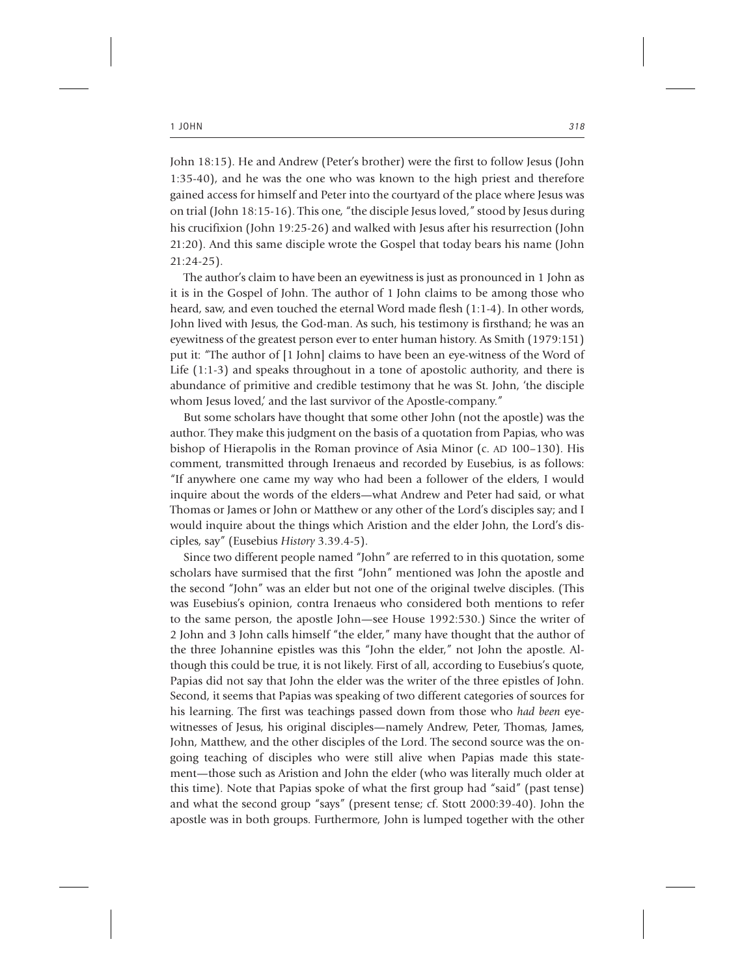John 18:15). He and Andrew (Peter's brother) were the first to follow Jesus (John 1:35-40), and he was the one who was known to the high priest and therefore gained access for himself and Peter into the courtyard of the place where Jesus was on trial (John 18:15-16). This one, "the disciple Jesus loved," stood by Jesus during his crucifixion (John 19:25-26) and walked with Jesus after his resurrection (John 21:20). And this same disciple wrote the Gospel that today bears his name (John 21:24-25).

The author's claim to have been an eyewitness is just as pronounced in 1 John as it is in the Gospel of John. The author of 1 John claims to be among those who heard, saw, and even touched the eternal Word made flesh (1:1-4). In other words, John lived with Jesus, the God-man. As such, his testimony is firsthand; he was an eyewitness of the greatest person ever to enter human history. As Smith (1979:151) put it: "The author of [1 John] claims to have been an eye-witness of the Word of Life (1:1-3) and speaks throughout in a tone of apostolic authority, and there is abundance of primitive and credible testimony that he was St. John, 'the disciple whom Jesus loved,' and the last survivor of the Apostle-company."

But some scholars have thought that some other John (not the apostle) was the author. They make this judgment on the basis of a quotation from Papias, who was bishop of Hierapolis in the Roman province of Asia Minor (c. AD 100–130). His comment, transmitted through Irenaeus and recorded by Eusebius, is as follows: "If anywhere one came my way who had been a follower of the elders, I would inquire about the words of the elders—what Andrew and Peter had said, or what Thomas or James or John or Matthew or any other of the Lord's disciples say; and I would inquire about the things which Aristion and the elder John, the Lord's disciples, say" (Eusebius *History* 3.39.4-5).

Since two different people named "John" are referred to in this quotation, some scholars have surmised that the first "John" mentioned was John the apostle and the second "John" was an elder but not one of the original twelve disciples. (This was Eusebius's opinion, contra Irenaeus who considered both mentions to refer to the same person, the apostle John—see House 1992:530.) Since the writer of 2 John and 3 John calls himself "the elder," many have thought that the author of the three Johannine epistles was this "John the elder," not John the apostle. Although this could be true, it is not likely. First of all, according to Eusebius's quote, Papias did not say that John the elder was the writer of the three epistles of John. Second, it seems that Papias was speaking of two different categories of sources for his learning. The first was teachings passed down from those who *had been* eyewitnesses of Jesus, his original disciples—namely Andrew, Peter, Thomas, James, John, Matthew, and the other disciples of the Lord. The second source was the ongoing teaching of disciples who were still alive when Papias made this statement—those such as Aristion and John the elder (who was literally much older at this time). Note that Papias spoke of what the first group had "said" (past tense) and what the second group "says" (present tense; cf. Stott 2000:39-40). John the apostle was in both groups. Furthermore, John is lumped together with the other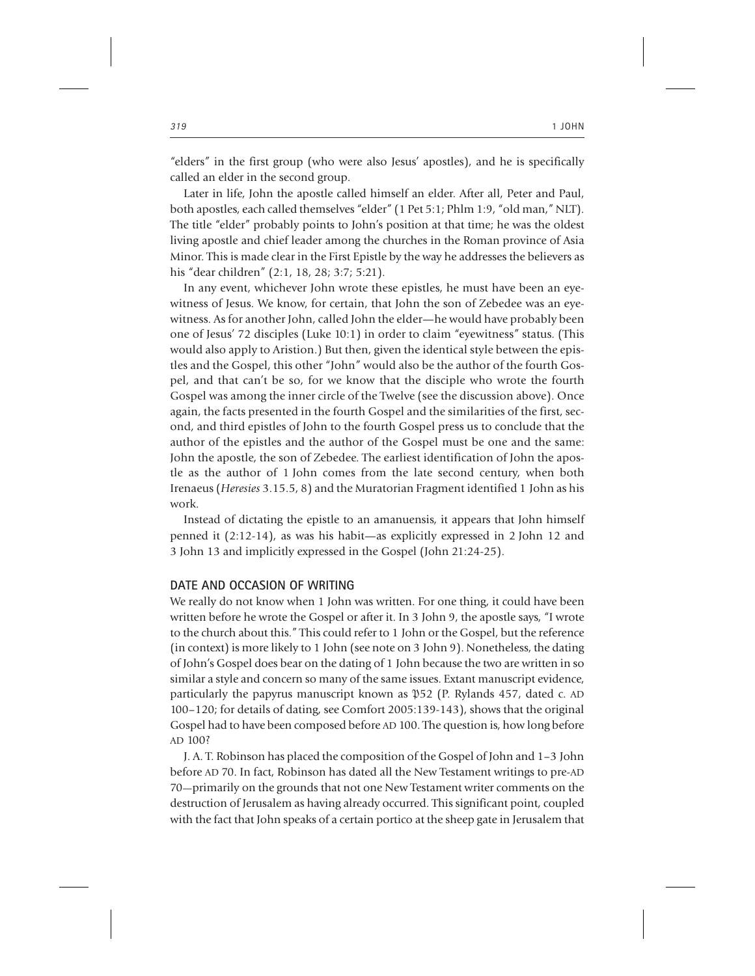"elders" in the first group (who were also Jesus' apostles), and he is specifically called an elder in the second group.

Later in life, John the apostle called himself an elder. After all, Peter and Paul, both apostles, each called themselves "elder" (1 Pet 5:1; Phlm 1:9, "old man," NLT). The title "elder" probably points to John's position at that time; he was the oldest living apostle and chief leader among the churches in the Roman province of Asia Minor. This is made clear in the First Epistle by the way he addresses the believers as his "dear children" (2:1, 18, 28; 3:7; 5:21).

In any event, whichever John wrote these epistles, he must have been an eyewitness of Jesus. We know, for certain, that John the son of Zebedee was an eyewitness. As for another John, called John the elder—he would have probably been one of Jesus' 72 disciples (Luke 10:1) in order to claim "eyewitness" status. (This would also apply to Aristion.) But then, given the identical style between the epistles and the Gospel, this other "John" would also be the author of the fourth Gospel, and that can't be so, for we know that the disciple who wrote the fourth Gospel was among the inner circle of the Twelve (see the discussion above). Once again, the facts presented in the fourth Gospel and the similarities of the first, second, and third epistles of John to the fourth Gospel press us to conclude that the author of the epistles and the author of the Gospel must be one and the same: John the apostle, the son of Zebedee. The earliest identification of John the apostle as the author of 1 John comes from the late second century, when both Irenaeus (*Heresies* 3.15.5, 8) and the Muratorian Fragment identified 1 John as his work.

Instead of dictating the epistle to an amanuensis, it appears that John himself penned it (2:12-14), as was his habit—as explicitly expressed in 2 John 12 and 3 John 13 and implicitly expressed in the Gospel (John 21:24-25).

### **DATE AND OCCASION OF WRITING**

We really do not know when 1 John was written. For one thing, it could have been written before he wrote the Gospel or after it. In 3 John 9, the apostle says, "I wrote to the church about this." This could refer to 1 John or the Gospel, but the reference (in context) is more likely to 1 John (see note on 3 John 9). Nonetheless, the dating of John's Gospel does bear on the dating of 1 John because the two are written in so similar a style and concern so many of the same issues. Extant manuscript evidence, particularly the papyrus manuscript known as  $\mathfrak{P}52$  (P. Rylands 457, dated c. AD 100–120; for details of dating, see Comfort 2005:139-143), shows that the original Gospel had to have been composed before AD 100. The question is, how long before AD 100?

J. A. T. Robinson has placed the composition of the Gospel of John and 1–3 John before AD 70. In fact, Robinson has dated all the New Testament writings to pre-AD 70—primarily on the grounds that not one New Testament writer comments on the destruction of Jerusalem as having already occurred. This significant point, coupled with the fact that John speaks of a certain portico at the sheep gate in Jerusalem that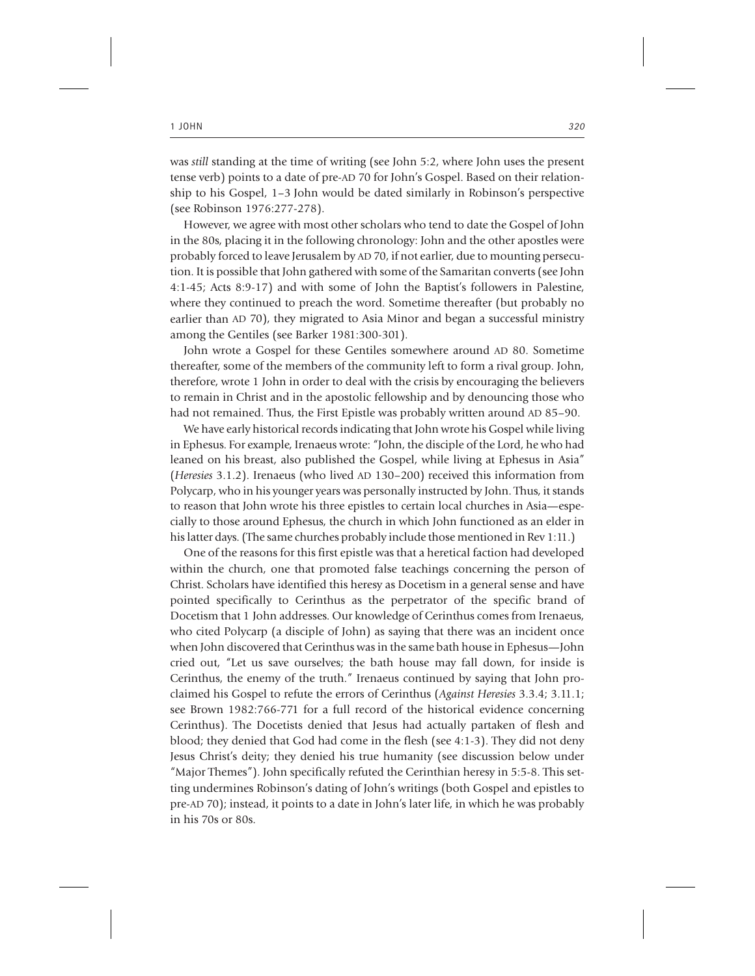was *still* standing at the time of writing (see John 5:2, where John uses the present tense verb) points to a date of pre-AD 70 for John's Gospel. Based on their relationship to his Gospel, 1–3 John would be dated similarly in Robinson's perspective (see Robinson 1976:277-278).

However, we agree with most other scholars who tend to date the Gospel of John in the 80s, placing it in the following chronology: John and the other apostles were probably forced to leave Jerusalem by AD 70, if not earlier, due to mounting persecution. It is possible that John gathered with some of the Samaritan converts (see John 4:1-45; Acts 8:9-17) and with some of John the Baptist's followers in Palestine, where they continued to preach the word. Sometime thereafter (but probably no earlier than AD 70), they migrated to Asia Minor and began a successful ministry among the Gentiles (see Barker 1981:300-301).

John wrote a Gospel for these Gentiles somewhere around AD 80. Sometime thereafter, some of the members of the community left to form a rival group. John, therefore, wrote 1 John in order to deal with the crisis by encouraging the believers to remain in Christ and in the apostolic fellowship and by denouncing those who had not remained. Thus, the First Epistle was probably written around AD 85-90.

We have early historical records indicating that John wrote his Gospel while living in Ephesus. For example, Irenaeus wrote: "John, the disciple of the Lord, he who had leaned on his breast, also published the Gospel, while living at Ephesus in Asia" (*Heresies* 3.1.2). Irenaeus (who lived AD 130–200) received this information from Polycarp, who in his younger years was personally instructed by John. Thus, it stands to reason that John wrote his three epistles to certain local churches in Asia—especially to those around Ephesus, the church in which John functioned as an elder in his latter days. (The same churches probably include those mentioned in Rev 1:11.)

One of the reasons for this first epistle was that a heretical faction had developed within the church, one that promoted false teachings concerning the person of Christ. Scholars have identified this heresy as Docetism in a general sense and have pointed specifically to Cerinthus as the perpetrator of the specific brand of Docetism that 1 John addresses. Our knowledge of Cerinthus comes from Irenaeus, who cited Polycarp (a disciple of John) as saying that there was an incident once when John discovered that Cerinthus was in the same bath house in Ephesus—John cried out, "Let us save ourselves; the bath house may fall down, for inside is Cerinthus, the enemy of the truth." Irenaeus continued by saying that John proclaimed his Gospel to refute the errors of Cerinthus (*Against Heresies* 3.3.4; 3.11.1; see Brown 1982:766-771 for a full record of the historical evidence concerning Cerinthus). The Docetists denied that Jesus had actually partaken of flesh and blood; they denied that God had come in the flesh (see 4:1-3). They did not deny Jesus Christ's deity; they denied his true humanity (see discussion below under "Major Themes"). John specifically refuted the Cerinthian heresy in 5:5-8. This setting undermines Robinson's dating of John's writings (both Gospel and epistles to pre-AD 70); instead, it points to a date in John's later life, in which he was probably in his 70s or 80s.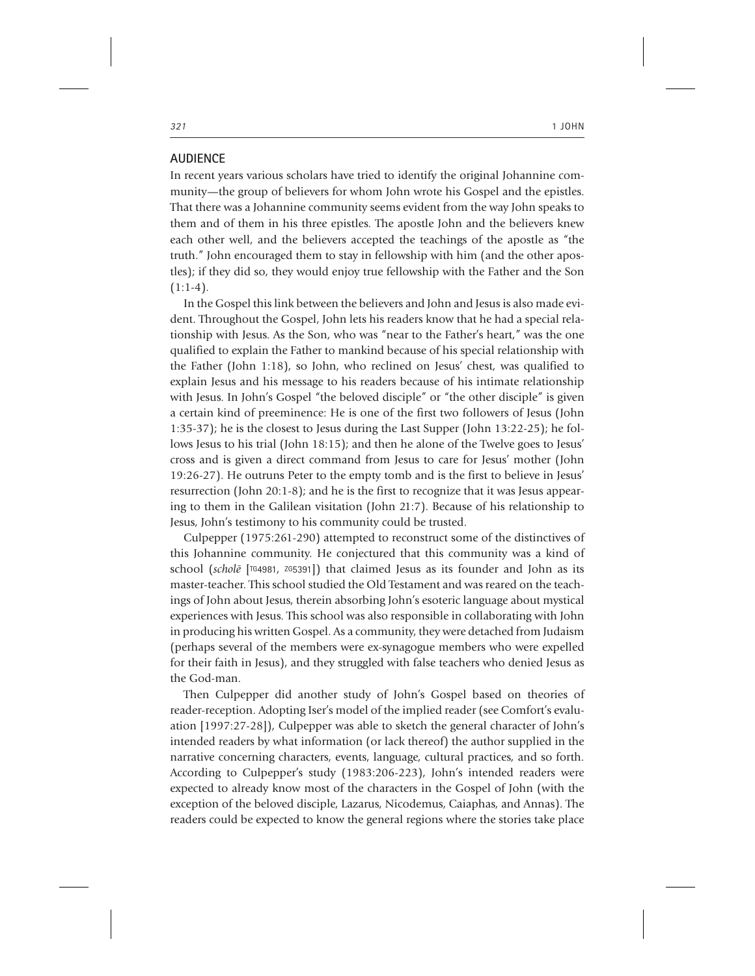### **AUDIENCE**

In recent years various scholars have tried to identify the original Johannine community—the group of believers for whom John wrote his Gospel and the epistles. That there was a Johannine community seems evident from the way John speaks to them and of them in his three epistles. The apostle John and the believers knew each other well, and the believers accepted the teachings of the apostle as "the truth." John encouraged them to stay in fellowship with him (and the other apostles); if they did so, they would enjoy true fellowship with the Father and the Son  $(1:1-4).$ 

In the Gospel this link between the believers and John and Jesus is also made evident. Throughout the Gospel, John lets his readers know that he had a special relationship with Jesus. As the Son, who was "near to the Father's heart," was the one qualified to explain the Father to mankind because of his special relationship with the Father (John 1:18), so John, who reclined on Jesus' chest, was qualified to explain Jesus and his message to his readers because of his intimate relationship with Jesus. In John's Gospel "the beloved disciple" or "the other disciple" is given a certain kind of preeminence: He is one of the first two followers of Jesus (John 1:35-37); he is the closest to Jesus during the Last Supper (John 13:22-25); he follows Jesus to his trial (John 18:15); and then he alone of the Twelve goes to Jesus' cross and is given a direct command from Jesus to care for Jesus' mother (John 19:26-27). He outruns Peter to the empty tomb and is the first to believe in Jesus' resurrection (John 20:1-8); and he is the first to recognize that it was Jesus appearing to them in the Galilean visitation (John 21:7). Because of his relationship to Jesus, John's testimony to his community could be trusted.

Culpepper (1975:261-290) attempted to reconstruct some of the distinctives of this Johannine community. He conjectured that this community was a kind of school (*schole* [<sup>164981</sup>, <sup>265391</sup>]) that claimed Jesus as its founder and John as its master-teacher. This school studied the Old Testament and was reared on the teachings of John about Jesus, therein absorbing John's esoteric language about mystical experiences with Jesus. This school was also responsible in collaborating with John in producing his written Gospel. As a community, they were detached from Judaism (perhaps several of the members were ex-synagogue members who were expelled for their faith in Jesus), and they struggled with false teachers who denied Jesus as the God-man.

Then Culpepper did another study of John's Gospel based on theories of reader-reception. Adopting Iser's model of the implied reader (see Comfort's evaluation [1997:27-28]), Culpepper was able to sketch the general character of John's intended readers by what information (or lack thereof) the author supplied in the narrative concerning characters, events, language, cultural practices, and so forth. According to Culpepper's study (1983:206-223), John's intended readers were expected to already know most of the characters in the Gospel of John (with the exception of the beloved disciple, Lazarus, Nicodemus, Caiaphas, and Annas). The readers could be expected to know the general regions where the stories take place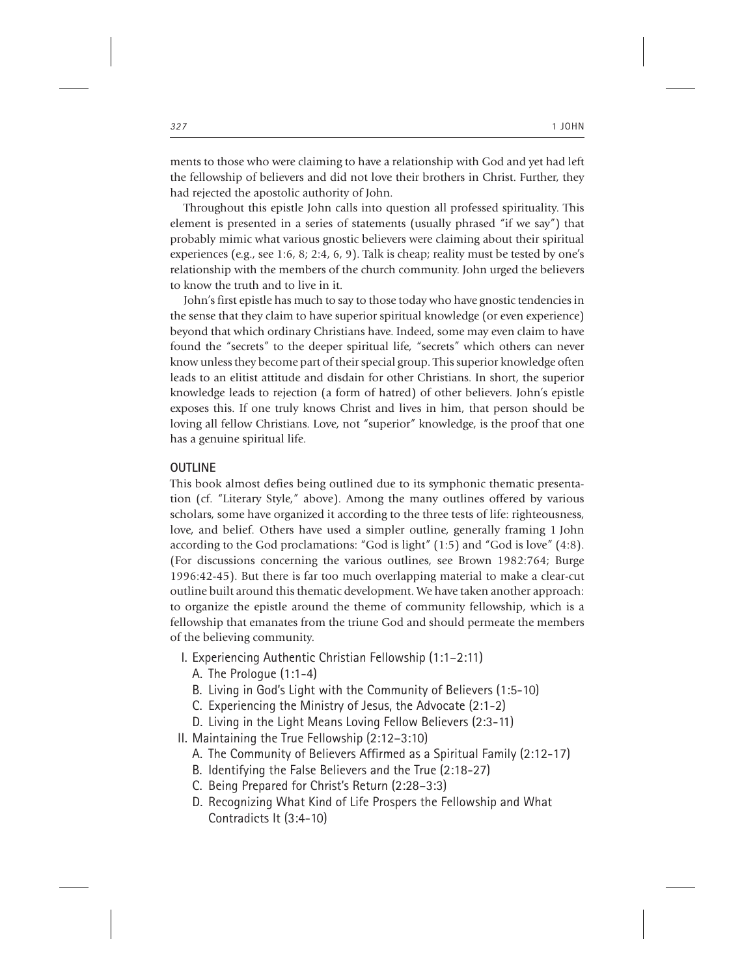ments to those who were claiming to have a relationship with God and yet had left the fellowship of believers and did not love their brothers in Christ. Further, they had rejected the apostolic authority of John.

Throughout this epistle John calls into question all professed spirituality. This element is presented in a series of statements (usually phrased "if we say") that probably mimic what various gnostic believers were claiming about their spiritual experiences (e.g., see 1:6, 8; 2:4, 6, 9). Talk is cheap; reality must be tested by one's relationship with the members of the church community. John urged the believers to know the truth and to live in it.

John's first epistle has much to say to those today who have gnostic tendencies in the sense that they claim to have superior spiritual knowledge (or even experience) beyond that which ordinary Christians have. Indeed, some may even claim to have found the "secrets" to the deeper spiritual life, "secrets" which others can never know unless they become part of their special group. This superior knowledge often leads to an elitist attitude and disdain for other Christians. In short, the superior knowledge leads to rejection (a form of hatred) of other believers. John's epistle exposes this. If one truly knows Christ and lives in him, that person should be loving all fellow Christians. Love, not "superior" knowledge, is the proof that one has a genuine spiritual life.

## **OUTLINE**

This book almost defies being outlined due to its symphonic thematic presentation (cf. "Literary Style," above). Among the many outlines offered by various scholars, some have organized it according to the three tests of life: righteousness, love, and belief. Others have used a simpler outline, generally framing 1 John according to the God proclamations: "God is light" (1:5) and "God is love" (4:8). (For discussions concerning the various outlines, see Brown 1982:764; Burge 1996:42-45). But there is far too much overlapping material to make a clear-cut outline built around this thematic development. We have taken another approach: to organize the epistle around the theme of community fellowship, which is a fellowship that emanates from the triune God and should permeate the members of the believing community.

- I. Experiencing Authentic Christian Fellowship (1:1–2:11)
	- A. The Prologue (1:1-4)
	- B. Living in God's Light with the Community of Believers (1:5-10)
	- C. Experiencing the Ministry of Jesus, the Advocate (2:1-2)
	- D. Living in the Light Means Loving Fellow Believers (2:3-11)
- II. Maintaining the True Fellowship (2:12–3:10)
	- A. The Community of Believers Affirmed as a Spiritual Family (2:12-17)
	- B. Identifying the False Believers and the True (2:18-27)
	- C. Being Prepared for Christ's Return (2:28–3:3)
	- D. Recognizing What Kind of Life Prospers the Fellowship and What Contradicts It (3:4-10)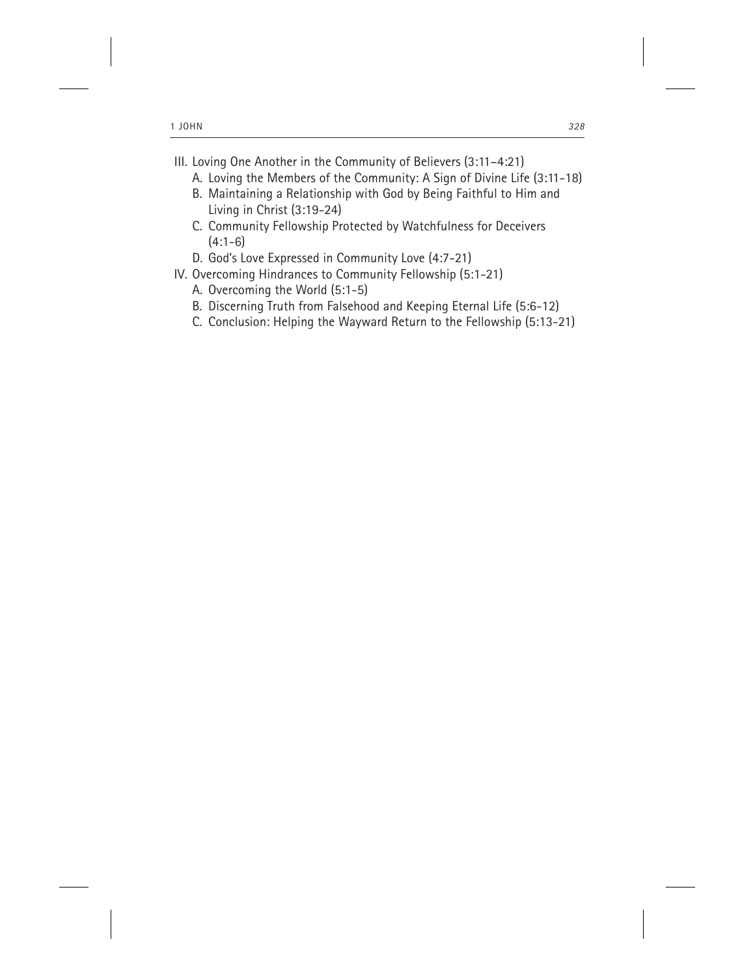- III. Loving One Another in the Community of Believers (3:11–4:21)
	- A. Loving the Members of the Community: A Sign of Divine Life (3:11-18)
	- B. Maintaining a Relationship with God by Being Faithful to Him and Living in Christ (3:19-24)
	- C. Community Fellowship Protected by Watchfulness for Deceivers (4:1-6)
	- D. God's Love Expressed in Community Love (4:7-21)
- IV. Overcoming Hindrances to Community Fellowship (5:1-21)
	- A. Overcoming the World (5:1-5)
	- B. Discerning Truth from Falsehood and Keeping Eternal Life (5:6-12)
	- C. Conclusion: Helping the Wayward Return to the Fellowship (5:13-21)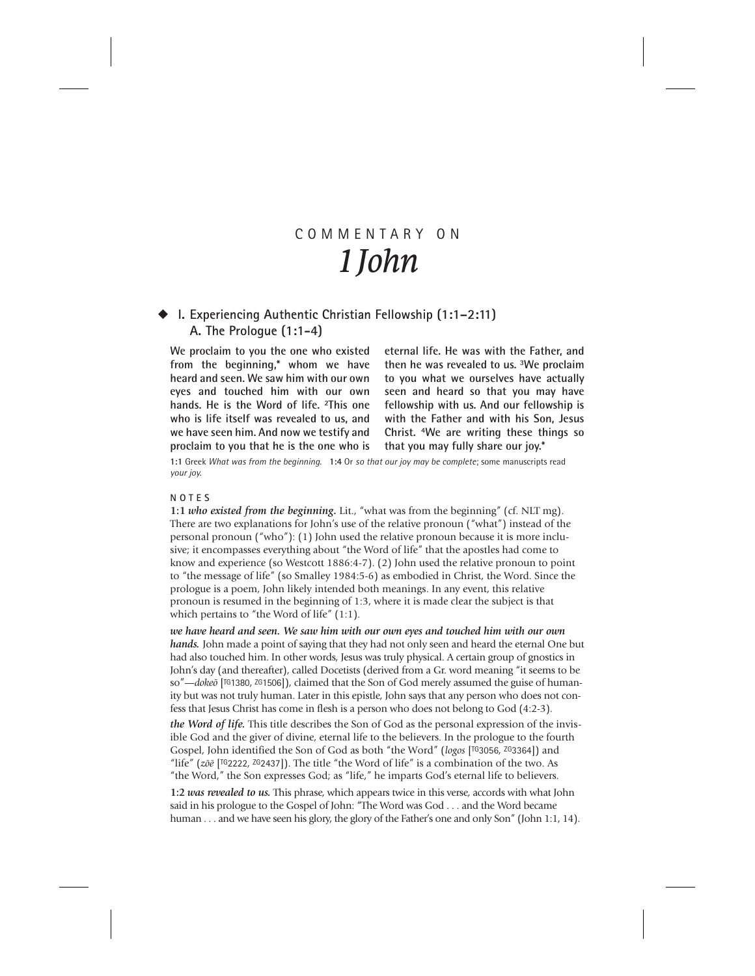# COMMENTARY ON *1 John*

# ◆ **I. Experiencing Authentic Christian Fellowship (1:1–2:11) A. The Prologue (1:1-4)**

**We proclaim to you the one who existed from the beginning,\* whom we have heard and seen. We saw him with our own eyes and touched him with our own hands. He is the Word of life. 2This one who is life itself was revealed to us, and we have seen him. And now we testify and proclaim to you that he is the one who is**

**eternal life. He was with the Father, and then he was revealed to us. 3We proclaim to you what we ourselves have actually seen and heard so that you may have fellowship with us. And our fellowship is with the Father and with his Son, Jesus Christ. 4We are writing these things so that you may fully share our joy.\***

**1:1** Greek *What was from the beginning.* **1:4** Or *so that our joy may be complete*; some manuscripts read *your joy*.

### **NOTES**

**1:1** *who existed from the beginning.* Lit., "what was from the beginning" (cf. NLT mg). There are two explanations for John's use of the relative pronoun ("what") instead of the personal pronoun ("who"): (1) John used the relative pronoun because it is more inclusive; it encompasses everything about "the Word of life" that the apostles had come to know and experience (so Westcott 1886:4-7). (2) John used the relative pronoun to point to "the message of life" (so Smalley 1984:5-6) as embodied in Christ, the Word. Since the prologue is a poem, John likely intended both meanings. In any event, this relative pronoun is resumed in the beginning of 1:3, where it is made clear the subject is that which pertains to "the Word of life" (1:1).

*we have heard and seen. We saw him with our own eyes and touched him with our own hands.* John made a point of saying that they had not only seen and heard the eternal One but had also touched him. In other words, Jesus was truly physical. A certain group of gnostics in John's day (and thereafter), called Docetists (derived from a Gr. word meaning "it seems to be so"—*dokeō* [<sup>TG1380, <sup>zG1506</sup>]), claimed that the Son of God merely assumed the guise of human-</sup> ity but was not truly human. Later in this epistle, John says that any person who does not confess that Jesus Christ has come in flesh is a person who does not belong to God (4:2-3).

*the Word of life.* This title describes the Son of God as the personal expression of the invisible God and the giver of divine, eternal life to the believers. In the prologue to the fourth Gospel, John identified the Son of God as both "the Word" (*logos* [<sup>16</sup>3056, <sup>26</sup>3364]) and "life" (*zōē* [<sup>TG</sup>2222, <sup>ZG</sup>2437]). The title "the Word of life" is a combination of the two. As "the Word," the Son expresses God; as "life," he imparts God's eternal life to believers.

**1:2** *was revealed to us.* This phrase, which appears twice in this verse, accords with what John said in his prologue to the Gospel of John: "The Word was God . . . and the Word became human . . . and we have seen his glory, the glory of the Father's one and only Son" (John 1:1, 14).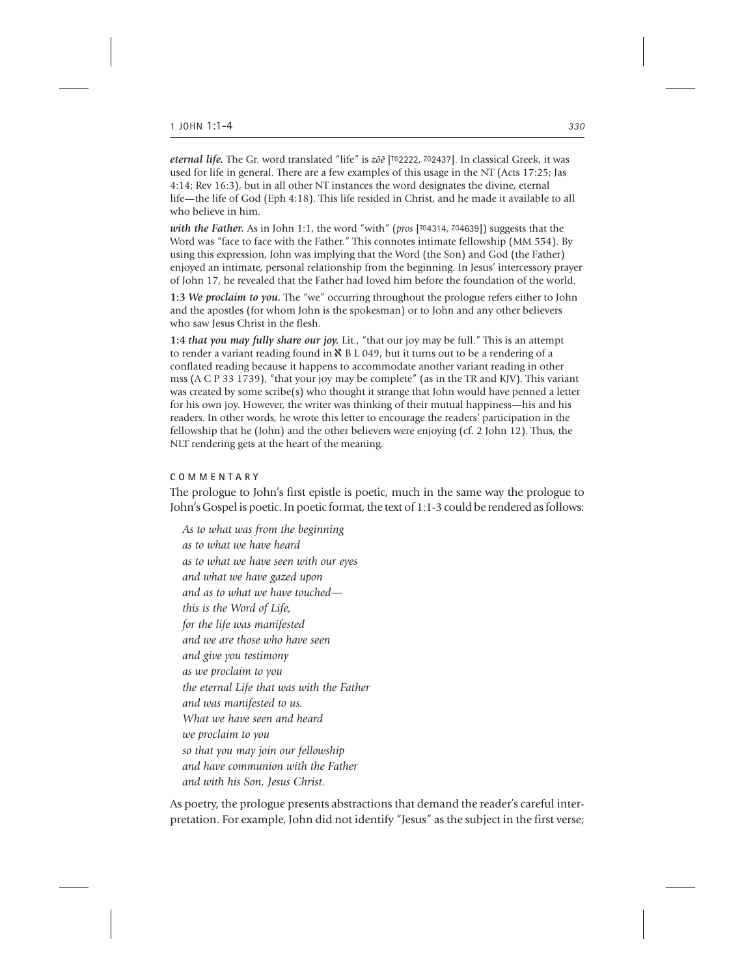*eternal life.* The Gr. word translated "life" is *z*oe [TG2222, ZG2437]. In classical Greek, it was used for life in general. There are a few examples of this usage in the NT (Acts 17:25; Jas 4:14; Rev 16:3), but in all other NT instances the word designates the divine, eternal life—the life of God (Eph 4:18). This life resided in Christ, and he made it available to all who believe in him.

*with the Father.* As in John 1:1, the word "with" (*pros* [TG4314, ZG4639]) suggests that the Word was "face to face with the Father." This connotes intimate fellowship (MM 554). By using this expression, John was implying that the Word (the Son) and God (the Father) enjoyed an intimate, personal relationship from the beginning. In Jesus' intercessory prayer of John 17, he revealed that the Father had loved him before the foundation of the world.

**1:3** *We proclaim to you.* The "we" occurring throughout the prologue refers either to John and the apostles (for whom John is the spokesman) or to John and any other believers who saw Jesus Christ in the flesh.

**1:4** *that you may fully share our joy.* Lit., "that our joy may be full." This is an attempt to render a variant reading found in  $\mathcal K$  B L 049, but it turns out to be a rendering of a conflated reading because it happens to accommodate another variant reading in other mss (A C P 33 1739), "that your joy may be complete" (as in the TR and KJV). This variant was created by some scribe(s) who thought it strange that John would have penned a letter for his own joy. However, the writer was thinking of their mutual happiness—his and his readers. In other words, he wrote this letter to encourage the readers' participation in the fellowship that he (John) and the other believers were enjoying (cf. 2 John 12). Thus, the NLT rendering gets at the heart of the meaning.

### **COMMENTARY**

The prologue to John's first epistle is poetic, much in the same way the prologue to John's Gospel is poetic. In poetic format, the text of 1:1-3 could be rendered as follows:

*As to what was from the beginning as to what we have heard as to what we have seen with our eyes and what we have gazed upon and as to what we have touched this is the Word of Life, for the life was manifested and we are those who have seen and give you testimony as we proclaim to you the eternal Life that was with the Father and was manifested to us. What we have seen and heard we proclaim to you so that you may join our fellowship and have communion with the Father and with his Son, Jesus Christ.*

As poetry, the prologue presents abstractions that demand the reader's careful interpretation. For example, John did not identify "Jesus" as the subject in the first verse;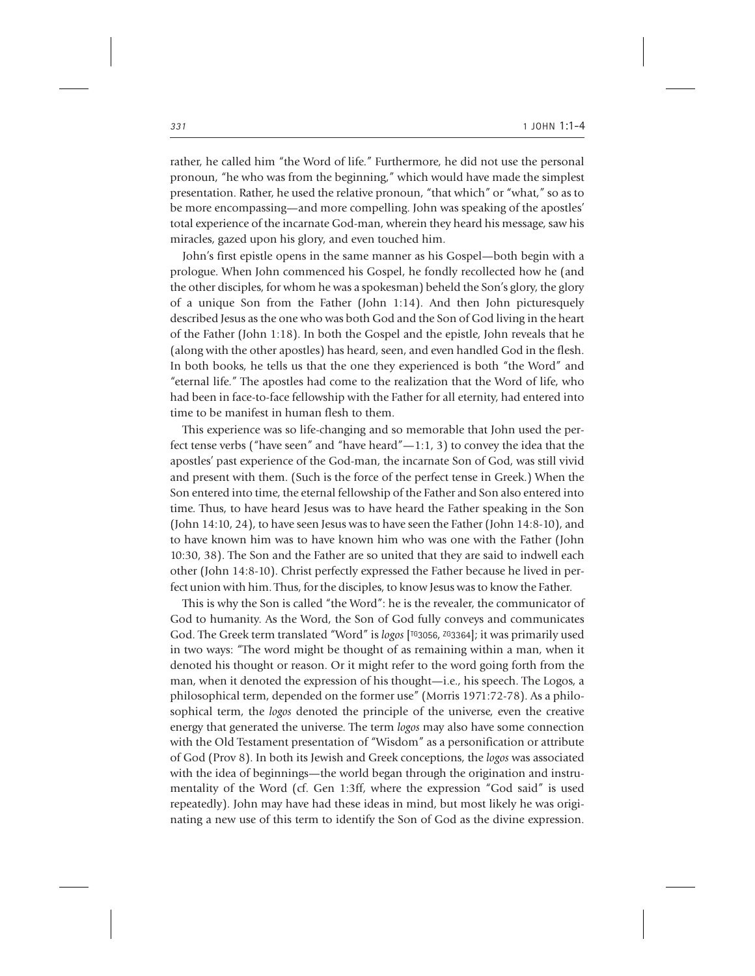rather, he called him "the Word of life." Furthermore, he did not use the personal pronoun, "he who was from the beginning," which would have made the simplest presentation. Rather, he used the relative pronoun, "that which" or "what," so as to be more encompassing—and more compelling. John was speaking of the apostles' total experience of the incarnate God-man, wherein they heard his message, saw his miracles, gazed upon his glory, and even touched him.

John's first epistle opens in the same manner as his Gospel—both begin with a prologue. When John commenced his Gospel, he fondly recollected how he (and the other disciples, for whom he was a spokesman) beheld the Son's glory, the glory of a unique Son from the Father (John 1:14). And then John picturesquely described Jesus as the one who was both God and the Son of God living in the heart of the Father (John 1:18). In both the Gospel and the epistle, John reveals that he (along with the other apostles) has heard, seen, and even handled God in the flesh. In both books, he tells us that the one they experienced is both "the Word" and "eternal life." The apostles had come to the realization that the Word of life, who had been in face-to-face fellowship with the Father for all eternity, had entered into time to be manifest in human flesh to them.

This experience was so life-changing and so memorable that John used the perfect tense verbs ("have seen" and "have heard" $-1:1, 3$ ) to convey the idea that the apostles' past experience of the God-man, the incarnate Son of God, was still vivid and present with them. (Such is the force of the perfect tense in Greek.) When the Son entered into time, the eternal fellowship of the Father and Son also entered into time. Thus, to have heard Jesus was to have heard the Father speaking in the Son (John 14:10, 24), to have seen Jesus was to have seen the Father (John 14:8-10), and to have known him was to have known him who was one with the Father (John 10:30, 38). The Son and the Father are so united that they are said to indwell each other (John 14:8-10). Christ perfectly expressed the Father because he lived in perfect union with him. Thus, for the disciples, to know Jesus was to know the Father.

This is why the Son is called "the Word": he is the revealer, the communicator of God to humanity. As the Word, the Son of God fully conveys and communicates God. The Greek term translated "Word" is *logos* [<sup>1630</sup>56, <sup>263364</sup>]; it was primarily used in two ways: "The word might be thought of as remaining within a man, when it denoted his thought or reason. Or it might refer to the word going forth from the man, when it denoted the expression of his thought—i.e., his speech. The Logos, a philosophical term, depended on the former use" (Morris 1971:72-78). As a philosophical term, the *logos* denoted the principle of the universe, even the creative energy that generated the universe. The term *logos* may also have some connection with the Old Testament presentation of "Wisdom" as a personification or attribute of God (Prov 8). In both its Jewish and Greek conceptions, the *logos* was associated with the idea of beginnings—the world began through the origination and instrumentality of the Word (cf. Gen 1:3ff, where the expression "God said" is used repeatedly). John may have had these ideas in mind, but most likely he was originating a new use of this term to identify the Son of God as the divine expression.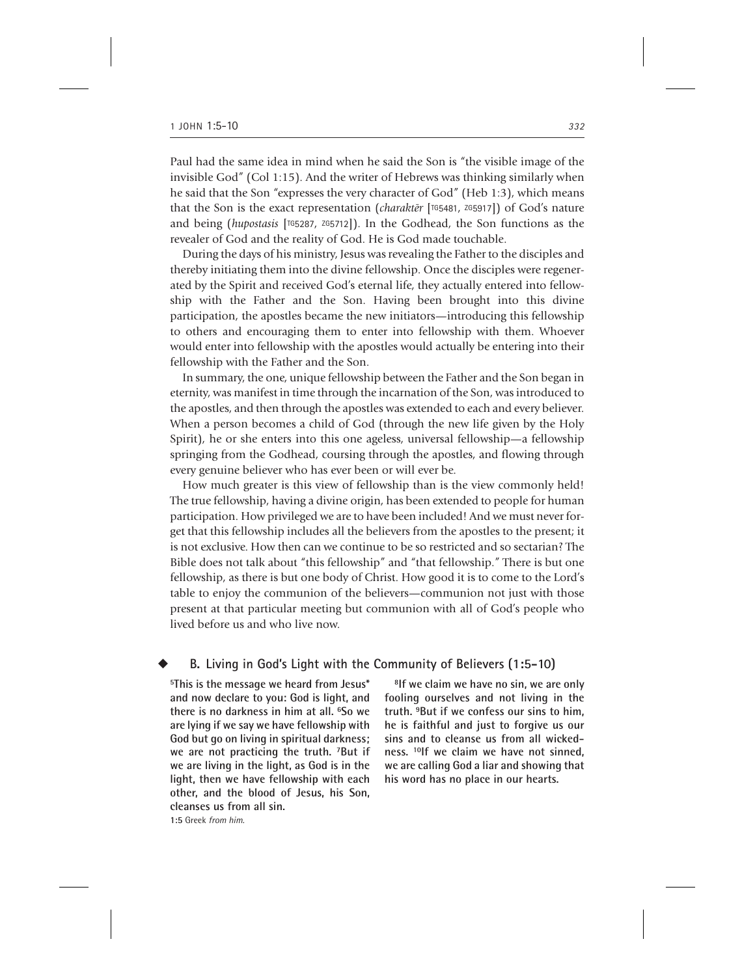Paul had the same idea in mind when he said the Son is "the visible image of the invisible God" (Col 1:15). And the writer of Hebrews was thinking similarly when he said that the Son "expresses the very character of God" (Heb 1:3), which means that the Son is the exact representation (*charakter* [<sup>16</sup>5481, <sup>26</sup>5917]) of God's nature and being (*hupostasis* [TG5287, ZG5712]). In the Godhead, the Son functions as the revealer of God and the reality of God. He is God made touchable.

During the days of his ministry, Jesus was revealing the Father to the disciples and thereby initiating them into the divine fellowship. Once the disciples were regenerated by the Spirit and received God's eternal life, they actually entered into fellowship with the Father and the Son. Having been brought into this divine participation, the apostles became the new initiators—introducing this fellowship to others and encouraging them to enter into fellowship with them. Whoever would enter into fellowship with the apostles would actually be entering into their fellowship with the Father and the Son.

In summary, the one, unique fellowship between the Father and the Son began in eternity, was manifest in time through the incarnation of the Son, was introduced to the apostles, and then through the apostles was extended to each and every believer. When a person becomes a child of God (through the new life given by the Holy Spirit), he or she enters into this one ageless, universal fellowship—a fellowship springing from the Godhead, coursing through the apostles, and flowing through every genuine believer who has ever been or will ever be.

How much greater is this view of fellowship than is the view commonly held! The true fellowship, having a divine origin, has been extended to people for human participation. How privileged we are to have been included! And we must never forget that this fellowship includes all the believers from the apostles to the present; it is not exclusive. How then can we continue to be so restricted and so sectarian? The Bible does not talk about "this fellowship" and "that fellowship." There is but one fellowship, as there is but one body of Christ. How good it is to come to the Lord's table to enjoy the communion of the believers—communion not just with those present at that particular meeting but communion with all of God's people who lived before us and who live now.

# **B.** Living in God's Light with the Community of Believers (1:5-10)

**5This is the message we heard from Jesus\* and now declare to you: God is light, and there is no darkness in him at all. 6So we are lying if we say we have fellowship with God but go on living in spiritual darkness; we are not practicing the truth. 7But if we are living in the light, as God is in the light, then we have fellowship with each other, and the blood of Jesus, his Son, cleanses us from all sin. 1:5** Greek *from him.*

**8If we claim we have no sin, we are only fooling ourselves and not living in the truth. 9But if we confess our sins to him, he is faithful and just to forgive us our sins and to cleanse us from all wickedness. 10If we claim we have not sinned, we are calling God a liar and showing that his word has no place in our hearts.**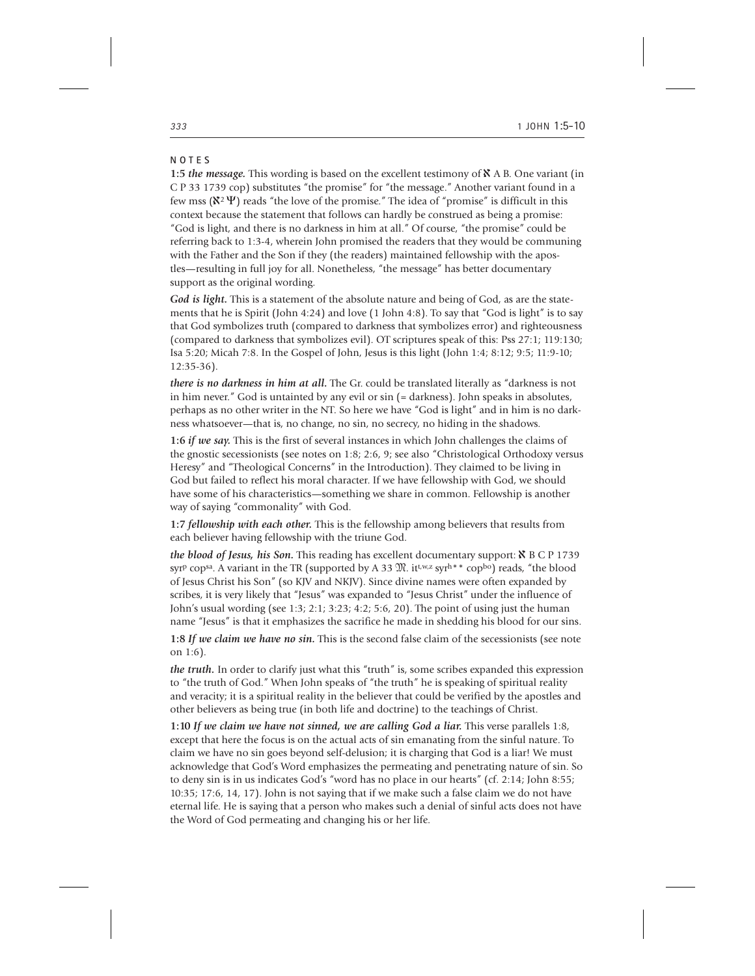### **NOTES**

1:5 *the message*. This wording is based on the excellent testimony of  $\mathbf{\hat{X}}$  A B. One variant (in C P 33 1739 cop) substitutes "the promise" for "the message." Another variant found in a few mss  $(\mathbb{X}^2 \mathbb{Y})$  reads "the love of the promise." The idea of "promise" is difficult in this context because the statement that follows can hardly be construed as being a promise: "God is light, and there is no darkness in him at all." Of course, "the promise" could be referring back to 1:3-4, wherein John promised the readers that they would be communing with the Father and the Son if they (the readers) maintained fellowship with the apostles—resulting in full joy for all. Nonetheless, "the message" has better documentary support as the original wording.

*God is light.* This is a statement of the absolute nature and being of God, as are the statements that he is Spirit (John 4:24) and love (1 John 4:8). To say that "God is light" is to say that God symbolizes truth (compared to darkness that symbolizes error) and righteousness (compared to darkness that symbolizes evil). OT scriptures speak of this: Pss 27:1; 119:130; Isa 5:20; Micah 7:8. In the Gospel of John, Jesus is this light (John 1:4; 8:12; 9:5; 11:9-10; 12:35-36).

*there is no darkness in him at all.* The Gr. could be translated literally as "darkness is not in him never." God is untainted by any evil or sin (= darkness). John speaks in absolutes, perhaps as no other writer in the NT. So here we have "God is light" and in him is no darkness whatsoever—that is, no change, no sin, no secrecy, no hiding in the shadows.

**1:6** *if we say.* This is the first of several instances in which John challenges the claims of the gnostic secessionists (see notes on 1:8; 2:6, 9; see also "Christological Orthodoxy versus Heresy" and "Theological Concerns" in the Introduction). They claimed to be living in God but failed to reflect his moral character. If we have fellowship with God, we should have some of his characteristics—something we share in common. Fellowship is another way of saying "commonality" with God.

**1:7** *fellowship with each other.* This is the fellowship among believers that results from each believer having fellowship with the triune God.

*the blood of Jesus, his Son.* This reading has excellent documentary support:  $\angle B$  B C P 1739 syrp copsa. A variant in the TR (supported by A 33  $\mathfrak{M}$ . it<sup>t,w,z</sup> syrh\*\* copbo) reads, "the blood of Jesus Christ his Son" (so KJV and NKJV). Since divine names were often expanded by scribes, it is very likely that "Jesus" was expanded to "Jesus Christ" under the influence of John's usual wording (see 1:3; 2:1; 3:23; 4:2; 5:6, 20). The point of using just the human name "Jesus" is that it emphasizes the sacrifice he made in shedding his blood for our sins.

**1:8** *If we claim we have no sin.* This is the second false claim of the secessionists (see note on 1:6).

*the truth.* In order to clarify just what this "truth" is, some scribes expanded this expression to "the truth of God." When John speaks of "the truth" he is speaking of spiritual reality and veracity; it is a spiritual reality in the believer that could be verified by the apostles and other believers as being true (in both life and doctrine) to the teachings of Christ.

**1:10** *If we claim we have not sinned, we are calling God a liar.* This verse parallels 1:8, except that here the focus is on the actual acts of sin emanating from the sinful nature. To claim we have no sin goes beyond self-delusion; it is charging that God is a liar! We must acknowledge that God's Word emphasizes the permeating and penetrating nature of sin. So to deny sin is in us indicates God's "word has no place in our hearts" (cf. 2:14; John 8:55; 10:35; 17:6, 14, 17). John is not saying that if we make such a false claim we do not have eternal life. He is saying that a person who makes such a denial of sinful acts does not have the Word of God permeating and changing his or her life.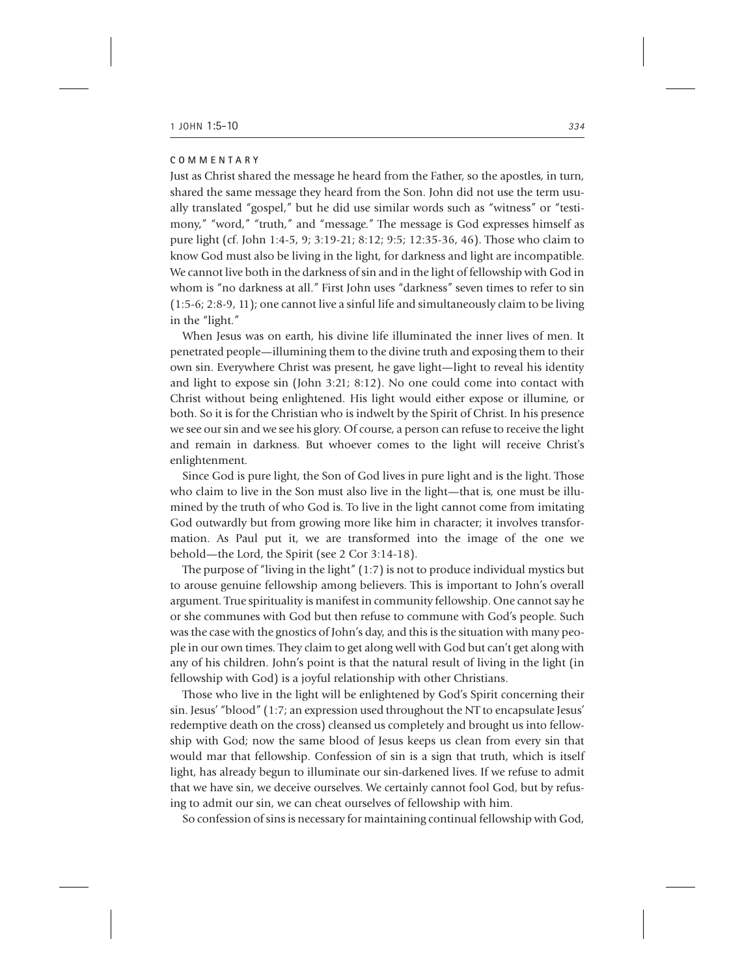#### **COMMENTARY**

Just as Christ shared the message he heard from the Father, so the apostles, in turn, shared the same message they heard from the Son. John did not use the term usually translated "gospel," but he did use similar words such as "witness" or "testimony," "word," "truth," and "message." The message is God expresses himself as pure light (cf. John 1:4-5, 9; 3:19-21; 8:12; 9:5; 12:35-36, 46). Those who claim to know God must also be living in the light, for darkness and light are incompatible. We cannot live both in the darkness of sin and in the light of fellowship with God in whom is "no darkness at all." First John uses "darkness" seven times to refer to sin (1:5-6; 2:8-9, 11); one cannot live a sinful life and simultaneously claim to be living in the "light."

When Jesus was on earth, his divine life illuminated the inner lives of men. It penetrated people—illumining them to the divine truth and exposing them to their own sin. Everywhere Christ was present, he gave light—light to reveal his identity and light to expose sin (John 3:21; 8:12). No one could come into contact with Christ without being enlightened. His light would either expose or illumine, or both. So it is for the Christian who is indwelt by the Spirit of Christ. In his presence we see our sin and we see his glory. Of course, a person can refuse to receive the light and remain in darkness. But whoever comes to the light will receive Christ's enlightenment.

Since God is pure light, the Son of God lives in pure light and is the light. Those who claim to live in the Son must also live in the light—that is, one must be illumined by the truth of who God is. To live in the light cannot come from imitating God outwardly but from growing more like him in character; it involves transformation. As Paul put it, we are transformed into the image of the one we behold—the Lord, the Spirit (see 2 Cor 3:14-18).

The purpose of "living in the light" (1:7) is not to produce individual mystics but to arouse genuine fellowship among believers. This is important to John's overall argument. True spirituality is manifest in community fellowship. One cannot say he or she communes with God but then refuse to commune with God's people. Such was the case with the gnostics of John's day, and this is the situation with many people in our own times. They claim to get along well with God but can't get along with any of his children. John's point is that the natural result of living in the light (in fellowship with God) is a joyful relationship with other Christians.

Those who live in the light will be enlightened by God's Spirit concerning their sin. Jesus' "blood" (1:7; an expression used throughout the NT to encapsulate Jesus' redemptive death on the cross) cleansed us completely and brought us into fellowship with God; now the same blood of Jesus keeps us clean from every sin that would mar that fellowship. Confession of sin is a sign that truth, which is itself light, has already begun to illuminate our sin-darkened lives. If we refuse to admit that we have sin, we deceive ourselves. We certainly cannot fool God, but by refusing to admit our sin, we can cheat ourselves of fellowship with him.

So confession of sins is necessary for maintaining continual fellowship with God,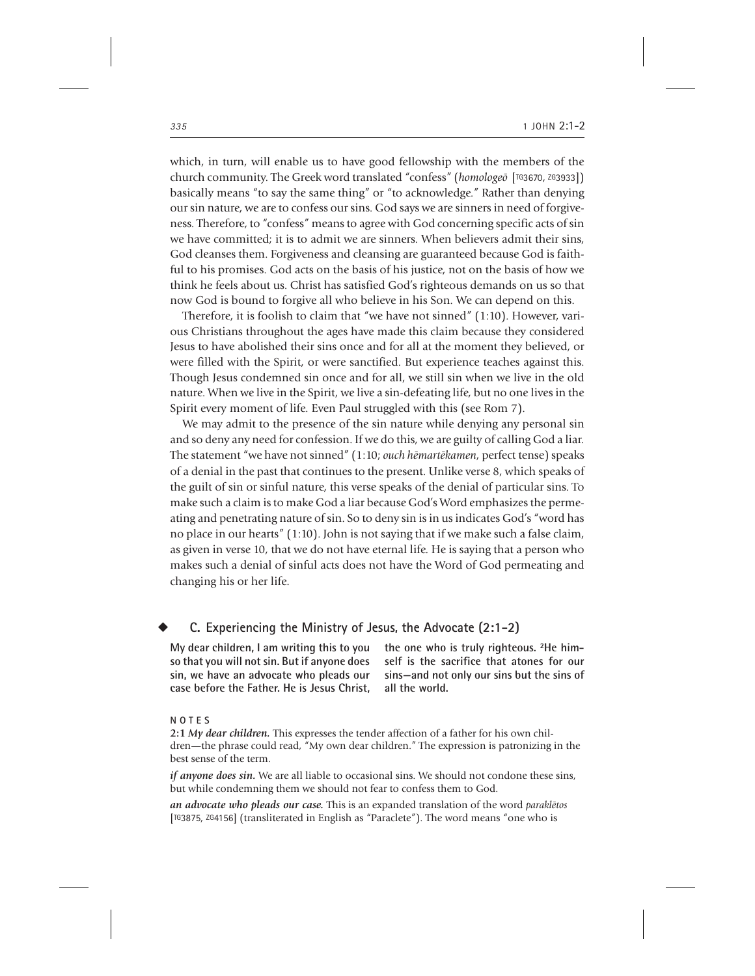which, in turn, will enable us to have good fellowship with the members of the church community. The Greek word translated "confess" (homologeō [<sup>TG3670, ZG3933])</sup> basically means "to say the same thing" or "to acknowledge." Rather than denying our sin nature, we are to confess our sins. God says we are sinners in need of forgiveness. Therefore, to "confess" means to agree with God concerning specific acts of sin we have committed; it is to admit we are sinners. When believers admit their sins, God cleanses them. Forgiveness and cleansing are guaranteed because God is faithful to his promises. God acts on the basis of his justice, not on the basis of how we think he feels about us. Christ has satisfied God's righteous demands on us so that now God is bound to forgive all who believe in his Son. We can depend on this.

Therefore, it is foolish to claim that "we have not sinned" (1:10). However, various Christians throughout the ages have made this claim because they considered Jesus to have abolished their sins once and for all at the moment they believed, or were filled with the Spirit, or were sanctified. But experience teaches against this. Though Jesus condemned sin once and for all, we still sin when we live in the old nature. When we live in the Spirit, we live a sin-defeating life, but no one lives in the Spirit every moment of life. Even Paul struggled with this (see Rom 7).

We may admit to the presence of the sin nature while denying any personal sin and so deny any need for confession. If we do this, we are guilty of calling God a liar. The statement "we have not sinned" (1:10; *ouch hēmartēkamen*, perfect tense) speaks of a denial in the past that continues to the present. Unlike verse 8, which speaks of the guilt of sin or sinful nature, this verse speaks of the denial of particular sins. To make such a claim is to make God a liar because God's Word emphasizes the permeating and penetrating nature of sin. So to deny sin is in us indicates God's "word has no place in our hearts" (1:10). John is not saying that if we make such a false claim, as given in verse 10, that we do not have eternal life. He is saying that a person who makes such a denial of sinful acts does not have the Word of God permeating and changing his or her life.

# ◆ **C. Experiencing the Ministry of Jesus, the Advocate (2:1-2)**

**My dear children, I am writing this to you so that you will not sin. But if anyone does sin, we have an advocate who pleads our case before the Father. He is Jesus Christ,**

**the one who is truly righteous. 2He himself is the sacrifice that atones for our sins—and not only our sins but the sins of all the world.**

#### **NOTES**

**2:1** *My dear children.* This expresses the tender affection of a father for his own children—the phrase could read, "My own dear children." The expression is patronizing in the best sense of the term.

*if anyone does sin.* We are all liable to occasional sins. We should not condone these sins, but while condemning them we should not fear to confess them to God.

*an advocate who pleads our case.* This is an expanded translation of the word *parakl*e*tos* [<sup>TG3875, ZG4156]</sup> (transliterated in English as "Paraclete"). The word means "one who is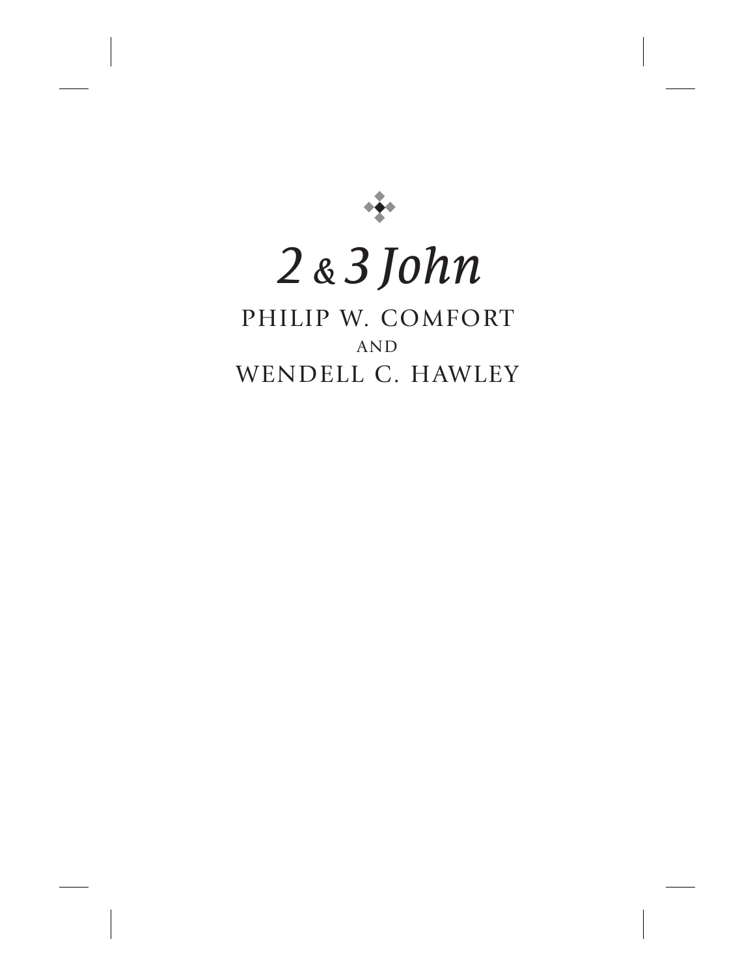<span id="page-50-0"></span>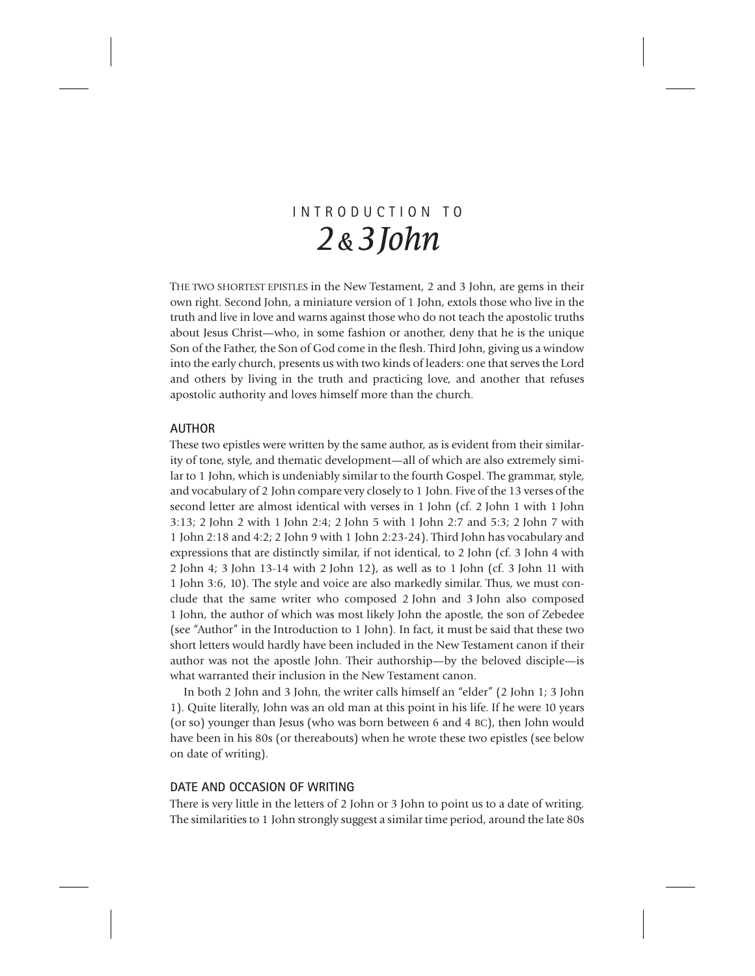# INTRODUCTION TO *2 &3 John*

THE TWO SHORTEST EPISTLES in the New Testament, 2 and 3 John, are gems in their own right. Second John, a miniature version of 1 John, extols those who live in the truth and live in love and warns against those who do not teach the apostolic truths about Jesus Christ—who, in some fashion or another, deny that he is the unique Son of the Father, the Son of God come in the flesh. Third John, giving us a window into the early church, presents us with two kinds of leaders: one that serves the Lord and others by living in the truth and practicing love, and another that refuses apostolic authority and loves himself more than the church.

# **AUTHOR**

These two epistles were written by the same author, as is evident from their similarity of tone, style, and thematic development—all of which are also extremely similar to 1 John, which is undeniably similar to the fourth Gospel. The grammar, style, and vocabulary of 2 John compare very closely to 1 John. Five of the 13 verses of the second letter are almost identical with verses in 1 John (cf. 2 John 1 with 1 John 3:13; 2 John 2 with 1 John 2:4; 2 John 5 with 1 John 2:7 and 5:3; 2 John 7 with 1 John 2:18 and 4:2; 2 John 9 with 1 John 2:23-24). Third John has vocabulary and expressions that are distinctly similar, if not identical, to 2 John (cf. 3 John 4 with  $2$  John  $4$ ;  $3$  John  $13-14$  with  $2$  John  $12$ ), as well as to  $1$  John  $(cf. 3$  John  $11$  with 1 John 3:6, 10). The style and voice are also markedly similar. Thus, we must conclude that the same writer who composed 2 John and 3 John also composed 1 John, the author of which was most likely John the apostle, the son of Zebedee (see "Author" in the Introduction to 1 John). In fact, it must be said that these two short letters would hardly have been included in the New Testament canon if their author was not the apostle John. Their authorship—by the beloved disciple—is what warranted their inclusion in the New Testament canon.

In both 2 John and 3 John, the writer calls himself an "elder" (2 John 1; 3 John 1). Quite literally, John was an old man at this point in his life. If he were 10 years (or so) younger than Jesus (who was born between 6 and 4 BC), then John would have been in his 80s (or thereabouts) when he wrote these two epistles (see below on date of writing).

# **DATE AND OCCASION OF WRITING**

There is very little in the letters of 2 John or 3 John to point us to a date of writing. The similarities to 1 John strongly suggest a similar time period, around the late 80s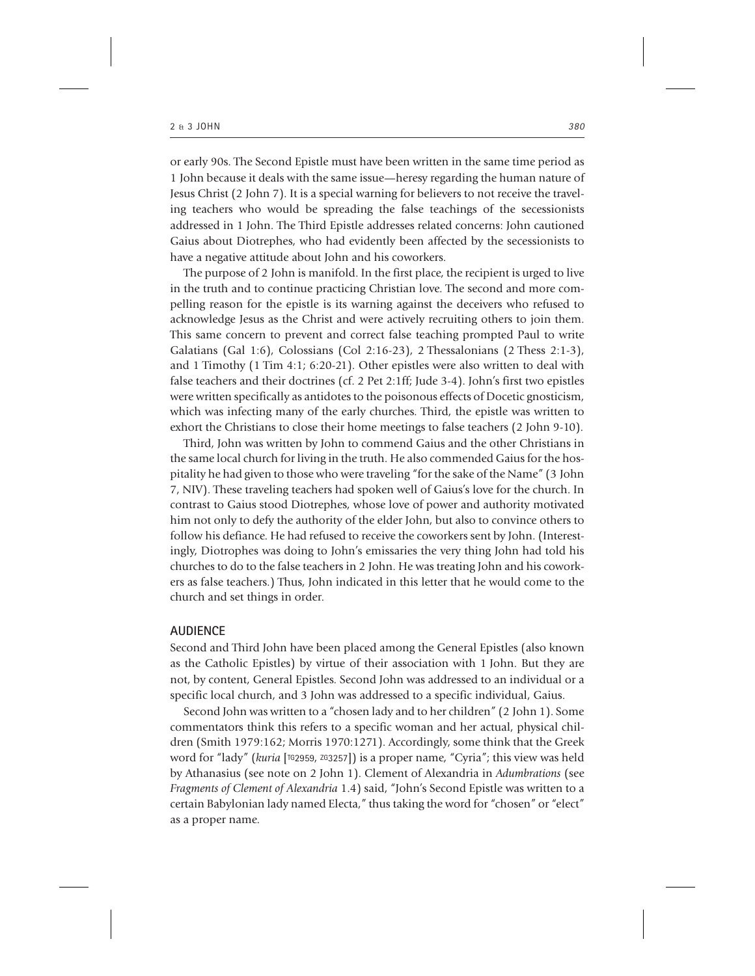or early 90s. The Second Epistle must have been written in the same time period as 1 John because it deals with the same issue—heresy regarding the human nature of Jesus Christ (2 John 7). It is a special warning for believers to not receive the traveling teachers who would be spreading the false teachings of the secessionists addressed in 1 John. The Third Epistle addresses related concerns: John cautioned Gaius about Diotrephes, who had evidently been affected by the secessionists to have a negative attitude about John and his coworkers.

The purpose of 2 John is manifold. In the first place, the recipient is urged to live in the truth and to continue practicing Christian love. The second and more compelling reason for the epistle is its warning against the deceivers who refused to acknowledge Jesus as the Christ and were actively recruiting others to join them. This same concern to prevent and correct false teaching prompted Paul to write Galatians (Gal 1:6), Colossians (Col 2:16-23), 2 Thessalonians (2 Thess 2:1-3), and 1 Timothy (1 Tim 4:1; 6:20-21). Other epistles were also written to deal with false teachers and their doctrines (cf. 2 Pet 2:1ff; Jude 3-4). John's first two epistles were written specifically as antidotes to the poisonous effects of Docetic gnosticism, which was infecting many of the early churches. Third, the epistle was written to exhort the Christians to close their home meetings to false teachers (2 John 9-10).

Third, John was written by John to commend Gaius and the other Christians in the same local church for living in the truth. He also commended Gaius for the hospitality he had given to those who were traveling "for the sake of the Name" (3 John 7, NIV). These traveling teachers had spoken well of Gaius's love for the church. In contrast to Gaius stood Diotrephes, whose love of power and authority motivated him not only to defy the authority of the elder John, but also to convince others to follow his defiance. He had refused to receive the coworkers sent by John. (Interestingly, Diotrophes was doing to John's emissaries the very thing John had told his churches to do to the false teachers in 2 John. He was treating John and his coworkers as false teachers.) Thus, John indicated in this letter that he would come to the church and set things in order.

### **AUDIENCE**

Second and Third John have been placed among the General Epistles (also known as the Catholic Epistles) by virtue of their association with 1 John. But they are not, by content, General Epistles. Second John was addressed to an individual or a specific local church, and 3 John was addressed to a specific individual, Gaius.

Second John was written to a "chosen lady and to her children" (2 John 1). Some commentators think this refers to a specific woman and her actual, physical children (Smith 1979:162; Morris 1970:1271). Accordingly, some think that the Greek word for "lady" (*kuria* [<sup>162959, <sup>263257</sup>]) is a proper name, "Cyria"; this view was held</sup> by Athanasius (see note on 2 John 1). Clement of Alexandria in *Adumbrations* (see *Fragments of Clement of Alexandria* 1.4) said, "John's Second Epistle was written to a certain Babylonian lady named Electa," thus taking the word for "chosen" or "elect" as a proper name.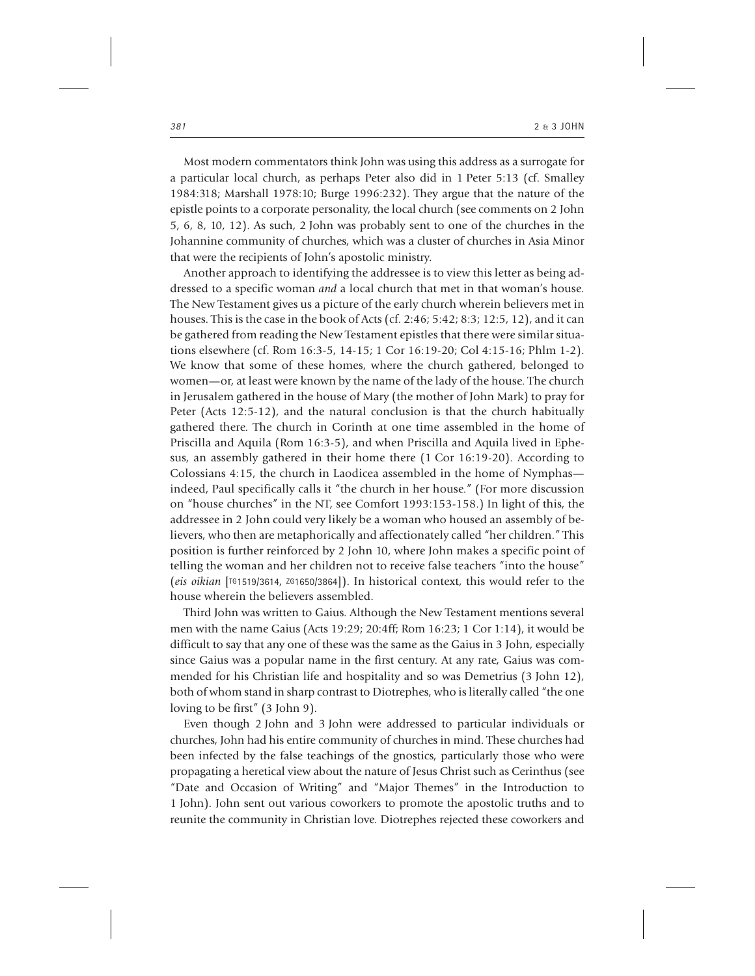Most modern commentators think John was using this address as a surrogate for a particular local church, as perhaps Peter also did in 1 Peter 5:13 (cf. Smalley 1984:318; Marshall 1978:10; Burge 1996:232). They argue that the nature of the epistle points to a corporate personality, the local church (see comments on 2 John 5, 6, 8, 10, 12). As such, 2 John was probably sent to one of the churches in the Johannine community of churches, which was a cluster of churches in Asia Minor that were the recipients of John's apostolic ministry.

Another approach to identifying the addressee is to view this letter as being addressed to a specific woman *and* a local church that met in that woman's house. The New Testament gives us a picture of the early church wherein believers met in houses. This is the case in the book of Acts (cf. 2:46; 5:42; 8:3; 12:5, 12), and it can be gathered from reading the New Testament epistles that there were similar situations elsewhere (cf. Rom 16:3-5, 14-15; 1 Cor 16:19-20; Col 4:15-16; Phlm 1-2). We know that some of these homes, where the church gathered, belonged to women—or, at least were known by the name of the lady of the house. The church in Jerusalem gathered in the house of Mary (the mother of John Mark) to pray for Peter (Acts 12:5-12), and the natural conclusion is that the church habitually gathered there. The church in Corinth at one time assembled in the home of Priscilla and Aquila (Rom 16:3-5), and when Priscilla and Aquila lived in Ephesus, an assembly gathered in their home there (1 Cor 16:19-20). According to Colossians 4:15, the church in Laodicea assembled in the home of Nymphas indeed, Paul specifically calls it "the church in her house." (For more discussion on "house churches" in the NT, see Comfort 1993:153-158.) In light of this, the addressee in 2 John could very likely be a woman who housed an assembly of believers, who then are metaphorically and affectionately called "her children." This position is further reinforced by 2 John 10, where John makes a specific point of telling the woman and her children not to receive false teachers "into the house" (*eis oikian* [TG1519/3614, ZG1650/3864]). In historical context, this would refer to the house wherein the believers assembled.

Third John was written to Gaius. Although the New Testament mentions several men with the name Gaius (Acts 19:29; 20:4ff; Rom 16:23; 1 Cor 1:14), it would be difficult to say that any one of these was the same as the Gaius in 3 John, especially since Gaius was a popular name in the first century. At any rate, Gaius was commended for his Christian life and hospitality and so was Demetrius (3 John 12), both of whom stand in sharp contrast to Diotrephes, who is literally called "the one loving to be first" (3 John 9).

Even though 2 John and 3 John were addressed to particular individuals or churches, John had his entire community of churches in mind. These churches had been infected by the false teachings of the gnostics, particularly those who were propagating a heretical view about the nature of Jesus Christ such as Cerinthus (see "Date and Occasion of Writing" and "Major Themes" in the Introduction to 1 John). John sent out various coworkers to promote the apostolic truths and to reunite the community in Christian love. Diotrephes rejected these coworkers and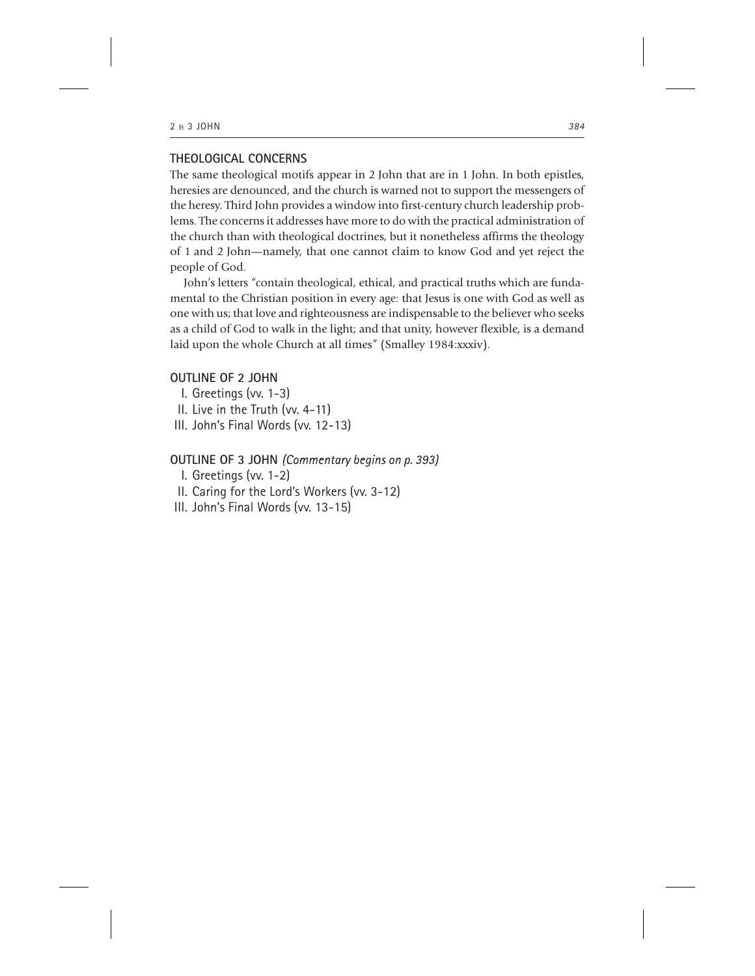# **THEOLOGICAL CONCERNS**

The same theological motifs appear in 2 John that are in 1 John. In both epistles, heresies are denounced, and the church is warned not to support the messengers of the heresy. Third John provides a window into first-century church leadership problems. The concerns it addresses have more to do with the practical administration of the church than with theological doctrines, but it nonetheless affirms the theology of 1 and 2 John—namely, that one cannot claim to know God and yet reject the people of God.

John's letters "contain theological, ethical, and practical truths which are fundamental to the Christian position in every age: that Jesus is one with God as well as one with us; that love and righteousness are indispensable to the believer who seeks as a child of God to walk in the light; and that unity, however flexible, is a demand laid upon the whole Church at all times" (Smalley 1984:xxxiv).

# **OUTLINE OF 2 JOHN**

- I. Greetings (vv. 1-3)
- II. Live in the Truth (vv. 4-11)
- III. John's Final Words (vv. 12-13)

# **OUTLINE OF 3 JOHN** (Commentary begins on p. 393)

- I. Greetings (vv. 1-2)
- II. Caring for the Lord's Workers (vv. 3-12)
- III. John's Final Words (vv. 13-15)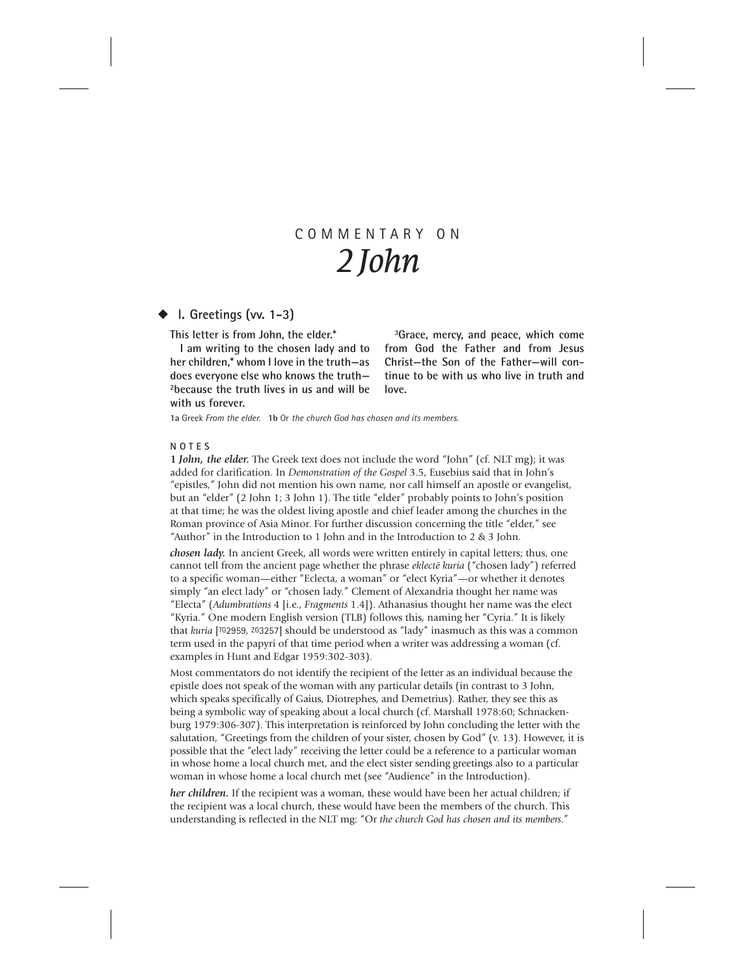# COMMENTARY ON *2 John*

# ◆ **I. Greetings (vv. 1-3)**

**This letter is from John, the elder.\***

**I am writing to the chosen lady and to her children,\* whom I love in the truth—as does everyone else who knows the truth— 2because the truth lives in us and will be with us forever.**

**3Grace, mercy, and peace, which come from God the Father and from Jesus Christ—the Son of the Father—will continue to be with us who live in truth and love.**

**1a** Greek *From the elder*. **1b** Or *the church God has chosen and its members*.

### **NOTES**

**1** *John, the elder.* The Greek text does not include the word "John" (cf. NLT mg); it was added for clarification. In *Demonstration of the Gospel* 3.5, Eusebius said that in John's "epistles," John did not mention his own name, nor call himself an apostle or evangelist, but an "elder" (2 John 1; 3 John 1). The title "elder" probably points to John's position at that time; he was the oldest living apostle and chief leader among the churches in the Roman province of Asia Minor. For further discussion concerning the title "elder," see "Author" in the Introduction to 1 John and in the Introduction to 2 & 3 John.

*chosen lady.* In ancient Greek, all words were written entirely in capital letters; thus, one cannot tell from the ancient page whether the phrase *eklect*e *kuria* ("chosen lady") referred to a specific woman—either "Eclecta, a woman" or "elect Kyria"—or whether it denotes simply "an elect lady" or "chosen lady." Clement of Alexandria thought her name was "Electa" (*Adumbrations* 4 [i.e., *Fragments* 1.4]). Athanasius thought her name was the elect "Kyria." One modern English version (TLB) follows this, naming her "Cyria." It is likely that *kuria* [<sup>TG2959, <sup>zG3257]</sup> should be understood as "lady" inasmuch as this was a common</sup> term used in the papyri of that time period when a writer was addressing a woman (cf. examples in Hunt and Edgar 1959:302-303).

Most commentators do not identify the recipient of the letter as an individual because the epistle does not speak of the woman with any particular details (in contrast to 3 John, which speaks specifically of Gaius, Diotrephes, and Demetrius). Rather, they see this as being a symbolic way of speaking about a local church (cf. Marshall 1978:60; Schnackenburg 1979:306-307). This interpretation is reinforced by John concluding the letter with the salutation, "Greetings from the children of your sister, chosen by God" (v. 13). However, it is possible that the "elect lady" receiving the letter could be a reference to a particular woman in whose home a local church met, and the elect sister sending greetings also to a particular woman in whose home a local church met (see "Audience" in the Introduction).

*her children*. If the recipient was a woman, these would have been her actual children; if the recipient was a local church, these would have been the members of the church. This understanding is reflected in the NLT mg: "Or *the church God has chosen and its members*."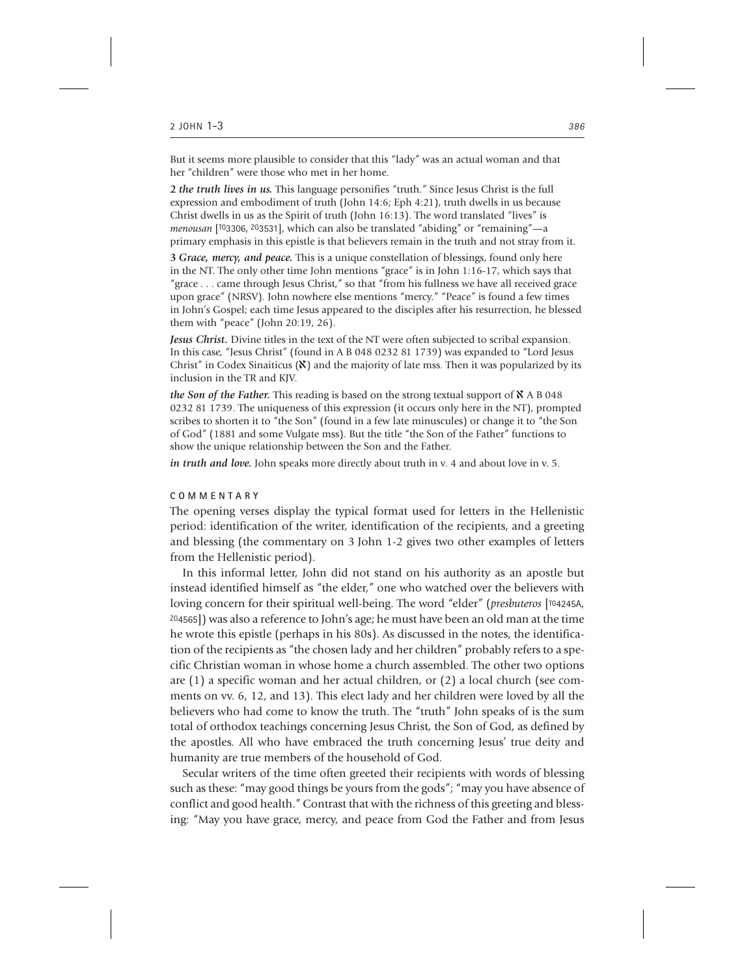But it seems more plausible to consider that this "lady" was an actual woman and that her "children" were those who met in her home.

**2** *the truth lives in us.* This language personifies "truth." Since Jesus Christ is the full expression and embodiment of truth (John 14:6; Eph 4:21), truth dwells in us because Christ dwells in us as the Spirit of truth (John 16:13). The word translated "lives" is *menousan* [<sup>TG</sup>3306, <sup>*zG*3531], which can also be translated "abiding" or "remaining"—a</sup> primary emphasis in this epistle is that believers remain in the truth and not stray from it.

**3** *Grace, mercy, and peace.* This is a unique constellation of blessings, found only here in the NT. The only other time John mentions "grace" is in John 1:16-17, which says that "grace . . . came through Jesus Christ," so that "from his fullness we have all received grace upon grace" (NRSV). John nowhere else mentions "mercy." "Peace" is found a few times in John's Gospel; each time Jesus appeared to the disciples after his resurrection, he blessed them with "peace" (John 20:19, 26).

*Jesus Christ.* Divine titles in the text of the NT were often subjected to scribal expansion. In this case, "Jesus Christ" (found in A B 048 0232 81 1739) was expanded to "Lord Jesus Christ" in Codex Sinaiticus ( $\hat{X}$ ) and the majority of late mss. Then it was popularized by its inclusion in the TR and KJV.

*the Son of the Father.* This reading is based on the strong textual support of  $\boldsymbol{\aleph}$  A B 048 0232 81 1739. The uniqueness of this expression (it occurs only here in the NT), prompted scribes to shorten it to "the Son" (found in a few late minuscules) or change it to "the Son of God" (1881 and some Vulgate mss). But the title "the Son of the Father" functions to show the unique relationship between the Son and the Father.

*in truth and love.* John speaks more directly about truth in v. 4 and about love in v. 5.

### **COMMENTARY**

The opening verses display the typical format used for letters in the Hellenistic period: identification of the writer, identification of the recipients, and a greeting and blessing (the commentary on 3 John 1-2 gives two other examples of letters from the Hellenistic period).

In this informal letter, John did not stand on his authority as an apostle but instead identified himself as "the elder," one who watched over the believers with loving concern for their spiritual well-being. The word "elder" (*presbuteros* [<sup>TG4245A</sup>, ZG4565]) was also a reference to John's age; he must have been an old man at the time he wrote this epistle (perhaps in his 80s). As discussed in the notes, the identification of the recipients as "the chosen lady and her children" probably refers to a specific Christian woman in whose home a church assembled. The other two options are (1) a specific woman and her actual children, or (2) a local church (see comments on vv. 6, 12, and 13). This elect lady and her children were loved by all the believers who had come to know the truth. The "truth" John speaks of is the sum total of orthodox teachings concerning Jesus Christ, the Son of God, as defined by the apostles. All who have embraced the truth concerning Jesus' true deity and humanity are true members of the household of God.

Secular writers of the time often greeted their recipients with words of blessing such as these: "may good things be yours from the gods"; "may you have absence of conflict and good health." Contrast that with the richness of this greeting and blessing: "May you have grace, mercy, and peace from God the Father and from Jesus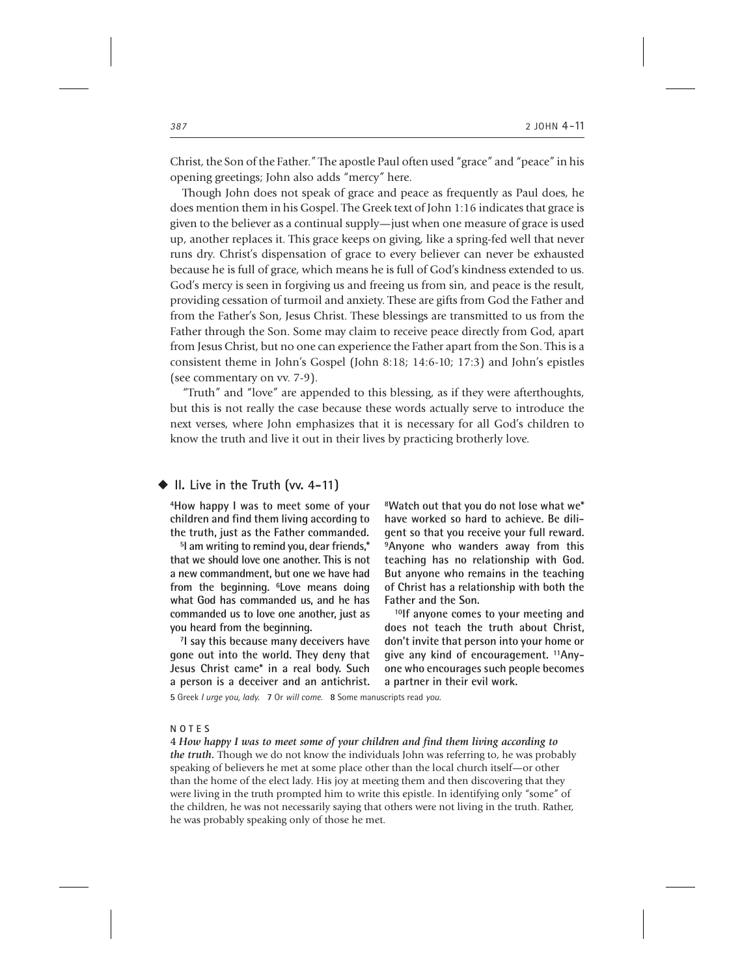Christ, the Son of the Father." The apostle Paul often used "grace" and "peace" in his opening greetings; John also adds "mercy" here.

Though John does not speak of grace and peace as frequently as Paul does, he does mention them in his Gospel. The Greek text of John 1:16 indicates that grace is given to the believer as a continual supply—just when one measure of grace is used up, another replaces it. This grace keeps on giving, like a spring-fed well that never runs dry. Christ's dispensation of grace to every believer can never be exhausted because he is full of grace, which means he is full of God's kindness extended to us. God's mercy is seen in forgiving us and freeing us from sin, and peace is the result, providing cessation of turmoil and anxiety. These are gifts from God the Father and from the Father's Son, Jesus Christ. These blessings are transmitted to us from the Father through the Son. Some may claim to receive peace directly from God, apart from Jesus Christ, but no one can experience the Father apart from the Son. This is a consistent theme in John's Gospel (John 8:18; 14:6-10; 17:3) and John's epistles (see commentary on vv. 7-9).

"Truth" and "love" are appended to this blessing, as if they were afterthoughts, but this is not really the case because these words actually serve to introduce the next verses, where John emphasizes that it is necessary for all God's children to know the truth and live it out in their lives by practicing brotherly love.

## ◆ **II.** Live in the Truth (vv. 4-11)

**4How happy I was to meet some of your children and find them living according to the truth, just as the Father commanded.**

**5I am writing to remind you, dear friends,\* that we should love one another. This is not a new commandment, but one we have had from the beginning. 6Love means doing what God has commanded us, and he has commanded us to love one another, just as you heard from the beginning.**

**7I say this because many deceivers have gone out into the world. They deny that Jesus Christ came\* in a real body. Such a person is a deceiver and an antichrist.** **8Watch out that you do not lose what we\* have worked so hard to achieve. Be diligent so that you receive your full reward. 9Anyone who wanders away from this teaching has no relationship with God. But anyone who remains in the teaching of Christ has a relationship with both the Father and the Son.**

**10If anyone comes to your meeting and does not teach the truth about Christ, don't invite that person into your home or give any kind of encouragement. 11Anyone who encourages such people becomes a partner in their evil work.**

**5** Greek *I urge you, lady*. **7** Or *will come.* **8** Some manuscripts read *you.*

#### **NOTES**

**4** *How happy I was to meet some of your children and find them living according to the truth.* Though we do not know the individuals John was referring to, he was probably speaking of believers he met at some place other than the local church itself—or other than the home of the elect lady. His joy at meeting them and then discovering that they were living in the truth prompted him to write this epistle. In identifying only "some" of the children, he was not necessarily saying that others were not living in the truth. Rather, he was probably speaking only of those he met.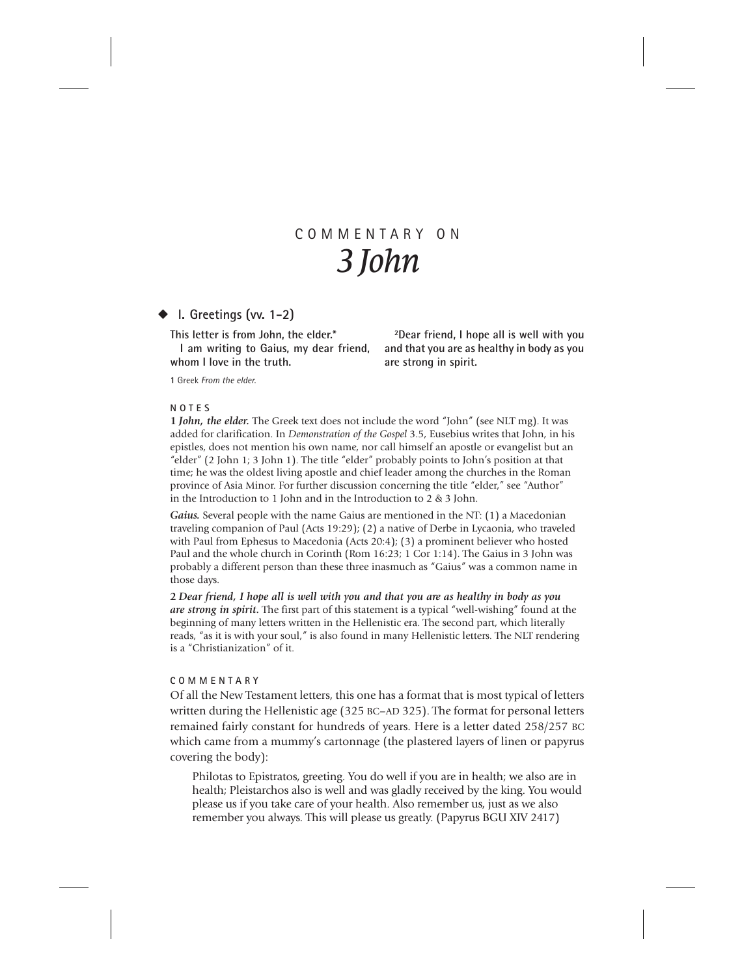# COMMENTARY ON *3 John*

# ◆ **I. Greetings (vv. 1-2)**

**This letter is from John, the elder.\* I am writing to Gaius, my dear friend, whom I love in the truth.**

**2Dear friend, I hope all is well with you and that you are as healthy in body as you are strong in spirit.**

**1** Greek *From the elder*.

### **NOTES**

**1** *John, the elder.* The Greek text does not include the word "John" (see NLT mg). It was added for clarification. In *Demonstration of the Gospel* 3.5, Eusebius writes that John, in his epistles, does not mention his own name, nor call himself an apostle or evangelist but an "elder" (2 John 1; 3 John 1). The title "elder" probably points to John's position at that time; he was the oldest living apostle and chief leader among the churches in the Roman province of Asia Minor. For further discussion concerning the title "elder," see "Author" in the Introduction to 1 John and in the Introduction to 2 & 3 John.

*Gaius.* Several people with the name Gaius are mentioned in the NT: (1) a Macedonian traveling companion of Paul (Acts 19:29); (2) a native of Derbe in Lycaonia, who traveled with Paul from Ephesus to Macedonia (Acts 20:4); (3) a prominent believer who hosted Paul and the whole church in Corinth (Rom 16:23; 1 Cor 1:14). The Gaius in 3 John was probably a different person than these three inasmuch as "Gaius" was a common name in those days.

**2** *Dear friend, I hope all is well with you and that you are as healthy in body as you are strong in spirit.* The first part of this statement is a typical "well-wishing" found at the beginning of many letters written in the Hellenistic era. The second part, which literally reads, "as it is with your soul," is also found in many Hellenistic letters. The NLT rendering is a "Christianization" of it.

### **COMMENTARY**

Of all the New Testament letters, this one has a format that is most typical of letters written during the Hellenistic age (325 BC–AD 325). The format for personal letters remained fairly constant for hundreds of years. Here is a letter dated 258/257 BC which came from a mummy's cartonnage (the plastered layers of linen or papyrus covering the body):

Philotas to Epistratos, greeting. You do well if you are in health; we also are in health; Pleistarchos also is well and was gladly received by the king. You would please us if you take care of your health. Also remember us, just as we also remember you always. This will please us greatly. (Papyrus BGU XIV 2417)